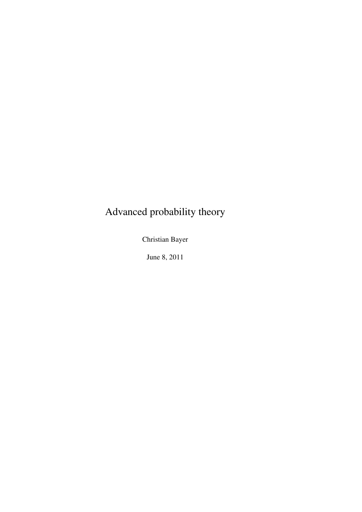# Advanced probability theory

Christian Bayer

June 8, 2011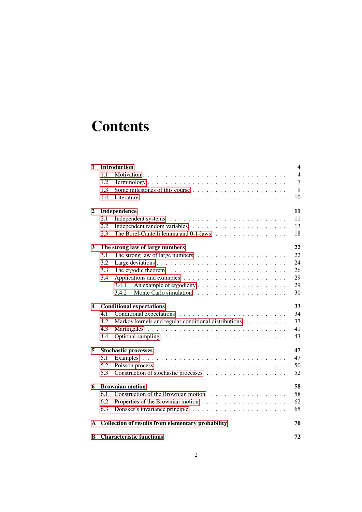# **Contents**

| 1            |                                 | <b>Introduction</b>                                                         | 4              |
|--------------|---------------------------------|-----------------------------------------------------------------------------|----------------|
|              | 1.1                             |                                                                             | $\overline{4}$ |
|              | 1.2                             | Terminology                                                                 | 7              |
|              | 1.3                             |                                                                             | 9              |
|              | 1.4                             |                                                                             | 10             |
| $\mathbf{2}$ | Independence                    |                                                                             | 11             |
|              | 2.1                             |                                                                             | 11             |
|              | 2.2                             |                                                                             | 13             |
|              | 2.3                             | The Borel-Cantelli lemma and 0-1-laws                                       | 18             |
| 3            | The strong law of large numbers |                                                                             | 22             |
|              | 3.1                             | The strong law of large numbers $\dots \dots \dots \dots \dots \dots \dots$ | 22             |
|              | 3.2                             |                                                                             | 24             |
|              | 3.3                             |                                                                             | 26             |
|              | 3.4                             |                                                                             | 29             |
|              |                                 | 3.4.1                                                                       | 29             |
|              |                                 | 3.4.2                                                                       | 30             |
| 4            | <b>Conditional expectations</b> |                                                                             | 33             |
|              | 4.1                             |                                                                             | 34             |
|              | 4.2                             | Markov kernels and regular conditional distributions                        | 37             |
|              | 4.3                             |                                                                             | 41             |
|              | 4.4                             |                                                                             | 43             |
| 5            |                                 | <b>Stochastic processes</b>                                                 | 47             |
|              | 5.1                             |                                                                             | 47             |
|              | 5.2                             |                                                                             | 50             |
|              | 5.3                             |                                                                             | 52             |
| 6            | <b>Brownian motion</b>          |                                                                             | 58             |
|              | 6.1                             |                                                                             | 58             |
|              | 6.2                             |                                                                             | 62             |
|              | 6.3                             |                                                                             | 65             |
| A            |                                 | Collection of results from elementary probability                           | 70             |
| B            |                                 | <b>Characteristic functions</b>                                             | 72             |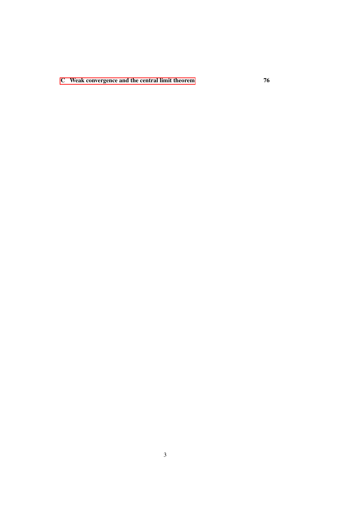[C Weak convergence and the central limit theorem](#page-75-0) 76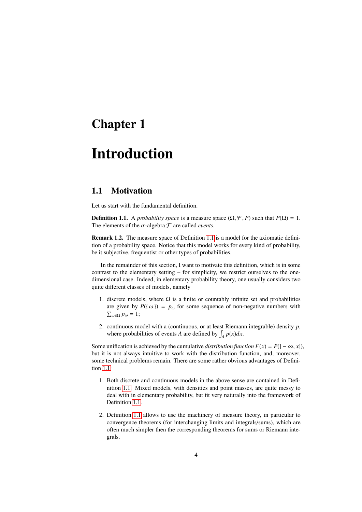## <span id="page-3-0"></span>Chapter 1

# Introduction

### <span id="page-3-1"></span>1.1 Motivation

<span id="page-3-2"></span>Let us start with the fundamental definition.

**Definition 1.1.** A *probability space* is a measure space  $(\Omega, \mathcal{F}, P)$  such that  $P(\Omega) = 1$ . The elements of the  $\sigma$ -algebra  $\mathcal F$  are called *events*.

Remark 1.2. The measure space of Definition [1.1](#page-3-2) is a model for the axiomatic definition of a probability space. Notice that this model works for every kind of probability, be it subjective, frequentist or other types of probabilities.

In the remainder of this section, I want to motivate this definition, which is in some contrast to the elementary setting – for simplicity, we restrict ourselves to the onedimensional case. Indeed, in elementary probability theory, one usually considers two quite different classes of models, namely

- 1. discrete models, where  $\Omega$  is a finite or countably infinite set and probabilities are given by  $P(\{\omega\}) = p_{\omega}$  for some sequence of non-negative numbers with  $\sum_{\omega \in \Omega} p_{\omega} = 1;$
- 2. continuous model with a (continuous, or at least Riemann integrable) density *p*, where probabilities of events *A* are defined by  $\int_A p(x)dx$ .

Some unification is achieved by the cumulative *distribution function*  $F(x) = P(1 - \infty, x)$ , but it is not always intuitive to work with the distribution function, and, moreover, some technical problems remain. There are some rather obvious advantages of Definition [1.1:](#page-3-2)

- 1. Both discrete and continuous models in the above sense are contained in Definition [1.1.](#page-3-2) Mixed models, with densities and point masses, are quite messy to deal with in elementary probability, but fit very naturally into the framework of Definition [1.1.](#page-3-2)
- 2. Definition [1.1](#page-3-2) allows to use the machinery of measure theory, in particular to convergence theorems (for interchanging limits and integrals/sums), which are often much simpler then the corresponding theorems for sums or Riemann integrals.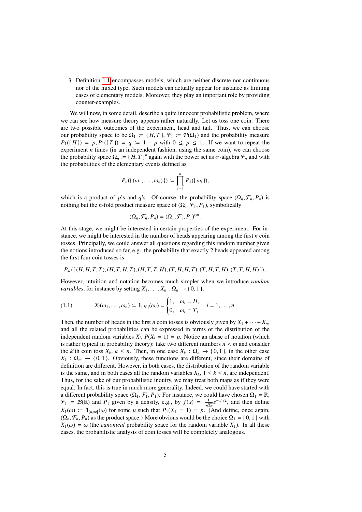3. Definition [1.1](#page-3-2) encompasses models, which are neither discrete nor continuous nor of the mixed type. Such models can actually appear for instance as limiting cases of elementary models. Moreover, they play an important role by providing counter-examples.

We will now, in some detail, describe a quite innocent probabilistic problem, where we can see how measure theory appears rather naturally. Let us toss one coin. There are two possible outcomes of the experiment, head and tail. Thus, we can choose our probability space to be  $\Omega_1 \coloneqq \{ H, T \}, \mathcal{F}_1 \coloneqq \mathcal{P}(\Omega_1)$  and the probability measure  $P_1({H}) = p, P_1({T}) = q := 1 - p$  with  $0 \le p \le 1$ . If we want to repeat the experiment *n* times (in an independent fashion, using the same coin), we can choose the probability space  $\Omega_n := \{ H, T \}^n$  again with the power set as  $\sigma$ -algebra  $\mathcal{F}_n$  and with the probabilities of the elementary events defined as the probabilities of the elementary events defined as

$$
P_n(\{\omega_1,\ldots,\omega_n\})\coloneqq \prod_{i=1}^n P_1(\{\omega_i\}),
$$

which is a product of *p*'s and *q*'s. Of course, the probability space  $(\Omega_n, \mathcal{F}_n, P_n)$  is nothing but the *n*-fold product measure space of  $(\Omega_1, \mathcal{F}_1, P_1)$ , symbolically

$$
(\Omega_n, \mathcal{F}_n, P_n) = (\Omega_1, \mathcal{F}_1, P_1)^{\otimes n}.
$$

At this stage, we might be interested in certain properties of the experiment. For instance, we might be interested in the number of heads appearing among the first *n* coin tosses. Principally, we could answer all questions regarding this random number given the notions introduced so far, e.g., the probability that exactly 2 heads appeared among the first four coin tosses is

#### $P_4(\{(H,H,T,T), (H,T,H,T), (H,T,T,H), (T,H,H,T), (T,H,T,H), (T,T,H,H)\}).$

However, intuition and notation becomes much simpler when we introduce *random variables*, for instance by setting  $X_1, \ldots, X_n : \Omega_n \to \{0, 1\}$ ,

(1.1) 
$$
X_i(\omega_1,\ldots,\omega_n) := \mathbf{1}_{\{H\}}(\omega_i) = \begin{cases} 1, & \omega_i = H, \\ 0, & \omega_i = T, \end{cases} \quad i = 1,\ldots,n.
$$

Then, the number of heads in the first *n* coin tosses is obviously given by  $X_1 + \cdots + X_n$ , and all the related probabilities can be expressed in terms of the distribution of the independent random variables  $X_i$ ,  $P(X_i = 1) = p$ . Notice an abuse of notation (which is rather typical in probability theory): take two different numbers  $n < m$  and consider the *k*'th coin toss  $X_k$ ,  $k \leq n$ . Then, in one case  $X_k : \Omega_n \to \{0, 1\}$ , in the other case  $X_k$ :  $\Omega_m \to \{0, 1\}$ . Obviously, these functions are different, since their domains of definition are different. However, in both cases, the distribution of the random variable is the same, and in both cases all the random variables  $X_k$ ,  $1 \leq k \leq n$ , are independent. Thus, for the sake of our probabilistic inquiry, we may treat both maps as if they were equal. In fact, this is true in much more generality. Indeed, we could have started with a different probability space  $(\Omega_1, \mathcal{F}_1, P_1)$ . For instance, we could have chosen  $\Omega_1 = \mathbb{R}$ ,  $\mathcal{F}_1 = \mathcal{B}(\mathbb{R})$  and  $P_1$  given by a density, e.g., by  $f(x) = \frac{1}{\sqrt{2\pi}}e^{-x^2/2}$ , and then define  $X_1(\omega) := \mathbf{1}_{[u,\infty]}(\omega)$  for some *u* such that  $P_1(X_1 = 1) = p$ . (And define, once again,  $(0 \nsubseteq P)$  as the product space) More obvious would be the choice  $0 = 0.11$  with  $(\Omega_n, \mathcal{F}_n, P_n)$  as the product space.) More obvious would be the choice  $\Omega_1 = \{0, 1\}$  with  $X_1(\omega) = \omega$  (the *canonical* probability space for the random variable  $X_1$ ). In all these cases, the probabilistic analysis of coin tosses will be completely analogous.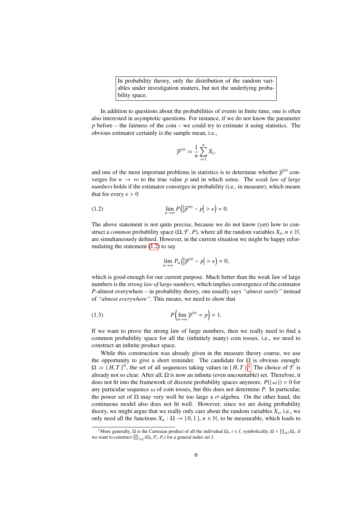In probability theory, only the distribution of the random variables under investigation matters, but not the underlying probability space.

In addition to questions about the probabilities of events in finite time, one is often also interested in asymptotic questions. For instance, if we do not know the parameter *p* before – the fairness of the coin – we could try to estimate it using statistics. The obvious estimator certainly is the sample mean, i.e.,

$$
\overline{p}^{(n)} \coloneqq \frac{1}{n} \sum_{i=1}^n X_i,
$$

and one of the most important problems in statistics is to determine whether  $\overline{p}^{(n)}$  converges for  $n \to \infty$  to the true value p and in which sense. The *weak law of large numbers* holds if the estimator converges in probability (i.e., in measure), which means that for every  $\epsilon > 0$ 

(1.2) 
$$
\lim_{n \to \infty} P(|\overline{p}^{(n)} - p| > \epsilon) = 0.
$$

The above statement is not quite precise, because we do not know (yet) how to construct a *common* probability space  $(\Omega, \mathcal{F}, P)$ , where all the random variables  $X_n$ ,  $n \in \mathbb{N}$ , are simultaneously defined. However, in the current situation we might be happy reformulating the statement  $(1.2)$  to say

<span id="page-5-0"></span>
$$
\lim_{n\to\infty} P_n\left(|\overline{p}^{(n)}-p|>\epsilon\right)=0,
$$

which is good enough for our current purpose. Much better than the weak law of large numbers is the *strong law of large numbers*, which implies convergence of the estimator *P*-almost everywhere – in probability theory, one usually says *"almost surely"* instead of *"almost everywhere"*. This means, we need to show that

(1.3) 
$$
P\left(\lim_{n\to\infty}\overline{p}^{(n)}=p\right)=1.
$$

If we want to prove the strong law of large numbers, then we really need to find a common probability space for all the (infinitely many) coin tosses, i.e., we need to construct an infinite product space.

While this construction was already given in the measure theory course, we use the opportunity to give a short reminder. The candidate for  $\Omega$  is obvious enough:  $\Omega = \{H, T\}^{\mathbb{N}},$  the set of all sequences taking values in  $\{H, T\}$ .<sup>[1](#page-5-1)</sup> The choice of  $\mathcal F$  is already not so clear. After all O is now an infinite (even uncountable) set. Therefore, it already not so clear. After all,  $\Omega$  is now an infinite (even uncountable) set. Therefore, it does not fit into the framework of discrete probability spaces anymore.  $P(\{\omega\}) = 0$  for any particular sequence  $\omega$  of coin tosses, but this does not determine *P*. In particular, the power set of  $\Omega$  may very well be too large a  $\sigma$ -algebra. On the other hand, the continuous model also does not fit well. However, since we are doing probability theory, we might argue that we really only care about the random variables  $X_n$ , i.e., we only need all the functions  $X_n : \Omega \to \{0, 1\}$ ,  $n \in \mathbb{N}$ , to be measurable, which leads to

<span id="page-5-1"></span><sup>&</sup>lt;sup>1</sup>More generally,  $\Omega$  is the Cartesian product of all the individual  $\Omega_i$ ,  $i \in I$ , symbolically,  $\Omega = \prod_{i \in I} \Omega_i$ , if we want to construct  $\bigotimes_{i \in I} (\Omega_i, \mathcal{F}_i, P_i)$  for a general index set *I*.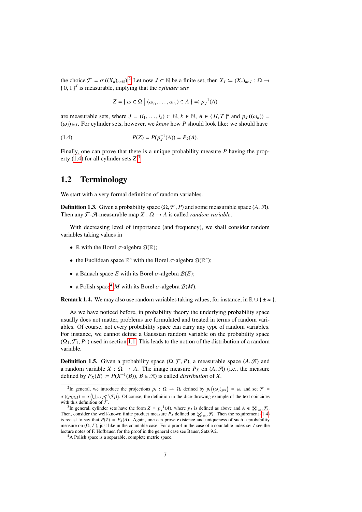the choice  $\mathcal{F} = \sigma((X_n)_{n \in \mathbb{N}})$ . Let now  $J \subset \mathbb{N}$  be a finite set, then  $X_J := (X_n)_{n \in J} : \Omega \to \{0, 1\}^J$  is measurable implying that the *cylinder sets*  $\{0, 1\}^J$  is measurable, implying that the *cylinder sets* 

<span id="page-6-2"></span>
$$
Z = \{ \omega \in \Omega \mid (\omega_{i_1}, \ldots, \omega_{i_k}) \in A \} =: p_J^{-1}(A)
$$

are measurable sets, where  $J = (i_1, \ldots, i_k) \subset \mathbb{N}$ ,  $k \in \mathbb{N}$ ,  $A \in \{H, T\}^k$  and  $p_J((\omega_n)) =$ <br>((a)  $\cup$  . For cylinder sets, however, we know how *P* should look like; we should have  $(\omega_i)_{i \in J}$ . For cylinder sets, however, we *know* how *P* should look like: we should have

(1.4) 
$$
P(Z) = P(p_J^{-1}(A)) = P_k(A).
$$

Finally, one can prove that there is a unique probability measure *P* having the property [\(1.4\)](#page-6-2) for all cylinder sets *Z*. [3](#page-6-3)

### <span id="page-6-0"></span>1.2 Terminology

We start with a very formal definition of random variables.

**Definition 1.3.** Given a probability space  $(\Omega, \mathcal{F}, P)$  and some measurable space  $(A, \mathcal{A})$ . Then any  $\mathcal{F}\text{-}\mathcal{A}\text{-measurable map }X:\Omega\to A$  is called *random variable*.

With decreasing level of importance (and frequency), we shall consider random variables taking values in

- R with the Borel  $\sigma$ -algebra  $\mathcal{B}(\mathbb{R})$ ;
- the Euclidean space  $\mathbb{R}^n$  with the Borel  $\sigma$ -algebra  $\mathcal{B}(\mathbb{R}^n)$ ;
- a Banach space *E* with its Borel  $\sigma$ -algebra  $\mathcal{B}(E)$ ;
- a Polish space<sup>[4](#page-6-4)</sup> *M* with its Borel  $\sigma$ -algebra  $\mathcal{B}(M)$ .

**Remark 1.4.** We may also use random variables taking values, for instance, in  $\mathbb{R} \cup \{\pm \infty\}$ .

As we have noticed before, in probability theory the underlying probability space usually does not matter, problems are formulated and treated in terms of random variables. Of course, not every probability space can carry any type of random variables. For instance, we cannot define a Gaussian random variable on the probability space  $(\Omega_1, \mathcal{F}_1, P_1)$  used in section [1.1.](#page-3-1) This leads to the notion of the distribution of a random variable.

**Definition 1.5.** Given a probability space  $(\Omega, \mathcal{F}, P)$ , a measurable space  $(A, \mathcal{A})$  and a random variable  $X : \Omega \to A$ . The image measure  $P_X$  on  $(A, \mathcal{A})$  (i.e., the measure defined by  $P_X(B) := P(X^{-1}(B)), B \in \mathcal{A}$ ) is called *distribution* of *X*.

<span id="page-6-1"></span><sup>&</sup>lt;sup>2</sup>In general, we introduce the projections *p<sub>i</sub>* : Ω → Ω<sub>*i*</sub> defined by *p<sub>i</sub>*((ω*j*)<sub>*j*∈*I*</sub>) = ω*<sub>i</sub>* and set *F* =  $\sigma((p_i)_{i \in I}) = \sigma(\bigcup_{i \in I} p_i^{-1}(\mathcal{F}_i))$ . Of course, the definition in the dice-throwing example of the text coincides with this definition of  $\mathcal{F}$ with this definition of  $\mathcal{F}$ .

<span id="page-6-3"></span><sup>&</sup>lt;sup>3</sup>In general, cylinder sets have the form  $Z = p_J^{-1}(A)$ , where  $p_J$  is defined as above and  $A \in \bigotimes_{i \in J} \mathcal{F}_i$ . Then, consider the well-known finite product measure  $P_J$  defined on  $\bigotimes_{i \in J} \mathcal{F}_i$ . Then the requirement [\(1.4\)](#page-6-2) is recast to say that  $P(Z) = P_J(A)$ . Again, one can prove existence and uniqueness of such a probability measure on  $(\Omega, \mathcal{F})$ , just like in the countable case. For a proof in the case of a countable index set *I* see the lecture notes of F. Hofbauer, for the proof in the general case see Bauer, Satz 9.2.

<span id="page-6-4"></span><sup>&</sup>lt;sup>4</sup>A Polish space is a separable, complete metric space.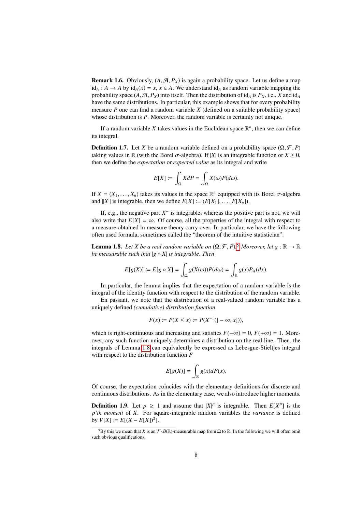**Remark 1.6.** Obviously,  $(A, \mathcal{A}, P_X)$  is again a probability space. Let us define a map id<sub>*A*</sub> : *A* → *A* by id<sub>*A*</sub>(*x*) = *x*, *x* ∈ *A*. We understand id<sub>*A*</sub> as random variable mapping the probability space  $(A, \mathcal{A}, P_X)$  into itself. Then the distribution of  $id_A$  is  $P_X$ , i.e., *X* and  $id_A$ have the same distributions. In particular, this example shows that for every probability measure *P* one can find a random variable *X* (defined on a suitable probability space) whose distribution is *P*. Moreover, the random variable is certainly not unique.

If a random variable X takes values in the Euclidean space  $\mathbb{R}^n$ , then we can define its integral.

**Definition 1.7.** Let *X* be a random variable defined on a probability space  $(\Omega, \mathcal{F}, P)$ taking values in  $\mathbb{R}$  (with the Borel  $\sigma$ -algebra). If |*X*| is an integrable function or *X*  $\geq$  0, then we define the *expectation* or *expected value* as its integral and write

$$
E[X] := \int_{\Omega} X dP = \int_{\Omega} X(\omega) P(d\omega).
$$

If  $X = (X_1, \ldots, X_n)$  takes its values in the space  $\mathbb{R}^n$  equipped with its Borel  $\sigma$ -algebra and  $||X||$  is integrable, then we define  $F[X] := (F[X_1] - F[X_1])$ and  $||X||$  is integrable, then we define  $E[X] := (E[X_1], \ldots, E[X_n]).$ 

If, e.g., the negative part  $X^-$  is integrable, whereas the positive part is not, we will also write that  $E[X] = \infty$ . Of course, all the properties of the integral with respect to a measure obtained in measure theory carry over. In particular, we have the following often used formula, sometimes called the "theorem of the intuitive statistician".

<span id="page-7-1"></span>**Lemma 1.8.** *Let X be a real random variable on*  $(\Omega, \mathcal{F}, P)$ .<sup>[5](#page-7-0)</sup> *Moreover, let g* :  $\mathbb{R} \to \mathbb{R}$  *he measurable such that*  $|a \circ X|$  *is integrable. Then be measurable such that* |*g* ◦ *X*| *is integrable. Then*

$$
E[g(X)] := E[g \circ X] = \int_{\Omega} g(X(\omega))P(d\omega) = \int_{\mathbb{R}} g(x)P_X(dx).
$$

In particular, the lemma implies that the expectation of a random variable is the integral of the identity function with respect to the distribution of the random variable.

En passant, we note that the distribution of a real-valued random variable has a uniquely defined *(cumulative) distribution function*

$$
F(x) := P(X \le x) := P(X^{-1}(]-\infty, x]),
$$

which is right-continuous and increasing and satisfies  $F(-\infty) = 0$ ,  $F(+\infty) = 1$ . Moreover, any such function uniquely determines a distribution on the real line. Then, the integrals of Lemma [1.8](#page-7-1) can equivalently be expressed as Lebesgue-Stieltjes integral with respect to the distribution function *F*

$$
E[g(X)] = \int_{\mathbb{R}} g(x) dF(x).
$$

Of course, the expectation coincides with the elementary definitions for discrete and continuous distributions. As in the elementary case, we also introduce higher moments.

**Definition 1.9.** Let  $p \ge 1$  and assume that  $|X|^p$  is integrable. Then  $E[X^p]$  is the *p'th moment* of *X*. For square-integrable random variables the *variance* is defined  $\text{by } V[X] \coloneqq E[(X - E[X])^2].$ 

<span id="page-7-0"></span><sup>&</sup>lt;sup>5</sup>By this we mean that *X* is an  $\mathcal{F}\text{-}\mathcal{B}(\mathbb{R})$ -measurable map from  $\Omega$  to  $\mathbb{R}$ . In the following we will often omit such obvious qualifications.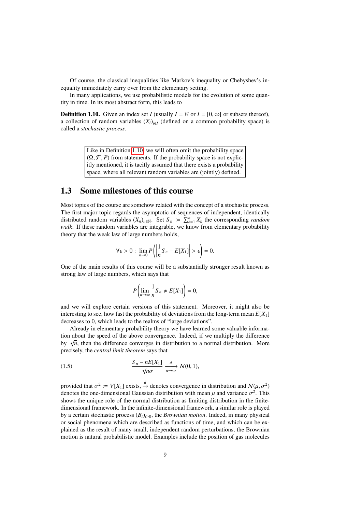Of course, the classical inequalities like Markov's inequality or Chebyshev's inequality immediately carry over from the elementary setting.

In many applications, we use probabilistic models for the evolution of some quantity in time. In its most abstract form, this leads to

<span id="page-8-1"></span>**Definition 1.10.** Given an index set *I* (usually  $I = \mathbb{N}$  or  $I = [0, \infty]$  or subsets thereof), a collection of random variables  $(X_i)_{i \in I}$  (defined on a common probability space) is called a *stochastic process*.

> Like in Definition [1.10,](#page-8-1) we will often omit the probability space  $(\Omega, \mathcal{F}, P)$  from statements. If the probability space is not explicitly mentioned, it is tacitly assumed that there exists a probability space, where all relevant random variables are (jointly) defined.

### <span id="page-8-0"></span>1.3 Some milestones of this course

Most topics of the course are somehow related with the concept of a stochastic process. The first major topic regards the asymptotic of sequences of independent, identically distributed random variables  $(X_n)_{n \in \mathbb{N}}$ . Set  $S_n := \sum_{k=1}^n X_k$  the corresponding *random walk*. If these random variables are integrable, we know from elementary probability theory that the weak law of large numbers holds,

$$
\forall \epsilon > 0: \lim_{n \to 0} P\left(\left|\frac{1}{n}S_n - E[X_1]\right| > \epsilon\right) = 0.
$$

One of the main results of this course will be a substantially stronger result known as strong law of large numbers, which says that

$$
P\left(\lim_{n\to\infty}\frac{1}{n}S_n\neq E[X_1]\right)=0,
$$

and we will explore certain versions of this statement. Moreover, it might also be interesting to see, how fast the probability of deviations from the long-term mean  $E[X_1]$ decreases to 0, which leads to the realms of "large deviations".

Already in elementary probability theory we have learned some valuable information about the speed of the above convergence. Indeed, if we multiply the difference by  $\sqrt{n}$ , then the difference converges in distribution to a normal distribution. More precisely, the *central limit theorem* says that

(1.5) 
$$
\frac{S_n - nE[X_1]}{\sqrt{n}\sigma} \xrightarrow[n \to \infty]{d} \mathcal{N}(0, 1),
$$

provided that  $\sigma^2 := V[X_1]$  exists,  $\stackrel{d}{\rightarrow}$  denotes convergence in distribution and  $N(\mu, \sigma^2)$ <br>denotes the one-dimensional Gaussian distribution with mean u and variance  $\sigma^2$ . This denotes the one-dimensional Gaussian distribution with mean  $\mu$  and variance  $\sigma^2$ . This shows the unique role of the normal distribution as limiting distribution in the finitedimensional framework. In the infinite-dimensional framework, a similar role is played by a certain stochastic process  $(B_t)_{t\geq0}$ , the *Brownian motion*. Indeed, in many physical or social phenomena which are described as functions of time, and which can be explained as the result of many small, independent random perturbations, the Brownian motion is natural probabilistic model. Examples include the position of gas molecules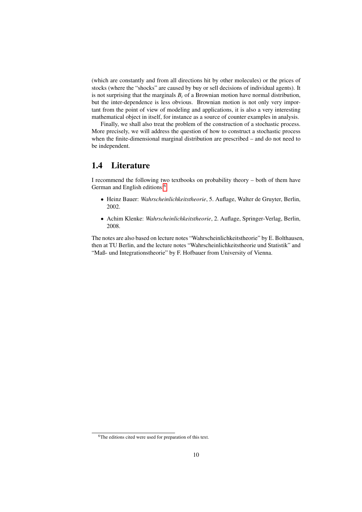(which are constantly and from all directions hit by other molecules) or the prices of stocks (where the "shocks" are caused by buy or sell decisions of individual agents). It is not surprising that the marginals  $B_t$  of a Brownian motion have normal distribution, but the inter-dependence is less obvious. Brownian motion is not only very important from the point of view of modeling and applications, it is also a very interesting mathematical object in itself, for instance as a source of counter examples in analysis.

Finally, we shall also treat the problem of the construction of a stochastic process. More precisely, we will address the question of how to construct a stochastic process when the finite-dimensional marginal distribution are prescribed – and do not need to be independent.

#### <span id="page-9-0"></span>1.4 Literature

I recommend the following two textbooks on probability theory – both of them have German and English editions:<sup>[6](#page-9-1)</sup>

- Heinz Bauer: *Wahrscheinlichkeitstheorie*, 5. Auflage, Walter de Gruyter, Berlin, 2002.
- Achim Klenke: *Wahrscheinlichkeitstheorie*, 2. Auflage, Springer-Verlag, Berlin, 2008.

The notes are also based on lecture notes "Wahrscheinlichkeitstheorie" by E. Bolthausen, then at TU Berlin, and the lecture notes "Wahrscheinlichkeitstheorie und Statistik" and "Maß- und Integrationstheorie" by F. Hofbauer from University of Vienna.

<span id="page-9-1"></span><sup>&</sup>lt;sup>6</sup>The editions cited were used for preparation of this text.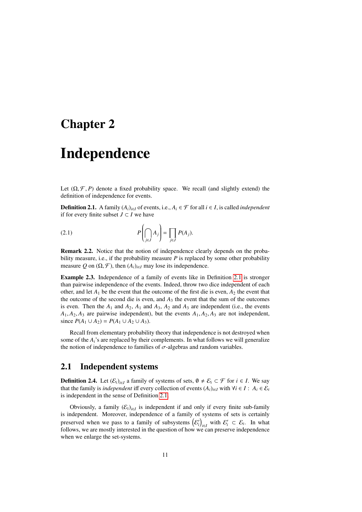## <span id="page-10-0"></span>Chapter 2

# Independence

Let  $(\Omega, \mathcal{F}, P)$  denote a fixed probability space. We recall (and slightly extend) the definition of independence for events.

<span id="page-10-2"></span>**Definition 2.1.** A family  $(A_i)_{i \in I}$  of events, i.e.,  $A_i$  ∈  $\mathcal F$  for all  $i$  ∈ *I*, is called *independent* if for every finite subset *J* ⊂ *I* we have

<span id="page-10-5"></span>(2.1) 
$$
P\left(\bigcap_{j\in J} A_j\right) = \prod_{j\in J} P(A_j).
$$

Remark 2.2. Notice that the notion of independence clearly depends on the probability measure, i.e., if the probability measure *P* is replaced by some other probability measure Q on  $(\Omega, \mathcal{F})$ , then  $(A_i)_{i \in I}$  may lose its independence.

Example 2.3. Independence of a family of events like in Definition [2.1](#page-10-2) is stronger than pairwise independence of the events. Indeed, throw two dice independent of each other, and let  $A_1$  be the event that the outcome of the first die is even,  $A_2$  the event that the outcome of the second die is even, and  $A_3$  the event that the sum of the outcomes is even. Then the  $A_1$  and  $A_2$ ,  $A_1$  and  $A_3$ ,  $A_2$  and  $A_3$  are independent (i.e., the events  $A_1, A_2, A_3$  are pairwise independent), but the events  $A_1, A_2, A_3$  are not independent, since  $P(A_1 \cup A_2) = P(A_1 \cup A_2 \cup A_3)$ .

Recall from elementary probability theory that independence is not destroyed when some of the  $A_i$ 's are replaced by their complements. In what follows we will generalize the notion of independence to families of  $\sigma$ -algebras and random variables.

#### <span id="page-10-1"></span>2.1 Independent systems

<span id="page-10-4"></span>**Definition 2.4.** Let  $(\mathcal{E}_i)_{i \in I}$  a family of systems of sets,  $\emptyset \neq \mathcal{E}_i \subset \mathcal{F}$  for  $i \in I$ . We say that the family is *independent* iff every collection of events  $(A_i)_{i \in I}$  with  $\forall i \in I : A_i \in \mathcal{E}_i$ is independent in the sense of Definition [2.1.](#page-10-2)

<span id="page-10-3"></span>Obviously, a family  $(\mathcal{E}_i)_{i \in I}$  is independent if and only if every finite sub-family is independent. Moreover, independence of a family of systems of sets is certainly preserved when we pass to a family of subsystems  $(\mathcal{E}'_i)_{i \in I}$  with  $\mathcal{E}'_i \subset \mathcal{E}_i$ . In what follows, we are mostly interested in the question of how we can preserve independence when we enlarge the set-systems.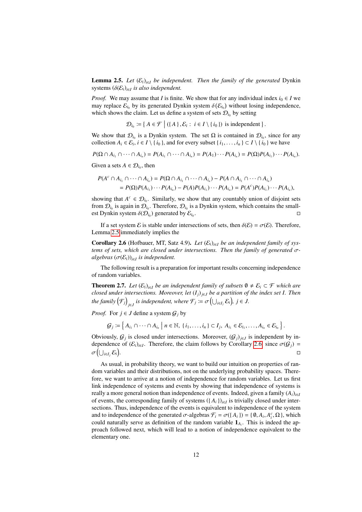**Lemma 2.5.** *Let*  $(\mathcal{E}_i)_{i \in I}$  *be independent. Then the family of the generated* Dynkin systems (δ(E*i*)*i*∈*<sup>I</sup> is also independent.*

*Proof.* We may assume that *I* is finite. We show that for any individual index  $i_0 \in I$  we may replace  $\mathcal{E}_{i_0}$  by its generated Dynkin system  $\delta(\mathcal{E}_{i_0})$  without losing independence,<br>which shows the claim I et us define a system of sets  $\mathcal{D}_i$ , by setting which shows the claim. Let us define a system of sets  $\mathcal{D}_{i_0}$  by setting

 $\mathcal{D}_{i_0}$  := {  $A \in \mathcal{F} \mid ((A), \mathcal{E}_i : i \in I \setminus \{i_0\})$  is independent }.

We show that  $\mathcal{D}_{i_0}$  is a Dynkin system. The set  $\Omega$  is contained in  $\mathcal{D}_{i_0}$ , since for any collection  $A_i \in \mathcal{E}_i$ ,  $i \in I \setminus \{i_0\}$ , and for every subset  $\{i_1, \ldots, i_n\} \subset I \setminus \{i_0\}$  we have

$$
P(\Omega \cap A_{i_1} \cap \cdots \cap A_{i_n}) = P(A_{i_1} \cap \cdots \cap A_{i_n}) = P(A_1) \cdots P(A_{i_n}) = P(\Omega)P(A_{i_1}) \cdots P(A_{i_n}).
$$

Given a sets  $A \in \mathcal{D}_{i_0}$ , then

$$
P(A^c \cap A_{i_1} \cap \cdots \cap A_{i_n}) = P(\Omega \cap A_{i_1} \cap \cdots \cap A_{i_n}) - P(A \cap A_{i_1} \cap \cdots \cap A_{i_n})
$$
  
=  $P(\Omega)P(A_{i_1}) \cdots P(A_{i_n}) - P(A)P(A_{i_1}) \cdots P(A_{i_n}) = P(A^c)P(A_{i_1}) \cdots P(A_{i_n}),$ 

showing that  $A^c \in \mathcal{D}_{i_0}$ . Similarly, we show that any countably union of disjoint sets from  $\mathcal{D}_{i_0}$  is again in  $\mathcal{D}_{i_0}$ . Therefore,  $\mathcal{D}_{i_0}$  is a Dynkin system, which contains the smallest Dynkin system  $\delta(\mathcal{D}_{i_0})$  generated by  $\mathcal{E}_{i_0}$ .

If a set system E is stable under intersections of sets, then  $\delta(\mathcal{E}) = \sigma(\mathcal{E})$ . Therefore, Lemma [2.5](#page-10-3) immediately implies the

<span id="page-11-0"></span>Corollary 2.6 (Hofbauer, MT, Satz 4.9). *Let*  $(\mathcal{E}_i)_{i \in I}$  *be an independent family of systems of sets, which are closed under intersections. Then the family of generated* σ*algebras* (σ(E*i*))*i*∈*<sup>I</sup> is independent.*

The following result is a preparation for important results concerning independence of random variables.

<span id="page-11-1"></span>**Theorem 2.7.** Let  $(\mathcal{E}_i)_{i \in I}$  be an independent family of subsets  $\emptyset \neq \mathcal{E}_i \subset \mathcal{F}$  which are *closed under intersections. Moreover, let* (*Ij*)*j*∈*<sup>J</sup> be a partition of the index set I. Then the family*  $(\mathcal{F}_j)_{j \in J}$  *is independent, where*  $\mathcal{F}_j \coloneqq \sigma\left(\bigcup_{i \in I_j} \mathcal{E}_i\right)$ *,*  $j \in J$ *.* 

*Proof.* For  $j \in J$  define a system  $G_j$  by

$$
\mathcal{G}_j \coloneqq \left\{ A_{i_1} \cap \cdots \cap A_{i_n} \mid n \in \mathbb{N}, \ \{i_1, \ldots, i_n\} \subset I_j, \ A_{i_1} \in \mathcal{E}_{i_1}, \ldots, A_{i_n} \in \mathcal{E}_{i_n} \right\}.
$$

Obviously,  $G_j$  is closed under intersections. Moreover,  $(G_j)_{j \in J}$  is independent by independence of  $(\mathcal{E}_i)_{i \in I}$ . Therefore, the claim follows by Corollary [2.6,](#page-11-0) since  $\sigma(\mathcal{G}_j) =$  $\sigma\left(\bigcup_{i\in I_j} \mathcal{E}_i\right)$ .

As usual, in probability theory, we want to build our intuition on properties of random variables and their distributions, not on the underlying probability spaces. Therefore, we want to arrive at a notion of independence for random variables. Let us first link independence of systems and events by showing that independence of systems is really a more general notion than independence of events. Indeed, given a family  $(A_i)_{i \in I}$ of events, the corresponding family of systems  $({A_i})_{i \in I}$  is trivially closed under intersections. Thus, independence of the events is equivalent to independence of the system and to independence of the generated  $\sigma$ -algebras  $\mathcal{F}_i = \sigma(\lbrace A_i \rbrace) = \lbrace \emptyset, A_i, A_i^c, \Omega \rbrace$ , which could naturally serve as definition of the random variable 1. This is indeed the ancould naturally serve as definition of the random variable  $\mathbf{1}_{A_i}$ . This is indeed the approach followed next, which will lead to a notion of independence equivalent to the elementary one.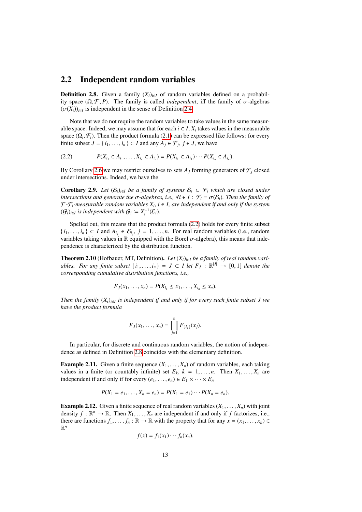#### <span id="page-12-0"></span>2.2 Independent random variables

<span id="page-12-2"></span>**Definition 2.8.** Given a family  $(X_i)_{i \in I}$  of random variables defined on a probability space  $(Ω, F, P)$ . The family is called *independent*, iff the family of  $σ$ -algebras  $(\sigma(X_i))_{i \in I}$  is independent in the sense of Definition [2.4.](#page-10-4)

Note that we do not require the random variables to take values in the same measurable space. Indeed, we may assume that for each  $i \in I$ ,  $X_i$  takes values in the measurable space  $(\Omega_i, \mathcal{F}_i)$ . Then the product formula [\(2.1\)](#page-10-5) can be expressed like follows: for every finite subset  $I = \{i, \ldots, i\} \subset I$  and any  $A_i \in \mathcal{F}$ .  $i \in I$  we have finite subset  $J = \{i_1, \dots, i_n\} \subset I$  and any  $A_j \in \mathcal{F}_j$ ,  $j \in J$ , we have

<span id="page-12-1"></span>
$$
(2.2) \t P(X_{i_1} \in A_{i_1}, \ldots, X_{i_n} \in A_{i_n}) = P(X_{i_1} \in A_{i_1}) \cdots P(X_{i_n} \in A_{i_n}).
$$

By Corollary [2.6](#page-11-0) we may restrict ourselves to sets  $A_j$  forming generators of  $\mathcal{F}_j$  closed under intersections. Indeed, we have the

Corollary 2.9. *Let*  $(E_i)_{i \in I}$  *be a family of systems*  $E_i$  ⊂  $\mathcal{F}_i$  *which are closed under intersections and generate the*  $\sigma$ -algebras, *i.e.*,  $\forall i \in I : \mathcal{F}_i = \sigma(\mathcal{E}_i)$ *. Then the family of*  $\mathcal{F}\text{-}\mathcal{F}_i\text{-}measurable random variables  $X_i$ ,  $i \in I$ , are independent if and only if the system$  $(G_i)_{i \in I}$  is independent with  $G_i \coloneqq X_i^{-1}(\mathcal{E}_i)$ .

Spelled out, this means that the product formula [\(2.2\)](#page-12-1) holds for every finite subset  $\{i_1, \ldots, i_n\} \subset I$  and  $A_{i_j} \in \mathcal{E}_{i_j}$ ,  $j = 1, \ldots, n$ . For real random variables (i.e., random variables taking values in  $\mathbb{R}$  equipped with the Borel  $\pi$ -algebra), this means that indevariables taking values in  $\mathbb R$  equipped with the Borel  $\sigma$ -algebra), this means that independence is characterized by the distribution function.

**Theorem 2.10** (Hofbauer, MT, Definition). Let  $(X_i)_{i \in I}$  be a family of real random vari*ables. For any finite subset*  $\{i_1, \ldots, i_n\} = J \subset I$  *let*  $F_J : \mathbb{R}^{|J|} \to [0, 1]$  *denote the* corresponding cumulative distribution functions *i.e. corresponding cumulative distribution functions, i.e.,*

$$
F_J(x_1,\ldots,x_n)=P(X_{i_1}\leq x_1,\ldots,X_{i_n}\leq x_n).
$$

*Then the family* (*Xi*)*i*∈*<sup>I</sup> is independent if and only if for every such finite subset J we have the product formula*

$$
F_J(x_1,...,x_n) = \prod_{j=1}^n F_{\{i_j\}}(x_j).
$$

In particular, for discrete and continuous random variables, the notion of independence as defined in Definition [2.8](#page-12-2) coincides with the elementary definition.

**Example 2.11.** Given a finite sequence  $(X_1, \ldots, X_n)$  of random variables, each taking values in a finite (or countably infinite) set  $E_k$ ,  $k = 1, \ldots, n$ . Then  $X_1, \ldots, X_n$  are independent if and only if for every  $(e_1, \ldots, e_n) \in E_1 \times \cdots \times E_n$ 

$$
P(X_1 = e_1, ..., X_n = e_n) = P(X_1 = e_1) \cdots P(X_n = e_n).
$$

**Example 2.12.** Given a finite sequence of real random variables  $(X_1, \ldots, X_n)$  with joint density  $f : \mathbb{R}^n \to \mathbb{R}$ . Then  $X_1, \ldots, X_n$  are independent if and only if *f* factorizes, i.e., there are functions  $f_1 \times \mathbb{R} \to \mathbb{R}$  with the property that for any  $x - (x_1, x_2) \in \mathbb{R}$ there are functions  $f_1, \ldots, f_n : \mathbb{R} \to \mathbb{R}$  with the property that for any  $x = (x_1, \ldots, x_n) \in$ R *n*

$$
f(x) = f_1(x_1) \cdots f_n(x_n).
$$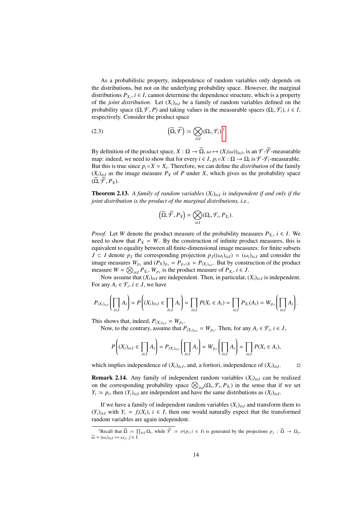As a probabilistic property, independence of random variables only depends on the distributions, but not on the underlying probability space. However, the marginal distributions  $P_{X_i}$ ,  $i \in I$ , cannot determine the dependence structure, which is a property of the *joint distribution*. Let  $(X_i)_{i \in I}$  be a family of random variables defined on the probability space  $(\Omega, \mathcal{F}, P)$  and taking values in the measurable spaces  $(\Omega_i, \mathcal{F}_i)$ ,  $i \in I$ , respectively Consider the product space respectively. Consider the product space

(2.3) 
$$
\left(\widetilde{\Omega}, \widetilde{\mathcal{F}}\right) \coloneqq \bigotimes_{i \in I} (\Omega_i, \mathcal{F}_i).^1
$$

By definition of the product space,  $X : \Omega \to \Omega$ ,  $\omega \mapsto (X_i(\omega))_{i \in I}$ , is an  $\mathcal{F} \text{-}\mathcal{F}$ -measurable man: indeed, we need to show that for every  $i \in I$ ,  $n \circ X : \Omega \to \Omega$ ; is  $\mathcal{F} \text{-}\mathcal{F}$ -measurable map: indeed, we need to show that for every  $i \in I$ ,  $p_i \circ X : \Omega \to \Omega_i$  is  $\mathcal{F} \text{-} \mathcal{F}_i$ -measurable. But this is true since  $p_i \circ X = X_i$ . Therefore, we can define the *distribution* of the family  $(X_i)_{i \in I}$  as the image measure  $P_X$  of P under X, which gives us the probability space  $(\Omega, \mathcal{F}, P_X)$ .

<span id="page-13-2"></span>Theorem 2.13. *A family of random variables* (*Xi*)*i*∈*<sup>I</sup> is independent if and only if the joint distribution is the product of the marginal distributions, i.e.,*

$$
\left(\widetilde{\Omega}, \widetilde{\mathcal{F}}, P_X\right) = \bigotimes_{i \in I} (\Omega_i, \mathcal{F}_i, P_{X_i}).
$$

*Proof.* Let *W* denote the product measure of the probability measures  $P_{X_i}$ ,  $i \in I$ . We need to show that  $P_X = W$ . By the construction of infinite product measures, this is equivalent to equality between all finite-dimensional image measures: for finite subsets *J* ⊂ *I* denote  $p_j$  the corresponding projection  $p_j((\omega_i)_{i \in I}) = (\omega_i)_{i \in J}$  and consider the image measures  $W_{p_j}$  and  $(P_X)_{p_j} = P_{p_j \circ X} = P_{(X_i)_{i \in J}}$ . But by construction of the product measure  $W = \bigotimes_{i \in I} P_{X_i}, W_{p_j}$  is the product measure of  $P_{X_i}, i \in J$ .

Now assume that  $(X_i)_{i \in I}$  are independent. Then, in particular,  $(X_i)_{i \in J}$  is independent. For any  $A_i \in \mathcal{F}_i$ ,  $i \in J$ , we have

$$
P_{(X_i)_{i\in J}}\left(\prod_{i\in J}A_i\right)=P\left((X_i)_{i\in J}\in\prod_{i\in J}A_i\right)=\prod_{i\in J}P(X_i\in A_i)=\prod_{i\in J}P_{X_i}(A_i)=W_{p_J}\left(\prod_{i\in J}A_i\right).
$$

This shows that, indeed,  $P_{(X_i)_{i \in J}} = W_{p_J}$ .

Now, to the contrary, assume that  $P_{(X_i)_{i \in J}} = W_{p_J}$ . Then, for any  $A_i \in \mathcal{F}_i$ ,  $i \in J$ ,

$$
P\left((X_i)_{i\in J}\in\prod_{i\in J}A_i\right)=P_{(X_i)_{i\in J}}\left(\prod_{i\in J}A_i\right)=W_{p_J}\left(\prod_{i\in J}A_i\right)=\prod_{i\in J}P(X_i\in A_i),
$$

which implies independence of  $(X_i)_{i \in J}$ , and, a fortiori, independence of  $(X_i)_{i \in J}$ .

.

**Remark 2.14.** Any family of independent random variables  $(X_i)_{i \in I}$  can be realized on the corresponding probability space  $\bigotimes_{i \in I} (\Omega_i, \mathcal{F}_i, P_{X_i})$  in the sense that if we set  $Y_i := p_i$ , then  $(Y_i)_{i \in I}$  are independent and have the same distributions as  $(Y_i)_{i \in I}$ .  $Y_i := p_i$ , then  $(Y_i)_{i \in I}$  are independent and have the same distributions as  $(X_i)_{i \in I}$ .

If we have a family of independent random variables  $(X_i)_{i \in I}$  and transform them to  $(Y_i)_{i \in I}$  with  $Y_i = f_i(X_i)$ ,  $i \in I$ , then one would naturally expect that the transformed random variables are again independent.

<span id="page-13-1"></span><span id="page-13-0"></span><sup>&</sup>lt;sup>1</sup>Recall that  $\tilde{\Omega} := \prod_{i \in I} \Omega_i$ , while  $\tilde{\mathcal{F}} := \sigma(p_i; i \in I)$  is generated by the projections  $p_j : \tilde{\Omega} \to \Omega_j$ ,  $\widetilde{\omega} = (\omega_i)_{i \in I} \mapsto \omega_j, j \in I.$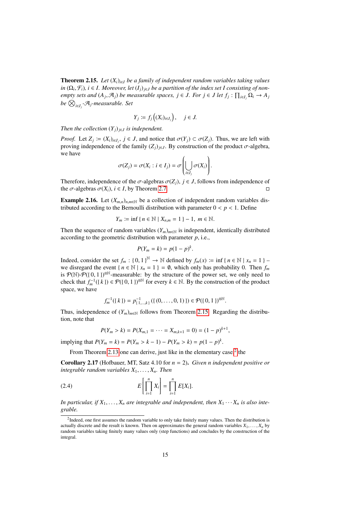**Theorem 2.15.** Let  $(X_i)_{i \in I}$  be a family of independent random variables taking values *in* ( $\Omega_i$ ,  $\mathcal{F}_i$ )*, i* ∈ *I.* Moreover, let  $(I_j)_{j \in J}$  *be a partition of the index set I consisting of non-*<br>empty sets and  $(A_i, \mathcal{A}_j)$  be measurable spaces,  $i \in I$  For  $i \in I$  let  $f_i : \Pi_i \circ \Omega_i \to A$ *empty sets and*  $(A_j, \mathcal{A}_j)$  *be measurable spaces,*  $j \in J$ *. For*  $j \in J$  *let*  $f_j : \prod_{i \in I_j} \Omega_i \to A_j$ *be* N *i*∈*I<sup>j</sup> -*A*j-measurable. Set*

$$
Y_j := f_j\left((X_i)_{i\in I_j}\right), \quad j \in J.
$$

*Then the collection*  $(Y_j)_{j \in J}$  *is independent.* 

*Proof.* Let  $Z_j := (X_i)_{i \in I_j}$ ,  $j \in J$ , and notice that  $\sigma(Y_j) \subset \sigma(Z_j)$ . Thus, we are left with proving independence of the family  $(Z_i)_{i \in I}$ . By construction of the product  $\sigma$ -algebra proving independence of the family  $(Z_j)_{j \in J}$ . By construction of the product  $\sigma$ -algebra, we have

$$
\sigma(Z_j) = \sigma(X_i : i \in I_j) = \sigma\left(\bigcup_{i \in I_j} \sigma(X_i)\right).
$$

Therefore, independence of the  $\sigma$ -algebras  $\sigma(Z_j)$ ,  $j \in J$ , follows from independence of the  $\sigma$ -algebras  $\sigma(X_i)$ ,  $i \in I$ , by Theorem 2.7. the  $\sigma$ -algebras  $\sigma(X_i)$ ,  $i \in I$ , by Theorem [2.7.](#page-11-1)

**Example 2.16.** Let  $(X_{m,n})_{n,m\in\mathbb{N}}$  be a collection of independent random variables distributed according to the Bernoulli distribution with parameter  $0 < p < 1$ . Define

$$
Y_m := \inf \{ n \in \mathbb{N} \mid X_{n,m} = 1 \} - 1, \ m \in \mathbb{N}.
$$

Then the sequence of random variables  $(Y_m)_{m \in \mathbb{N}}$  is independent, identically distributed according to the geometric distribution with parameter *p*, i.e.,

$$
P(Y_m = k) = p(1-p)^k.
$$

Indeed, consider the set  $f_m : \{0, 1\}^{\mathbb{N}} \to \mathbb{N}$  defined by  $f_m(x) := \inf \{ n \in \mathbb{N} \mid x_n = 1 \} -$ <br>we disregard the event  $f_n \in \mathbb{N} \mid x - 1 = 0$  which only has probability 0. Then  $f$ we disregard the event { $n \in \mathbb{N} \mid x_n = 1$ } = 0, which only has probability 0. Then  $f_m$ is  $\mathcal{P}(\mathbb{N})\cdot\mathcal{P}(\{0,1\})^{\otimes\mathbb{N}}$ -measurable: by the structure of the power set, we only need to check that  $f^{-1}(l, k) \in \mathcal{P}(l, 0, 1)$ . check that  $f_m^{-1}(\{k\}) \in \mathcal{P}(\{0, 1\})^{\otimes \mathbb{N}}$  for every  $k \in \mathbb{N}$ . By the construction of the product space, we have space, we have

$$
f_m^{-1}(\lbrace k \rbrace) = p_{\lbrace 1,\ldots,k \rbrace}^{-1}(\lbrace (0,\ldots,0,1) \rbrace) \in \mathcal{P}(\lbrace 0,1 \rbrace)^{\otimes \mathbb{N}}.
$$

Thus, independence of  $(Y_m)_{m \in \mathbb{N}}$  follows from Theorem [2.15.](#page-13-1) Regarding the distribution, note that

<span id="page-14-1"></span>
$$
P(Y_m > k) = P(X_{m,1} = \cdots = X_{m,k+1} = 0) = (1 - p)^{k+1},
$$

implying that  $P(Y_m = k) = P(Y_m > k - 1) - P(Y_m > k) = p(1 - p)^k$ .

From Theorem [2.13](#page-13-2) one can derive, just like in the elementary case, $2$  the

<span id="page-14-2"></span>Corollary 2.17 (Hofbauer, MT, Satz 4.10 for *n* = 2). *Given n independent positive or integrable random variables X*<sup>1</sup>, . . . , *<sup>X</sup>n. Then*

$$
(2.4) \t E\left[\prod_{i=1}^n X_i\right] = \prod_{i=1}^n E[X_i].
$$

*In particular, if*  $X_1, \ldots, X_n$  *are integrable and independent, then*  $X_1 \cdots X_n$  *is also integrable.*

<span id="page-14-0"></span> $2$ Indeed, one first assumes the random variable to only take finitely many values. Then the distribution is actually discrete and the result is known. Then on approximates the general random variables  $X_1, \ldots, X_n$  by random variables taking finitely many values only (step functions) and concludes by the construction of the integral.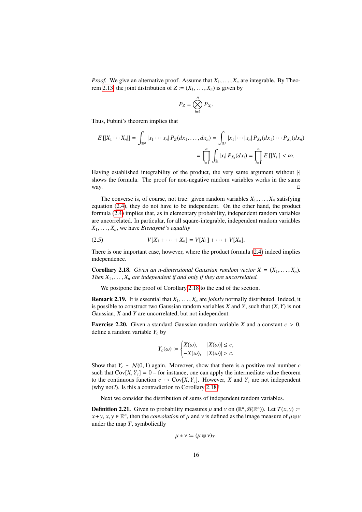*Proof.* We give an alternative proof. Assume that  $X_1, \ldots, X_n$  are integrable. By Theo-rem [2.13,](#page-13-2) the joint distribution of  $Z := (X_1, \ldots, X_n)$  is given by

$$
P_Z=\bigotimes_{i=1}^n P_{X_i}.
$$

Thus, Fubini's theorem implies that

$$
E [|X_1 \cdots X_n] = \int_{\mathbb{R}^n} |x_1 \cdots x_n| P_Z(dx_1, \ldots, dx_n) = \int_{\mathbb{R}^n} |x_1| \cdots |x_n| P_{X_1}(dx_1) \cdots P_{X_n}(dx_n)
$$
  
= 
$$
\prod_{i=1}^n \int_{\mathbb{R}} |x_i| P_{X_i}(dx_i) = \prod_{i=1}^n E [|X_i|] < \infty.
$$

Having established integrability of the product, the very same argument without |·| shows the formula. The proof for non-negative random variables works in the same way.  $\Box$ 

The converse is, of course, not true: given random variables  $X_1, \ldots, X_n$  satisfying equation [\(2.4\)](#page-14-1), they do not have to be independent. On the other hand, the product formula [\(2.4\)](#page-14-1) implies that, as in elementary probability, independent random variables are uncorrelated. In particular, for all square-integrable, independent random variables  $X_1, \ldots, X_n$ , we have *Bienaymé's equality* 

(2.5) 
$$
V[X_1 + \cdots + X_n] = V[X_1] + \cdots + V[X_n].
$$

There is one important case, however, where the product formula [\(2.4\)](#page-14-1) indeed implies independence.

<span id="page-15-0"></span>**Corollary 2.18.** *Given an n-dimensional Gaussian random vector*  $X = (X_1, \ldots, X_n)$ *. Then*  $X_1, \ldots, X_n$  *are independent if and only if they are uncorrelated.* 

We postpone the proof of Corollary [2.18](#page-15-0) to the end of the section.

**Remark 2.19.** It is essential that  $X_1, \ldots, X_n$  are *jointly* normally distributed. Indeed, it is possible to construct two Gaussian random variables *<sup>X</sup>* and *<sup>Y</sup>*, such that (*X*, *<sup>Y</sup>*) is not Gaussian, *X* and *Y* are uncorrelated, but not independent.

**Exercise 2.20.** Given a standard Gaussian random variable *X* and a constant  $c > 0$ , define a random variable *Y<sup>c</sup>* by

$$
Y_c(\omega) := \begin{cases} X(\omega), & |X(\omega)| \le c, \\ -X(\omega), & |X(\omega)| > c. \end{cases}
$$

Show that  $Y_c \sim N(0, 1)$  again. Moreover, show that there is a positive real number *c* such that  $Cov[X, Y_c] = 0$  – for instance, one can apply the intermediate value theorem to the continuous function  $c \mapsto \text{Cov}[X, Y_c]$ . However, *X* and  $Y_c$  are not independent (why not?). Is this a contradiction to Corollary [2.18?](#page-15-0)

Next we consider the distribution of sums of independent random variables.

**Definition 2.21.** Given to probability measures  $\mu$  and  $\nu$  on  $(\mathbb{R}^n, \mathcal{B}(\mathbb{R}^n))$ . Let  $T(x, y) :=$ <br> $x + y, x \in \mathbb{R}^n$  then the *convolution* of  $\mu$  and  $\nu$  is defined as the image measure of  $\mu \otimes \nu$ *x*+*y*, *x*, *y* ∈  $\mathbb{R}^n$ , then the *convolution* of  $\mu$  and  $\nu$  is defined as the image measure of  $\mu \otimes \nu$ under the map *T*, symbolically

$$
\mu * \nu \coloneqq (\mu \otimes \nu)_T.
$$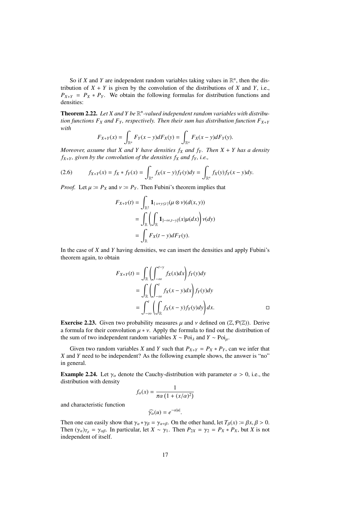So if *X* and *Y* are independent random variables taking values in  $\mathbb{R}^n$ , then the distribution of  $X + Y$  is given by the convolution of the distributions of  $X$  and  $Y$ , i.e.,  $P_{X+Y} = P_X * P_Y$ . We obtain the following formulas for distribution functions and densities:

Theorem 2.22. Let X and Y be  $\mathbb{R}^n$ -valued independent random variables with distribu*tion functions F<sub>X</sub></sub> and F<sub>Y</sub>, respectively. Then their sum has distribution function*  $F_{X+Y}$ *with*

$$
F_{X+Y}(x) = \int_{\mathbb{R}^n} F_Y(x-y) dF_X(y) = \int_{\mathbb{R}^n} F_X(x-y) dF_Y(y).
$$

*Moreover, assume that X and Y have densities*  $f_X$  *and*  $f_Y$ *. Then*  $X + Y$  *has a density*  $f_{X+Y}$ *, given by the convolution of the densities*  $f_X$  *and*  $f_Y$ *, i.e.,* 

(2.6) 
$$
f_{X+Y}(x) = f_X * f_Y(x) = \int_{\mathbb{R}^n} f_X(x-y) f_Y(y) dy = \int_{\mathbb{R}^n} f_X(y) f_Y(x-y) dy.
$$

*Proof.* Let  $\mu := P_X$  and  $\nu := P_Y$ . Then Fubini's theorem implies that

$$
F_{X+Y}(t) = \int_{\mathbb{R}^2} \mathbf{1}_{\{x+y \le t\}} (\mu \otimes \nu)(d(x, y))
$$
  
= 
$$
\int_{\mathbb{R}} \left( \int_{\mathbb{R}} \mathbf{1}_{]-\infty, t-y}(x) \mu(dx) \right) \nu(dy)
$$
  
= 
$$
\int_{\mathbb{R}} F_X(t-y) dF_Y(y).
$$

In the case of *X* and *Y* having densities, we can insert the densities and apply Fubini's theorem again, to obtain

$$
F_{X+Y}(t) = \int_{\mathbb{R}} \left( \int_{-\infty}^{t-y} f_X(x) dx \right) f_Y(y) dy
$$
  
= 
$$
\int_{\mathbb{R}} \left( \int_{-\infty}^{t} f_X(x-y) dx \right) f_Y(y) dy
$$
  
= 
$$
\int_{-\infty}^{t} \left( \int_{\mathbb{R}} f_X(x-y) f_Y(y) dy \right) dx.
$$

**Exercise 2.23.** Given two probability measures  $\mu$  and  $\nu$  defined on  $(\mathbb{Z}, \mathcal{P}(\mathbb{Z}))$ . Derive a formula for their convolution  $\mu * \nu$ . Apply the formula to find out the distribution of the sum of two independent random variables  $X \sim \text{Poi}_{\lambda}$  and  $Y \sim \text{Poi}_{\mu}$ .

Given two random variables *X* and *Y* such that  $P_{X+Y} = P_X * P_Y$ , can we infer that *X* and *Y* need to be independent? As the following example shows, the answer is "no" in general.

<span id="page-16-0"></span>**Example 2.24.** Let  $\gamma_\alpha$  denote the Cauchy-distribution with parameter  $\alpha > 0$ , i.e., the distribution with density

$$
f_{\alpha}(x) = \frac{1}{\pi \alpha \left(1 + (x/\alpha)^2\right)}
$$

and characteristic function

 $\widehat{\gamma_{\alpha}}(u) = e^{-\alpha|u|}$ Then one can easily show that  $\gamma_{\alpha} * \gamma_{\beta} = \gamma_{\alpha+\beta}$ . On the other hand, let  $T_{\beta}(x) := \beta x, \beta > 0$ .<br>Then  $(\alpha)_{\alpha} = \gamma_{\alpha}$ . In particular, let  $X \propto \gamma_{\alpha}$ . Then  $P_{\alpha} = \gamma_{\alpha} = P_{\alpha} * P_{\alpha}$ , but *X* is not Then  $(\gamma_{\alpha})_{T_{\beta}} = \gamma_{\alpha\beta}$ . In particular, let  $X \sim \gamma_1$ . Then  $P_{2X} = \gamma_2 = P_X * P_X$ , but *X* is not independent of itself.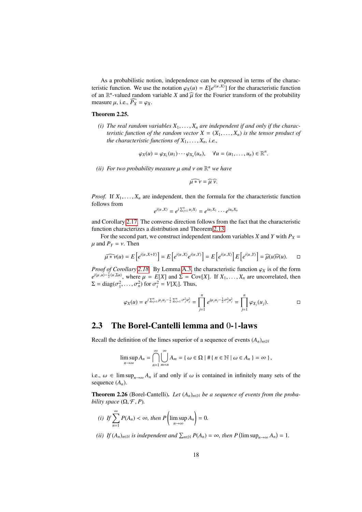As a probabilistic notion, independence can be expressed in terms of the characteristic function. We use the notation  $\varphi_X(u) = E[e^{i\langle u, X \rangle}]$  for the characteristic function<br>of an  $\mathbb{R}^n$ -valued random variable *X* and  $\widehat{u}$  for the Fourier transform of the probability of an  $\mathbb{R}^n$ -valued random variable *X* and  $\widehat{\mu}$  for the Fourier transform of the probability measure *u* i.e.  $\widehat{P}_{\mu} = \mu \mu$ measure  $\mu$ , i.e.,  $\widehat{P_X} = \varphi_X$ .

#### Theorem 2.25.

(*i*) The real random variables  $X_1, \ldots, X_n$  are independent if and only if the charac*teristic function of the random vector*  $X = (X_1, \ldots, X_n)$  *is the tensor product of the characteristic functions of*  $X_1, \ldots, X_n$ *, i.e.,* 

$$
\varphi_X(u)=\varphi_{X_1}(u_1)\cdots\varphi_{X_n}(u_n),\quad \forall u=(u_1,\ldots,u_n)\in\mathbb{R}^n.
$$

*(ii) For two probability measure* µ *and* ν *on* <sup>R</sup> *<sup>n</sup> we have*

$$
\widehat{\mu * \nu} = \widehat{\mu \nu}.
$$

*Proof.* If  $X_1, \ldots, X_n$  are independent, then the formula for the characteristic function follows from

$$
e^{i\langle u,X\rangle}=e^{i\sum_{j=1}^n u_jX_j}=e^{iu_1X_1}\cdots e^{iu_nX_n}
$$

and Corollary [2.17.](#page-14-2) The converse direction follows from the fact that the characteristic function characterizes a distribution and Theorem [2.13.](#page-13-2)

For the second part, we construct independent random variables *X* and *Y* with  $P_X =$  $\mu$  and  $P_Y = v$ . Then

$$
\widehat{\mu \ast \nu}(u) = E\left[e^{i\langle u, X+Y\rangle}\right] = E\left[e^{i\langle u, X\rangle}e^{i\langle u, Y\rangle}\right] = E\left[e^{i\langle u, X\rangle}\right]E\left[e^{i\langle u, Y\rangle}\right] = \widehat{\mu}(u)\widehat{\nu}(u). \square
$$

*Proof of Corollary [2.18.](#page-15-0)* By Lemma [A.3,](#page-69-1) the characteristic function  $\varphi_X$  is of the form  $e^{i(\mu,\mu)-\frac{1}{2}\langle u, \Sigma u\rangle}$ , where  $\mu = E[X]$  and  $\Sigma = \text{Cov}[X]$ . If  $X_1, \dots, X_n$  are uncorrelated, then  $\Sigma = \text{diag}(\sigma^2 - \sigma^2)$  for  $\sigma^2$  $\Sigma = \text{diag}(\sigma_1^2, \dots, \sigma_n^2)$  for  $\sigma_i^2 = V[X_i]$ . Thus,

$$
\varphi_X(u) = e^{i\sum_{j=1}^n \mu_j u_j - \frac{1}{2}\sum_{j=1}^n \sigma_j^2 u_j^2} = \prod_{j=1}^n e^{i\mu_j u_j - \frac{1}{2}\sigma_j^2 u_j^2} = \prod_{j=1}^n \varphi_{X_j}(u_j).
$$

### <span id="page-17-0"></span>2.3 The Borel-Cantelli lemma and 0-1-laws

Recall the definition of the limes superior of a sequence of events  $(A_n)_{n\in\mathbb{N}}$ 

$$
\limsup_{n\to\infty} A_n = \bigcap_{n=1}^{\infty} \bigcup_{m=n}^{\infty} A_m = \{ \omega \in \Omega \mid \#\{n \in \mathbb{N} \mid \omega \in A_n \} = \infty \},
$$

i.e.,  $\omega \in \limsup_{n \to \infty} A_n$  if and only if  $\omega$  is contained in infinitely many sets of the sequence  $(A_n)$ .

<span id="page-17-1"></span>**Theorem 2.26** (Borel-Cantelli). Let  $(A_n)_{n \in \mathbb{N}}$  be a sequence of events from the proba*bility space*  $(\Omega, \mathcal{F}, P)$ *.* 

(i) If 
$$
\sum_{n=1}^{\infty} P(A_n) < \infty
$$
, then  $P\left(\limsup_{n \to \infty} A_n\right) = 0$ .

*(ii) If*  $(A_n)_{n \in \mathbb{N}}$  *is independent and*  $\sum_{n \in \mathbb{N}} P(A_n) = \infty$ *, then*  $P(\limsup_{n \to \infty} A_n) = 1$ *.*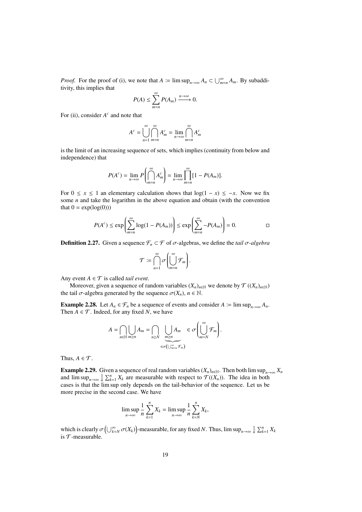*Proof.* For the proof of (i), we note that  $A := \limsup_{n \to \infty} A_n \subset \bigcup_{m=n}^{\infty} A_m$ . By subadditivity, this implies that

$$
P(A) \le \sum_{m=n}^{\infty} P(A_m) \xrightarrow{n \to \infty} 0.
$$

For (ii), consider  $A^c$  and note that

$$
A^{c} = \bigcup_{n=1}^{\infty} \bigcap_{m=n}^{\infty} A_{m}^{c} = \lim_{n \to \infty} \bigcap_{m=n}^{\infty} A_{m}^{c}
$$

is the limit of an increasing sequence of sets, which implies (continuity from below and independence) that

$$
P(A^{c}) = \lim_{n \to \infty} P\left(\bigcap_{m=n}^{\infty} A_{m}^{c}\right) = \lim_{n \to \infty} \prod_{m=n}^{\infty} [1 - P(A_{m})].
$$

For  $0 \le x \le 1$  an elementary calculation shows that  $log(1 - x) \le -x$ . Now we fix some *n* and take the logarithm in the above equation and obtain (with the convention that  $0 = \exp(\log(0))$ 

$$
P(A^{c}) \le \exp\left(\sum_{m=n}^{\infty} \log(1 - P(A_{m}))\right) \le \exp\left(\sum_{m=n}^{\infty} -P(A_{m})\right) = 0.
$$

**Definition 2.27.** Given a sequence  $\mathcal{F}_n$  ⊂  $\mathcal{F}$  of  $\sigma$ -algebras, we define the *tail*  $\sigma$ -*algebra* 

$$
\mathcal{T} := \bigcap_{n=1}^{\infty} \sigma \left( \bigcup_{m=n}^{\infty} \mathcal{F}_m \right).
$$

Any event  $A \in \mathcal{T}$  is called *tail event*.

Moreover, given a sequence of random variables  $(X_n)_{n \in \mathbb{N}}$  we denote by  $\mathcal{T}((X_n)_{n \in \mathbb{N}})$ the tail  $\sigma$ -algebra generated by the sequence  $\sigma(X_n)$ ,  $n \in \mathbb{N}$ .

**Example 2.28.** Let  $A_n \in \mathcal{F}_n$  be a sequence of events and consider  $A \coloneq \limsup_{n \to \infty} A_n$ . Then  $A \in \mathcal{T}$ . Indeed, for any fixed *N*, we have

$$
A = \bigcap_{n \in \mathbb{N}} \bigcup_{m \ge n} A_m = \bigcap_{n \ge N} \bigcup_{\substack{m \ge n \\ \in \sigma(\bigcup_{m=1}^{\infty} \mathcal{F}_m)}} A_m \in \sigma \bigg( \bigcup_{m=N}^{\infty} \mathcal{F}_m \bigg).
$$

Thus,  $A \in \mathcal{T}$ .

<span id="page-18-0"></span>**Example 2.29.** Given a sequence of real random variables  $(X_n)_{n\in\mathbb{N}}$ . Then both lim sup<sub> $n\to\infty$ </sub>  $X_n$ and  $\limsup_{n\to\infty} \frac{1}{n} \sum_{k=1}^{n} X_k$  are measurable with respect to  $\mathcal{T}((X_n))$ . The idea in both cases is that the lim sup only depends on the tail-behavior of the sequence. Let us be more precise in the second case. We have

$$
\limsup_{n\to\infty}\frac{1}{n}\sum_{k=1}^n X_k=\limsup_{n\to\infty}\frac{1}{n}\sum_{k=N}^n X_k,
$$

<span id="page-18-1"></span>which is clearly  $\sigma\left(\bigcup_{k=N}^{\infty} \sigma(X_k)\right)$ -measurable, for any fixed *N*. Thus,  $\limsup_{n\to\infty} \frac{1}{n} \sum_{k=1}^{n} X_k$ is  $\mathcal T$ -measurable.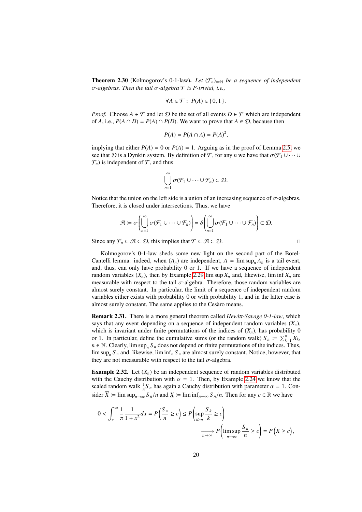**Theorem 2.30** (Kolmogorov's 0-1-law). Let  $(\mathcal{F}_n)_{n \in \mathbb{N}}$  be a sequence of independent σ*-algebras. Then the tail* σ*-algebra* <sup>T</sup> *is P-trivial, i.e.,*

$$
\forall A \in \mathcal{T}: P(A) \in \{0, 1\}.
$$

*Proof.* Choose  $A \in \mathcal{T}$  and let  $\mathcal{D}$  be the set of all events  $D \in \mathcal{F}$  which are independent of *A*, i.e.,  $P(A \cap D) = P(A) \cap P(D)$ . We want to prove that  $A \in \mathcal{D}$ , because then

$$
P(A) = P(A \cap A) = P(A)^2,
$$

implying that either  $P(A) = 0$  or  $P(A) = 1$ . Arguing as in the proof of Lemma [2.5,](#page-10-3) we see that D is a Dynkin system. By definition of T, for any *n* we have that  $\sigma(\mathcal{F}_1 \cup \cdots \cup$  $\mathcal{F}_n$ ) is independent of  $\mathcal{T}$ , and thus

$$
\bigcup_{n=1}^{\infty} \sigma(\mathcal{F}_1 \cup \cdots \cup \mathcal{F}_n) \subset \mathcal{D}.
$$

Notice that the union on the left side is a union of an increasing sequence of  $\sigma$ -algebras. Therefore, it is closed under intersections. Thus, we have

$$
\mathcal{A} \coloneqq \sigma \left( \bigcup_{n=1}^{\infty} \sigma(\mathcal{F}_1 \cup \cdots \cup \mathcal{F}_n) \right) = \delta \left( \bigcup_{n=1}^{\infty} \sigma(\mathcal{F}_1 \cup \cdots \cup \mathcal{F}_n) \right) \subset \mathcal{D}.
$$

Since any  $\mathcal{F}_n \subset \mathcal{A} \subset \mathcal{D}$ , this implies that  $\mathcal{T} \subset \mathcal{A} \subset \mathcal{D}$ .  $\Box$ 

Kolmogorov's 0-1-law sheds some new light on the second part of the Borel-Cantelli lemma: indeed, when  $(A_n)$  are independent,  $A = \limsup_n A_n$  is a tail event, and, thus, can only have probability 0 or 1. If we have a sequence of independent random variables  $(X_n)$ , then by Example [2.29](#page-18-0) lim sup  $X_n$  and, likewise, lim inf  $X_n$  are measurable with respect to the tail  $\sigma$ -algebra. Therefore, those random variables are almost surely constant. In particular, the limit of a sequence of independent random variables either exists with probability 0 or with probability 1, and in the latter case is almost surely constant. The same applies to the Cesàro means.

Remark 2.31. There is a more general theorem called *Hewitt-Savage 0-1-law*, which says that any event depending on a sequence of independent random variables  $(X_n)$ , which is invariant under finite permutations of the indices of  $(X_n)$ , has probability 0 or 1. In particular, define the cumulative sums (or the random walk)  $S_n := \sum_{k=1}^n X_k$ ,  $n \in \mathbb{N}$ . Clearly,  $\limsup_n S_n$  does not depend on finite permutations of the indices. Thus,  $\limsup_n S_n$  and, likewise,  $\liminf_n S_n$  are almost surely constant. Notice, however, that they are not measurable with respect to the tail  $\sigma$ -algebra.

<span id="page-19-0"></span>**Example 2.32.** Let  $(X_n)$  be an independent sequence of random variables distributed with the Cauchy distribution with  $\alpha = 1$ . Then, by Example [2.24](#page-16-0) we know that the scaled random walk  $\frac{1}{n}S_n$  has again a Cauchy distribution with parameter  $\alpha = 1$ . Con-<br> $\frac{1}{n}S_n$  is the sum of  $S_n$  (*n* and *Y* is limited).  $S_n$  (*n* Than for sum of  $\mathbb{R}$  and have sider  $\overline{X}$  i= lim sup<sub> $n\rightarrow\infty$ </sub>  $S_n/n$  and  $\underline{X}$  i= lim inf $\overline{X}$ <sub>n→∞</sub>  $S_n/n$ . Then for any  $c \in \mathbb{R}$  we have

$$
0 < \int_{c}^{\infty} \frac{1}{\pi} \frac{1}{1 + x^2} dx = P\left(\frac{S_n}{n} \ge c\right) \le P\left(\sup_{k \ge n} \frac{S_k}{k} \ge c\right)
$$
\n
$$
\xrightarrow[n \to \infty]{n \to \infty} P\left(\limsup_{n \to \infty} \frac{S_n}{n} \ge c\right) = P\left(\overline{X} \ge c\right),
$$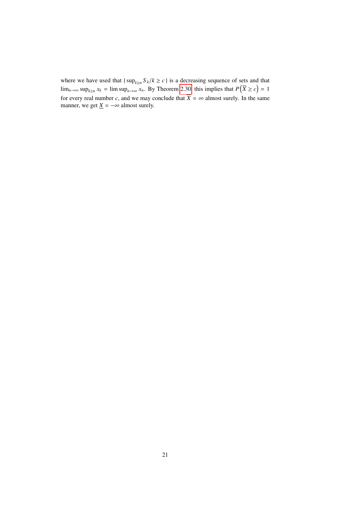where we have used that  $\{ \sup_{k \ge n} S_k / k \ge c \}$  is a decreasing sequence of sets and that  $\lim_{k \to \infty} \sup_{k \ge 0} \lim_{k \to \infty} \lim_{k \to \infty} \lim_{k \to \infty} \lim_{k \to \infty} \lim_{k \to \infty} \lim_{k \to \infty} \lim_{k \to \infty} \lim_{k \to \infty} \lim_{k \to \infty} \lim_{k \to \infty} \lim_{k \to \infty} \lim_{$ lim<sub>*n*→∞</sub> sup<sub>*k*≥*n*</sub>  $x_k$  = lim sup<sub>*n*→∞</sub>  $x_n$ . By Theorem [2.30,](#page-18-1) this implies that  $P(\overline{X} \ge c) = 1$ for every real number *c*, and we may conclude that  $\overline{X} = \infty$  almost surely. In the same manner, we get  $\underline{X} = -\infty$  almost surely.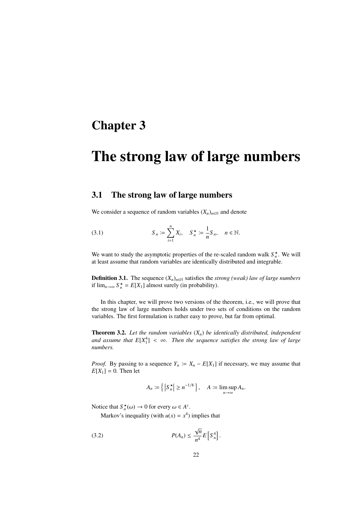## <span id="page-21-0"></span>Chapter 3

# The strong law of large numbers

#### <span id="page-21-1"></span>3.1 The strong law of large numbers

We consider a sequence of random variables  $(X_n)_{n\in\mathbb{N}}$  and denote

<span id="page-21-4"></span>(3.1) 
$$
S_n := \sum_{i=1}^n X_i, \quad S_n^* := \frac{1}{n} S_n, \quad n \in \mathbb{N}.
$$

We want to study the asymptotic properties of the re-scaled random walk  $S_n^*$ . We will at least assume that random variables are identically distributed and integrable.

**Definition 3.1.** The sequence  $(X_n)_{n \in \mathbb{N}}$  satisfies the *strong (weak) law of large numbers* if  $\lim_{n\to\infty} S_n^* = E[X_1]$  almost surely (in probability).

In this chapter, we will prove two versions of the theorem, i.e., we will prove that the strong law of large numbers holds under two sets of conditions on the random variables. The first formulation is rather easy to prove, but far from optimal.

<span id="page-21-3"></span>Theorem 3.2. *Let the random variables* (*Xn*) *be identically distributed, independent* and assume that  $E[X_1^4] < \infty$ . Then the sequence satisfies the strong law of large numbers *numbers.*

*Proof.* By passing to a sequence  $Y_n := X_n - E[X_1]$  if necessary, we may assume that  $E[X_1] = 0$ . Then let

<span id="page-21-2"></span>
$$
A_n \coloneqq \left\{ \left| S_n^{\star} \right| \ge n^{-1/8} \right\}, \quad A \coloneqq \limsup_{n \to \infty} A_n.
$$

Notice that  $S_n^*(\omega) \to 0$  for every  $\omega \in A^c$ .

Markov's inequality (with  $u(x) = x^4$ ) implies that

$$
P(A_n) \le \frac{\sqrt{n}}{n^4} E\left[S_n^4\right].
$$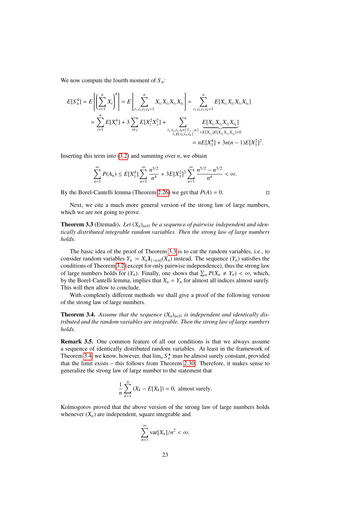We now compute the fourth moment of  $S_n$ :

$$
E[S_n^4] = E\left[\left(\sum_{i=1}^n X_i\right)^4\right] = E\left[\sum_{i_1,i_2,i_3,i_4=1}^n X_{i_1}X_{i_2}X_{i_3}X_{i_4}\right] = \sum_{i_1,i_2,i_3,i_4=1}^n E[X_{i_1}X_{i_2}X_{i_3}X_{i_4}]
$$
  

$$
= \sum_{i=1}^n E[X_i^4] + 3 \sum_{i \neq j} E[X_i^2 X_j^2] + \sum_{\substack{i_1,i_2,i_3,i_4 \in \{1,\ldots,n\} \\ i_1 \notin \{i_2,i_3,i_4\}}} \underbrace{E[X_{i_1}X_{i_2}X_{i_3}X_{i_4}]}_{=E[X_{i_1}1E[X_{i_2}X_{i_3}X_{i_4}]=0}
$$
  

$$
= nE[X_1^4] + 3n(n-1)E[X_1^2]^2
$$

Inserting this term into  $(3.2)$  and summing over *n*, we obtain

$$
\sum_{n=1}^{\infty} P(A_n) \leq E[X_1^4] \sum_{n=1}^{\infty} \frac{n^{3/2}}{n^4} + 3E[X_1^2]^2 \sum_{n=1}^{\infty} \frac{n^{5/2} - n^{3/2}}{n^4} < \infty.
$$

By the Borel-Cantelli lemma (Theorem [2.26\)](#page-17-1) we get that  $P(A) = 0$ .

Next, we cite a much more general version of the strong law of large numbers, which we are not going to prove.

<span id="page-22-0"></span>**Theorem 3.3** (Etemadi). Let  $(X_n)_{n\in\mathbb{N}}$  be a sequence of pairwise independent and iden*tically distributed integrable random variables. Then the strong law of large numbers holds.*

The basic idea of the proof of Theorem [3.3](#page-22-0) is to cut the random variables, i.e., to consider random variables  $Y_n := X_n \mathbf{1}_{[-n,n]}(X_n)$  instead. The sequence  $(Y_n)$  satisfies the conditions of Theorem [3.2](#page-21-3) (except for only pairwise independence), thus the strong law of large numbers holds for  $(Y_n)$ . Finally, one shows that  $\sum_n P(X_n \neq Y_n) < \infty$ , which, by the Borel-Cantelli lemma implies that  $Y - Y$  for almost all indices almost surely by the Borel-Cantelli lemma, implies that  $X_n = Y_n$  for almost all indices almost surely. This will then allow to conclude.

With completely different methods we shall give a proof of the following version of the strong law of large numbers.

<span id="page-22-1"></span>**Theorem 3.4.** Assume that the sequence  $(X_n)_{n\in\mathbb{N}}$  is independent and identically dis*tributed and the random variables are integrable. Then the strong law of large numbers holds.*

Remark 3.5. One common feature of all our conditions is that we always assume a sequence of identically distributed random variables. At least in the framework of Theorem [3.4,](#page-22-1) we know, however, that  $\lim_{n} S_n^*$  mus be almost surely constant, provided that the limit exists – this follows from Theorem [2.30.](#page-18-1) Therefore, it makes sense to generalize the strong law of large number to the statement that

$$
\frac{1}{n}\sum_{k=1}^{n} (X_k - E[X_k]) = 0
$$
, almost surely.

Kolmogorov proved that the above version of the strong law of large numbers holds whenever  $(X_n)$  are independent, square integrable and

$$
\sum_{n=1}^{\infty} \text{var}[X_n]/n^2 < \infty.
$$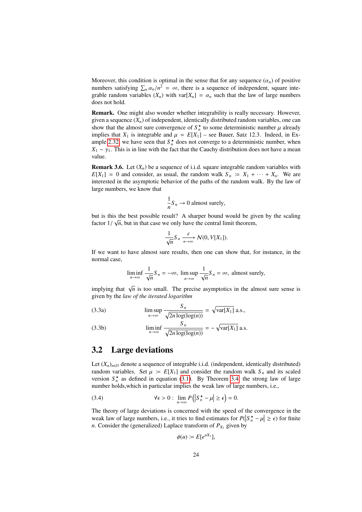Moreover, this condition is optimal in the sense that for any sequence  $(\alpha_n)$  of positive numbers satisfying  $\sum_{n} \alpha_n/n^2 = \infty$ , there is a sequence of independent, square inte-<br>grable random variables  $(Y)$  with var $[Y] = \alpha$ , such that the law of large numbers grable random variables  $(X_n)$  with var $[X_n] = \alpha_n$  such that the law of large numbers does not hold.

Remark. One might also wonder whether integrability is really necessary. However, given a sequence  $(X_n)$  of independent, identically distributed random variables, one can show that the almost sure convergence of  $S_n^*$  to some deterministic number  $\mu$  already implies that  $Y_t$ , is integrable and  $\mu = E[Y_t]$  are Bauer. Satz 12.3. Indeed, in Eximplies that  $X_1$  is integrable and  $\mu = E[X_1]$  – see Bauer, Satz 12.3. Indeed, in Ex-ample [2.32,](#page-19-0) we have seen that  $S_n^*$  does not converge to a deterministic number, when  $X_1 \sim \gamma_1$ . This is in line with the fact that the Cauchy distribution does not have a mean value.

**Remark 3.6.** Let  $(X_n)$  be a sequence of i.i.d. square integrable random variables with  $E[X_1] = 0$  and consider, as usual, the random walk  $S_n := X_1 + \cdots + X_n$ . We are interested in the asymptotic behavior of the paths of the random walk. By the law of large numbers, we know that

$$
\frac{1}{n}S_n \to 0
$$
 almost surely,

but is this the best possible result? A sharper bound would be given by the scaling factor  $1/\sqrt{n}$ , but in that case we only have the central limit theorem,

$$
\frac{1}{\sqrt{n}}S_n \xrightarrow[n \to \infty]{d} \mathcal{N}(0, V[X_1]).
$$

If we want to have almost sure results, then one can show that, for instance, in the normal case,

$$
\liminf_{n \to \infty} \frac{1}{\sqrt{n}} S_n = -\infty, \limsup_{n \to \infty} \frac{1}{\sqrt{n}} S_n = \infty, \text{ almost surely,}
$$

implying that  $\sqrt{n}$  is too small. The precise asymptotics in the almost sure sense is given by the *law of the iterated logarithm*

(3.3a) 
$$
\limsup_{n \to \infty} \frac{S_n}{\sqrt{2n \log(\log(n))}} = \sqrt{\text{var}[X_1]} \text{ a.s.},
$$

(3.3b) 
$$
\liminf_{n \to \infty} \frac{S_n}{\sqrt{2n \log(\log(n))}} = -\sqrt{\text{var}[X_1]} \text{ a.s.}
$$

#### <span id="page-23-0"></span>3.2 Large deviations

Let  $(X_n)_{n \in \mathbb{N}}$  denote a sequence of integrable i.i.d. (independent, identically distributed) random variables. Set  $\mu := E[X_1]$  and consider the random walk  $S_n$  and its scaled version  $S_n^*$  as defined in equation [\(3.1\)](#page-21-4). By Theorem [3.4,](#page-22-1) the strong law of large number holds,which in particular implies the weak law of large numbers, i.e.,

(3.4) 
$$
\forall \epsilon > 0: \lim_{n \to \infty} P(|S_n^{\star} - \mu| \ge \epsilon) = 0.
$$

The theory of large deviations is concerned with the speed of the convergence in the weak law of large numbers, i.e., it tries to find estimates for  $P(|S_n^* - \mu| \ge \epsilon)$  for finite *n*. Consider the (generalized) I antace transform of  $P_{\nu}$  given by *n*. Consider the (generalized) Laplace transform of  $P_{X_1}$  given by

$$
\phi(u) \coloneqq E[e^{uX_1}],
$$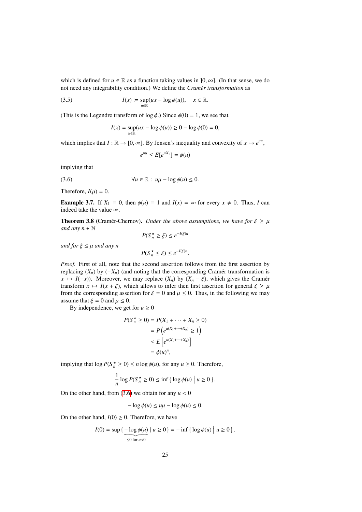which is defined for  $u \in \mathbb{R}$  as a function taking values in  $[0, \infty]$ . (In that sense, we do not need any integrability condition.) We define the *Cramér transformation* as

(3.5) 
$$
I(x) := \sup_{u \in \mathbb{R}} (ux - \log \phi(u)), \quad x \in \mathbb{R}.
$$

(This is the Legendre transform of  $\log \phi$ .) Since  $\phi(0) = 1$ , we see that

$$
I(x) = \sup_{u \in \mathbb{R}} (ux - \log \phi(u)) \ge 0 - \log \phi(0) = 0,
$$

which implies that  $I : \mathbb{R} \to [0, \infty]$ . By Jensen's inequality and convexity of  $x \mapsto e^{ux}$ ,

<span id="page-24-0"></span> $e^{u\mu} \le E[e^{uX_1}] = \phi(u)$ 

implying that

$$
(3.6) \t\t\t\t\t\Psi u \in \mathbb{R} : u\mu - \log \phi(u) \leq 0.
$$

Therefore,  $I(\mu) = 0$ .

**Example 3.7.** If  $X_1 \equiv 0$ , then  $\phi(u) \equiv 1$  and  $I(x) = \infty$  for every  $x \neq 0$ . Thus, *I* can indeed take the value ∞.

<span id="page-24-1"></span>**Theorem 3.8** (Cramér-Chernov). *Under the above assumptions, we have for*  $\xi \ge \mu$ *and any*  $n \in \mathbb{N}$ 

$$
P(S_n^{\star} \ge \xi) \le e^{-I(\xi)n}
$$

*and for*  $\xi \leq \mu$  *and any n* 

$$
P(S_n^{\star} \leq \xi) \leq e^{-I(\xi)n}.
$$

*Proof.* First of all, note that the second assertion follows from the first assertion by replacing  $(X_n)$  by  $(-X_n)$  (and noting that the corresponding Cramer transformation is  $x \mapsto I(-x)$ ). Moreover, we may replace  $(X_n)$  by  $(X_n - \xi)$ , which gives the Cramér transform  $x \mapsto I(x + \xi)$ , which allows to infer then first assertion for general  $\xi \ge \mu$ from the corresponding assertion for  $\xi = 0$  and  $\mu \le 0$ . Thus, in the following we may assume that  $\xi = 0$  and  $\mu \le 0$ .

By independence, we get for  $u \ge 0$ 

$$
P(S_n^* \ge 0) = P(X_1 + \dots + X_n \ge 0)
$$
  
=  $P(e^{u(X_1 + \dots + X_n)} \ge 1)$   
 $\le E[e^{u(X_1 + \dots + X_n)}]$   
=  $\phi(u)^n$ ,

,

implying that  $\log P(S_n^* \geq 0) \leq n \log \phi(u)$ , for any  $u \geq 0$ . Therefore,

$$
\frac{1}{n}\log P(S_n^{\star} \ge 0) \le \inf \{ \log \phi(u) \mid u \ge 0 \}.
$$

On the other hand, from  $(3.6)$  we obtain for any  $u < 0$ 

$$
-\log \phi(u) \le u\mu - \log \phi(u) \le 0.
$$

On the other hand,  $I(0) \ge 0$ . Therefore, we have

$$
I(0) = \sup \{ \underbrace{-\log \phi(u)}_{\leq 0 \text{ for } u < 0} \mid u \geq 0 \} = -\inf \{ \log \phi(u) \mid u \geq 0 \}.
$$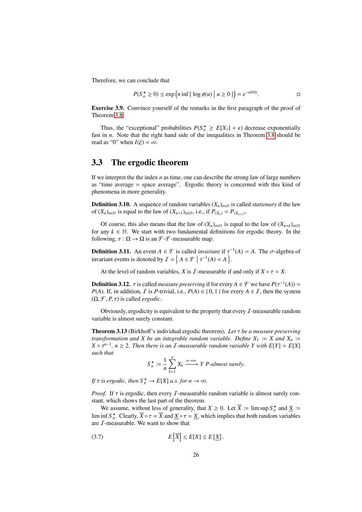Therefore, we can conclude that

$$
P(S_n^{\star} \ge 0) \le \exp\left(n\inf\left\{\log \phi(u)\middle|\ u \ge 0\right\}\right) = e^{-nI(0)}.
$$

Exercise 3.9. Convince yourself of the remarks in the first paragraph of the proof of Theorem [3.8.](#page-24-1)

Thus, the "exceptional" probabilities  $P(S_n^* \ge E[X_1] + \epsilon)$  decrease exponentially in *n*. Note that the right hand side of the inequalities in Theorem 3.8 should be fast in *n*. Note that the right hand side of the inequalities in Theorem [3.8](#page-24-1) should be read as "0" when  $I(\xi) = \infty$ .

#### <span id="page-25-0"></span>3.3 The ergodic theorem

If we interpret the the index *n* as time, one can describe the strong law of large numbers as "time average = space average". Ergodic theory is concerned with this kind of phenomena in more generality.

**Definition 3.10.** A sequence of random variables  $(X_n)_{n\in\mathbb{N}}$  is called *stationary* if the law of  $(X_n)_{n \in \mathbb{N}}$  is equal to the law of  $(X_{n+1})_{n \in \mathbb{N}}$ , i.e., if  $P_{(X_n)} = P_{(X_{n+1})}$ .

Of course, this also means that the law of  $(X_n)_{n \in \mathbb{N}}$  is equal to the law of  $(X_{n+k})_{n \in \mathbb{N}}$ for any  $k \in \mathbb{N}$ . We start with two fundamental definitions for ergodic theory. In the following,  $\tau : \Omega \to \Omega$  is an F-F-measurable map.

**Definition 3.11.** An event *A* ∈ *F* is called *invariant* if  $τ^{-1}(A) = A$ . The *σ*-algebra of *invariant* avents is denoted by  $T = \frac{1}{2} A \subseteq \mathbb{Z} \mid τ^{-1}(A) = A$ . invariant events is denoted by  $\mathcal{I} = \left\{ A \in \mathcal{F} \mid \tau^{-1}(A) = A \right\}$ .

At the level of random variables, *X* is *I*-measurable if and only if  $X \circ \tau = X$ .

**Definition 3.12.**  $\tau$  is called *measure preserving* if for every  $A \in \mathcal{F}$  we have  $P(\tau^{-1}(A)) = P(A)$ . If in addition *T* is *P*-trivial i.e.  $P(A) \in \{0, 1\}$  for every  $A \in \mathcal{T}$  then the system *P*(*A*). If, in addition, *I* is *P*-trivial, i.e.,  $P(A) \in \{0, 1\}$  for every  $A \in I$ , then the system  $(\Omega, \mathcal{F}, P, \tau)$  is called *ergodic*.

Obviously, ergodicity is equivalent to the property that every  $\mathcal I$ -measurable random variable is almost surely constant.

<span id="page-25-2"></span>Theorem 3.13 (Birkhoff's individual ergodic theorem). *Let* τ *be a measure preserving transformation and X be an integrable random variable. Define*  $X_1 := X$  *and*  $X_n :=$  $X \circ \tau^{n-1}$ ,  $n \geq 2$ . Then there is an *I*-measurable random variable *Y* with  $E[Y] = E[X]$ <br>such that *such that*

$$
S_n^{\star} := \frac{1}{n} \sum_{k=1}^n X_k \xrightarrow{n \to \infty} Y \text{ } P\text{-}almost surely.
$$

*If*  $\tau$  *is ergodic, then*  $S_n^* \to E[X]$  *a.s. for*  $n \to \infty$ *.* 

*Proof.* If  $\tau$  is ergodic, then every  $\mathcal{I}$ -measurable random variable is almost surely constant, which shows the last part of the theorem.

We assume, without less of generality, that  $X \ge 0$ . Let  $\overline{X} := \limsup S_n^*$  and  $\underline{X} :=$ lim inf  $S_n^{\star}$ . Clearly,  $\overline{X} \circ \tau = \overline{X}$  and  $\underline{X} \circ \tau = \underline{X}$ , which implies that both random variables are *L*-measurable. We want to show that are  $I$ -measurable. We want to show that

<span id="page-25-1"></span>
$$
(3.7)\qquad E\left[\overline{X}\right] \le E[X] \le E\left[\underline{X}\right].
$$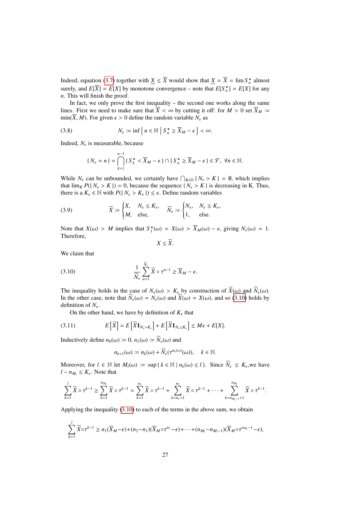Indeed, equation [\(3.7\)](#page-25-1) together with  $\underline{X} \le \overline{X}$  would show that  $\underline{X} = \overline{X} = \lim S_n^*$  almost surely, and  $E[X] = E[X]$  by monotone convergence – note that  $E[S_n^*] = E[X]$  for any *n*. This will finish the proof.

In fact, we only prove the first inequality – the second one works along the same lines. First we need to make sure that  $\overline{X} < \infty$  by cutting it off: for  $M > 0$  set  $\overline{X}_M$  i=  $\min(\overline{X}, M)$ . For given  $\epsilon > 0$  define the random variable  $N_{\epsilon}$  as

(3.8) 
$$
N_{\epsilon} := \inf \left\{ n \in \mathbb{N} \mid S_n^{\star} \ge \overline{X}_M - \epsilon \right\} < \infty.
$$

Indeed,  $N_{\epsilon}$  is measurable, because

$$
\{N_{\epsilon}=n\}=\bigcap_{k=1}^{n-1}\{S_{k}^{\star}<\overline{X}_{M}-\epsilon\}\cap\{S_{n}^{\star}\geq\overline{X}_{M}-\epsilon\}\in\mathcal{F},\ \forall n\in\mathbb{N}.
$$

While  $N_{\epsilon}$  can be unbounded, we certainly have  $\bigcap_{K \in \mathbb{N}} \{N_{\epsilon} > K\} = \emptyset$ , which implies that  $\lim_{K \to \infty} P(J|N) \leq K \cup \{0\} = 0$  because the sequence  $\{N_{\epsilon} > K\}$  is decreasing in K. Thus that  $\lim_{K} P(\{N_{\epsilon} > K\}) = 0$ , because the sequence  $\{N_{\epsilon} > K\}$  is decreasing in K. Thus, there is a  $K_{\epsilon} \in \mathbb{N}$  with  $P(\{N_{\epsilon} > K_{\epsilon}\}) \leq \epsilon$ . Define random variables

(3.9) 
$$
\widetilde{X} := \begin{cases} X, & N_{\epsilon} \le K_{\epsilon}, \\ M, & \text{else,} \end{cases} \quad \widetilde{N}_{\epsilon} := \begin{cases} N_{\epsilon}, & N_{\epsilon} \le K_{\epsilon}, \\ 1, & \text{else.} \end{cases}
$$

Note that  $X(\omega) > M$  implies that  $S_1^*(\omega) = X(\omega) > \overline{X}_M(\omega) - \epsilon$ , giving  $N_{\epsilon}(\omega) = 1$ .<br>Therefore Therefore,

<span id="page-26-0"></span>
$$
X \leq X.
$$

We claim that

(3.10) 
$$
\frac{1}{\widetilde{N}_{\epsilon}}\sum_{n=1}^{N_{\epsilon}}\widetilde{X}\circ\tau^{n-1}\geq\overline{X}_{M}-\epsilon.
$$

The inequality holds in the case of  $N_{\epsilon}(\omega) > K_{\epsilon}$  by construction of  $\widetilde{X}(\omega)$  and  $\widetilde{N}_{\epsilon}(\omega)$ . In the other case, note that  $\widetilde{N}_{\epsilon}(\omega) = N_{\epsilon}(\omega)$  and  $\widetilde{X}(\omega) = X(\omega)$ , and so [\(3.10\)](#page-26-0) holds by definition of  $N_{\epsilon}$ .

On the other hand, we have by definition of  $K_{\epsilon}$  that

$$
(3.11) \t E\left[\widetilde{X}\right] = E\left[\widetilde{X}\mathbf{1}_{N_{\epsilon}>K_{\epsilon}}\right] + E\left[\widetilde{X}\mathbf{1}_{N_{\epsilon}\leq K_{\epsilon}}\right] \leq M\epsilon + E[X].
$$

Inductively define  $n_0(\omega) := 0$ ,  $n_1(\omega) := \widetilde{N}_{\epsilon}(\omega)$  and

<span id="page-26-1"></span>
$$
n_{k+1}(\omega) \coloneqq n_k(\omega) + \widetilde{N}_{\epsilon}(\tau^{n_k(\omega)}(\omega)), \quad k \in \mathbb{N}.
$$

Moreover, for  $l \in \mathbb{N}$  let  $M_l(\omega) := \sup \{ k \in \mathbb{N} \mid n_k(\omega) \le l \}$ . Since  $\widetilde{N}_{\epsilon} \le K_{\epsilon}$ , we have *l* −  $n_{M_l}$  ≤  $K_{\epsilon}$ . Note that

$$
\sum_{k=1}^l \widetilde{X} \circ \tau^{k-1} \ge \sum_{k=1}^{n_{M_l}} \widetilde{X} \circ \tau^{k-1} = \sum_{k=1}^{n_1} \widetilde{X} \circ \tau^{k-1} + \sum_{k=n_1+1}^{n_2} \widetilde{X} \circ \tau^{k-1} + \cdots + \sum_{k=n_{M_l-1}+1}^{n_{M_l}} \widetilde{X} \circ \tau^{k-1}.
$$

Applying the inequality [\(3.10\)](#page-26-0) to each of the terms in the above sum, we obtain

$$
\sum_{k=1}^l \widetilde{X}\circ \tau^{k-1} \geq n_1(\overline{X}_M-\epsilon)+(n_2-n_1)(\overline{X}_M\circ \tau^{n_1}-\epsilon)+\cdots+(n_{M_l}-n_{M_l-1})(\overline{X}_M\circ \tau^{n_{M_l}-1}-\epsilon),
$$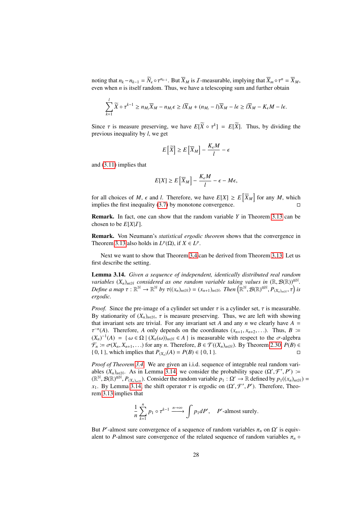noting that  $n_k - n_{k-1} = \overline{N}_{\epsilon} \circ \tau^{n_{k-1}}$ . But  $\overline{X}_M$  is *I*-measurable, implying that  $\overline{X}_m \circ \tau^n = \overline{X}_M$ , even when *n* is itself random. Thus we have a telescoping sum and further obtain even when  $n$  is itself random. Thus, we have a telescoping sum and further obtain

$$
\sum_{k=1}^l \widetilde{X} \circ \tau^{k-1} \ge n_{M_l} \overline{X}_M - n_{M_l} \epsilon \ge l \overline{X}_M + (n_{M_l} - l) \overline{X}_M - l \epsilon \ge l \overline{X}_M - K_{\epsilon} M - l \epsilon.
$$

Since  $\tau$  is measure preserving, we have  $E[\overline{X} \circ \tau^k] = E[\overline{X}]$ . Thus, by dividing the previous inequality by *l* we get previous inequality by *l*, we get

$$
E\left[\widetilde{X}\right] \geq E\left[\overline{X}_M\right] - \frac{K_{\epsilon}M}{l} - \epsilon
$$

and [\(3.11\)](#page-26-1) implies that

$$
E[X] \ge E\left[\overline{X}_M\right] - \frac{K_{\epsilon}M}{l} - \epsilon - M\epsilon,
$$

for all choices of *M*,  $\epsilon$  and *l*. Therefore, we have  $E[X] \ge E[\overline{X}_M]$  for any *M*, which implies the first inequality (3.7) by monotone convergence implies the first inequality [\(3.7\)](#page-25-1) by monotone convergence.

Remark. In fact, one can show that the random variable *Y* in Theorem [3.13](#page-25-2) can be chosen to be  $E[X|I]$ .

Remark. Von Neumann's *statistical ergodic theorem* shows that the convergence in Theorem [3.13](#page-25-2) also holds in  $L^p(\Omega)$ , if  $X \in L^p$ .

Next we want to show that Theorem [3.4](#page-22-1) can be derived from Theorem [3.13.](#page-25-2) Let us first describe the setting.

<span id="page-27-0"></span>Lemma 3.14. *Given a sequence of independent, identically distributed real random variables*  $(X_n)_{n\in\mathbb{N}}$  *considered as one random variable taking values in*  $(\mathbb{R}, \mathcal{B}(\mathbb{R}))^{\otimes \mathbb{N}}$ . *Define a map*  $\tau : \mathbb{R}^{\mathbb{N}} \to \mathbb{R}^{\mathbb{N}}$  *by*  $\tau((x_n)_{n \in \mathbb{N}}) = (x_{n+1})_{n \in \mathbb{N}}$ . Then  $(\mathbb{R}^{\mathbb{N}}, \mathcal{B}(\mathbb{R})^{\otimes \mathbb{N}}, P_{(X_n)_{n \in \mathbb{N}}}, \tau)$  *is exacdic ergodic.*

*Proof.* Since the pre-image of a cylinder set under  $\tau$  is a cylinder set,  $\tau$  is measurable. By stationarity of  $(X_n)_{n \in \mathbb{N}}$ ,  $\tau$  is measure preserving. Thus, we are left with showing that invariant sets are trivial. For any invariant set *A* and any *n* we clearly have  $A =$  $(X_n)^{-1}(A) = \{ \omega \in \Omega \mid (X_n(\omega))_{n \in \mathbb{N}} \in A \}$  is measurable with respect to the  $\sigma$ -algebra  $\mathcal{F} := \sigma(Y \mid Y)$  for any *n*. Therefore,  $R \in \mathcal{T}((Y) \mid Y)$  By Theorem 2.30,  $P(R) \in \mathcal{F}$ <sup>*n*</sup>(*A*). Therefore, *A* only depends on the coordinates  $(x_{n+1}, x_{n+2}, ...)$ . Thus, *B* i=<br> $X^{-1}(A) = \int \omega \in \Omega |(X(\omega))| \leq \epsilon A$  is measurable with respect to the  $\sigma$ -algebra  $\mathcal{F}_n \coloneqq \sigma(X_n, X_{n+1}, \ldots)$  for any *n*. Therefore,  $B \in \mathcal{T}((X_n)_{n \in \mathbb{N}})$ . By Theorem [2.30,](#page-18-1)  $P(B) \in \{0, 1\}$ , which implies that  $P_{\text{CV}}(A) = P(B) \in \{0, 1\}$ . { $0, 1$ }, which implies that  $P_{(X_n)}(A) = P(B) \in \{0, 1\}$ .

*Proof of Theorem [3.4.](#page-22-1)* We are given an i.i.d. sequence of integrable real random variables  $(X_n)_{n \in \mathbb{N}}$ . As in Lemma [3.14,](#page-27-0) we consider the probability space  $(\Omega', \mathcal{F}', P') :=$ <br>  $(\mathbb{R}^{\mathbb{N}} \otimes \mathbb{R}^{\otimes \mathbb{N}})$   $P_{\text{max}}$  ...  $\Omega$  consider the random variable  $n : \Omega' \to \mathbb{R}$  defined by  $n:(x)$ .  $(\mathbb{R}^N, \mathcal{B}(\mathbb{R})^{\otimes N}, P_{(X_n)_{n\in\mathbb{N}}})$ . Consider the random variable  $p_1 : \Omega' \to \mathbb{R}$  defined by  $p_1((x_n)_{n\in\mathbb{N}}) =$ <br>*r*. By Lemma 3.14, the shift operator *x* is ergodic on  $(\Omega' \nsubseteq' P')$ . Therefore, Theo*x*<sub>1</sub>. By Lemma [3.14,](#page-27-0) the shift operator  $\tau$  is ergodic on  $(\Omega', \mathcal{F}', P')$ . Therefore, Theo-<br>rem 3.13 implies that rem [3.13](#page-25-2) implies that

$$
\frac{1}{n}\sum_{k=1}^{n}p_1\circ\tau^{k-1}\xrightarrow{n\to\infty}\int p_1dP',\quad P'\text{-almost surely}.
$$

But *P'*-almost sure convergence of a sequence of random variables  $\pi_n$  on  $\Omega'$  is equiv-<br>alent to *P*-almost sure convergence of the related sequence of random variables  $\pi_n$  of alent to *P*-almost sure convergence of the related sequence of random variables  $\pi_n$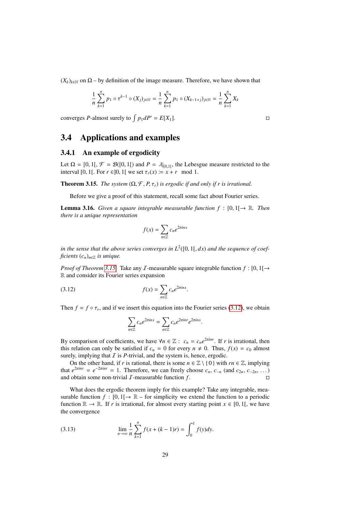$(X_k)_{k \in \mathbb{N}}$  on  $\Omega$  – by definition of the image measure. Therefore, we have shown that

$$
\frac{1}{n}\sum_{k=1}^{n}p_1\circ \tau^{k-1}\circ (X_j)_{j\in \mathbb{N}}=\frac{1}{n}\sum_{k=1}^{n}p_1\circ (X_{k-1+j})_{j\in \mathbb{N}}=\frac{1}{n}\sum_{k=1}^{n}X_k
$$

converges *P*-almost surely to  $\int p_1 dP' = E[X_1]$ .

### <span id="page-28-0"></span>3.4 Applications and examples

#### <span id="page-28-1"></span>3.4.1 An example of ergodicity

Let  $\Omega = [0, 1]$ ,  $\mathcal{F} = \mathcal{B}([0, 1])$  and  $P = \lambda|_{[0,1]}$ , the Lebesgue measure restricted to the interval  $[0, 1]$ . For  $r \in [0, 1]$  we set  $\tau(r) = r + r$  mod 1 interval [0, 1[. For  $r \in ]0, 1[$  we set  $\tau_r(x) := x + r \mod 1$ .

<span id="page-28-2"></span>**Theorem 3.15.** *The system*  $(\Omega, \mathcal{F}, P, \tau_r)$  *is ergodic if and only if r is irrational.* 

Before we give a proof of this statement, recall some fact about Fourier series.

**Lemma 3.16.** *Given a square integrable measurable function*  $f : [0,1] \rightarrow \mathbb{R}$ *. Then there is a unique representation*

$$
f(x) = \sum_{n \in \mathbb{Z}} c_n e^{2\pi i nx}
$$

*in the sense that the above series converges in L*<sup>2</sup> ([0, 1[, *dx*) *and the sequence of coefficients*  $(c_n)_{n \in \mathbb{Z}}$  *is unique.* 

*Proof of Theorem [3.15.](#page-28-2)* Take any *I*-measurable square integrable function  $f : [0,1] \rightarrow$ R and consider its Fourier series expansion

$$
(3.12)\qquad \qquad f(x) = \sum_{n \in \mathbb{Z}} c_n e^{2\pi i nx}
$$

Then  $f = f \circ \tau_r$ , and if we insert this equation into the Fourier series [\(3.12\)](#page-28-3), we obtain

<span id="page-28-3"></span>
$$
\sum_{n\in\mathbb{Z}}c_ne^{2\pi inx} = \sum_{n\in\mathbb{Z}}c_ne^{2\pi inx}e^{2\pi inx}
$$

By comparison of coefficients, we have  $\forall n \in \mathbb{Z} : c_n = c_n e^{2\pi i n r}$ . If *r* is irrational, then this relation can only be satisfied if  $c_n = 0$  for every  $n \neq 0$ . Thus,  $f(x) = c_0$  almost surely, implying that  $I$  is  $P$ -trivial, and the system is, hence, ergodic.

On the other hand, if *r* is rational, there is some  $n \in \mathbb{Z} \setminus \{0\}$  with  $rn \in \mathbb{Z}$ , implying that  $e^{2\pi i n r} = e^{-2\pi i n r} = 1$ . Therefore, we can freely choose  $c_n$ ,  $c_{-n}$  (and  $c_{2n}$ ,  $c_{-2n}$ , ...) and obtain some non-trivial  $\mathcal I$ -measurable function  $f$ .

What does the ergodic theorem imply for this example? Take any integrable, measurable function  $f : [0, 1] \rightarrow \mathbb{R}$  – for simplicity we extend the function to a periodic function  $\mathbb{R} \to \mathbb{R}$ . If *r* is irrational, for almost every starting point  $x \in [0, 1]$ , we have the convergence

(3.13) 
$$
\lim_{n \to \infty} \frac{1}{n} \sum_{k=1}^{n} f(x + (k-1)r) = \int_{0}^{1} f(y) dy.
$$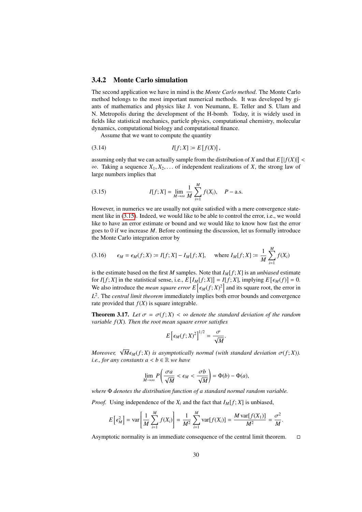#### <span id="page-29-0"></span>3.4.2 Monte Carlo simulation

The second application we have in mind is the *Monte Carlo method*. The Monte Carlo method belongs to the most important numerical methods. It was developed by giants of mathematics and physics like J. von Neumann, E. Teller and S. Ulam and N. Metropolis during the development of the H-bomb. Today, it is widely used in fields like statistical mechanics, particle physics, computational chemistry, molecular dynamics, computational biology and computational finance.

Assume that we want to compute the quantity

(3.14) 
$$
I[f; X] := E[f(X)],
$$

assuming only that we can actually sample from the distribution of *X* and that  $E\left[|f(X)|\right] < \infty$ . Taking a sequence *X*, *X*, of independent realizations of *X* the strong law of <sup>∞</sup>. Taking a sequence *<sup>X</sup>*1, *<sup>X</sup>*2, . . . of independent realizations of *<sup>X</sup>*, the strong law of large numbers implies that

<span id="page-29-1"></span>(3.15) 
$$
I[f; X] = \lim_{M \to \infty} \frac{1}{M} \sum_{i=1}^{M} f(X_i), \quad P - \text{a.s.}
$$

However, in numerics we are usually not quite satisfied with a mere convergence statement like in [\(3.15\)](#page-29-1). Indeed, we would like to be able to control the error, i.e., we would like to have an error estimate or bound and we would like to know how fast the error goes to 0 if we increase *M*. Before continuing the discussion, let us formally introduce the Monte Carlo integration error by

(3.16) 
$$
\epsilon_M = \epsilon_M(f; X) := I[f; X] - I_M[f; X],
$$
 where  $I_M[f; X] := \frac{1}{M} \sum_{i=1}^M f(X_i)$ 

is the estimate based on the first *M* samples. Note that  $I_M[f; X]$  is an *unbiased* estimate for *I*[*f*; *X*] in the statistical sense, i.e., *E* [*I<sub>M</sub>*[*f*; *X*]] = *I*[*f*; *X*], implying *E* [ $\epsilon_M(f)$ ] = 0.<br>We also introduce the mean square summer  $\epsilon_1$ [ $\epsilon_n$  (*f*;  $Y^2$ ] and its square root the arror in We also introduce the *mean square error*  $E\left[\epsilon_M(f;X)^2\right]$  and its square root, the error in *L* 2 . The *central limit theorem* immediately implies both error bounds and convergence rate provided that  $f(X)$  is square integrable.

<span id="page-29-2"></span>**Theorem 3.17.** Let  $\sigma = \sigma(f; X) < \infty$  denote the standard deviation of the random *variable f*(*X*)*. Then the root mean square error satisfies*

$$
E\left[\epsilon_M(f;X)^2\right]^{1/2} = \frac{\sigma}{\sqrt{M}}
$$

*Moreover,*  $\sqrt{M} \epsilon_M(f; X)$  *is asymptotically normal (with standard deviation*  $\sigma(f; X)$ ). *i.e., for any constants*  $a < b \in \mathbb{R}$  *we have* 

$$
\lim_{M\to\infty}P\left(\frac{\sigma a}{\sqrt{M}}<\epsilon_M<\frac{\sigma b}{\sqrt{M}}\right)=\Phi(b)-\Phi(a),
$$

*where* Φ *denotes the distribution function of a standard normal random variable.*

*Proof.* Using independence of the  $X_i$  and the fact that  $I_M[f; X]$  is unbiased,

$$
E\left[\epsilon_M^2\right] = \text{var}\left[\frac{1}{M}\sum_{i=1}^M f(X_i)\right] = \frac{1}{M^2}\sum_{i=1}^M \text{var}[f(X_i)] = \frac{M\text{var}[f(X_1)]}{M^2} = \frac{\sigma^2}{M}.
$$

Asymptotic normality is an immediate consequence of the central limit theorem.  $\Box$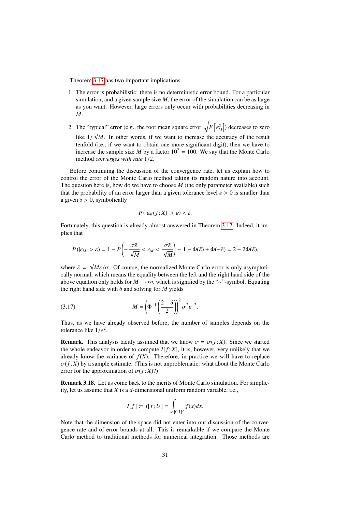Theorem [3.17](#page-29-2) has two important implications.

- 1. The error is probabilistic: there is no deterministic error bound. For a particular simulation, and a given sample size *M*, the error of the simulation can be as large as you want. However, large errors only occur with probabilities decreasing in *M*.
- 2. The "typical" error (e.g., the root mean square error  $\sqrt{E\left[\epsilon_M^2\right]}$ ) decreases to zero  $\overline{V}$  (i.g., an extreme square cree  $\overline{V}$ ) like  $1/\sqrt{M}$ . In other words, if we want to increase the accuracy of the result tenfold (i.e., if we want to obtain one more significant digit), then we have to *M*. In other words, if we want to increase the accuracy of the result increase the sample size *M* by a factor  $10^2 = 100$ . We say that the Monte Carlo method *converges with rate* <sup>1</sup>/2.

Before continuing the discussion of the convergence rate, let us explain how to control the error of the Monte Carlo method taking its random nature into account. The question here is, how do we have to choose *M* (the only parameter available) such that the probability of an error larger than a given tolerance level  $\varepsilon > 0$  is smaller than a given  $\delta > 0$ , symbolically

$$
P(|\epsilon_M(f;X)| > \varepsilon) < \delta.
$$

Fortunately, this question is already almost answered in Theorem [3.17.](#page-29-2) Indeed, it implies that

$$
P(|\epsilon_M| > \varepsilon) = 1 - P\left(-\frac{\sigma\tilde{\varepsilon}}{\sqrt{M}} < \epsilon_M < \frac{\sigma\tilde{\varepsilon}}{\sqrt{M}}\right) \sim 1 - \Phi(\tilde{\varepsilon}) + \Phi(-\tilde{\varepsilon}) = 2 - 2\Phi(\tilde{\varepsilon}),
$$

where  $\tilde{\varepsilon}$  = √  $M\varepsilon/\sigma$ . Of course, the normalized Monte Carlo error is only asymptoti-<br>which means the equality between the left and the right hand side of the cally normal, which means the equality between the left and the right hand side of the above equation only holds for *M* → ∞, which is signified by the "∼"-symbol. Equating the right hand side with  $\delta$  and solving for *M* yields

$$
(3.17)\t\t\t M = \left(\Phi^{-1}\left(\frac{2-\delta}{2}\right)\right)^2 \sigma^2 \varepsilon^{-2}.
$$

Thus, as we have already observed before, the number of samples depends on the tolerance like  $1/\varepsilon^2$ .

**Remark.** This analysis tacitly assumed that we know  $\sigma = \sigma(f; X)$ . Since we started the whole endeavor in order to compute  $I[f; X]$ , it is, however, very unlikely that we already know the variance of  $f(X)$ . Therefore, in practice we will have to replace  $\sigma(f; X)$  by a sample estimate. (This is not unproblematic: what about the Monte Carlo error for the approximation of  $\sigma(f; X)$ ?)

Remark 3.18. Let us come back to the merits of Monte Carlo simulation. For simplicity, let us assume that *X* is a *d*-dimensional uniform random variable, i.e.,

$$
I[f] := I[f; U] = \int_{[0,1]^d} f(x) dx.
$$

Note that the dimension of the space did not enter into our discussion of the convergence rate and of error bounds at all. This is remarkable if we compare the Monte Carlo method to traditional methods for numerical integration. Those methods are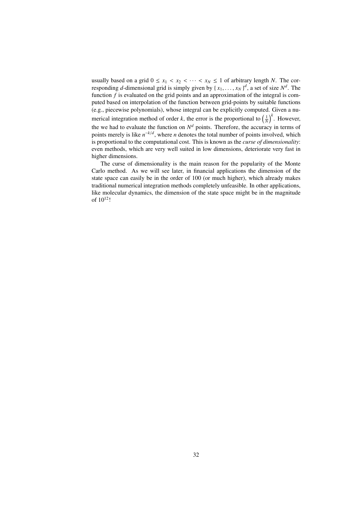usually based on a grid  $0 \le x_1 < x_2 < \cdots < x_N \le 1$  of arbitrary length *N*. The corresponding *d*-dimensional grid is simply given by  $\{x_1, \ldots, x_N\}^d$ , a set of size  $N^d$ . The function *f* is evaluated on the grid points and an approximation of the integral is comfunction *f* is evaluated on the grid points and an approximation of the integral is computed based on interpolation of the function between grid-points by suitable functions (e.g., piecewise polynomials), whose integral can be explicitly computed. Given a numerical integration method of order *k*, the error is the proportional to  $\left(\frac{1}{N}\right)^k$ . However, the we had to evaluate the function on  $N<sup>d</sup>$  points. Therefore, the accuracy in terms of points merely is like  $n^{-k/d}$ , where *n* denotes the total number of points involved, which is proportional to the computational cost. This is known as the *curse of dimensionality*: even methods, which are very well suited in low dimensions, deteriorate very fast in higher dimensions.

The curse of dimensionality is the main reason for the popularity of the Monte Carlo method. As we will see later, in financial applications the dimension of the state space can easily be in the order of 100 (or much higher), which already makes traditional numerical integration methods completely unfeasible. In other applications, like molecular dynamics, the dimension of the state space might be in the magnitude of 10<sup>12</sup>!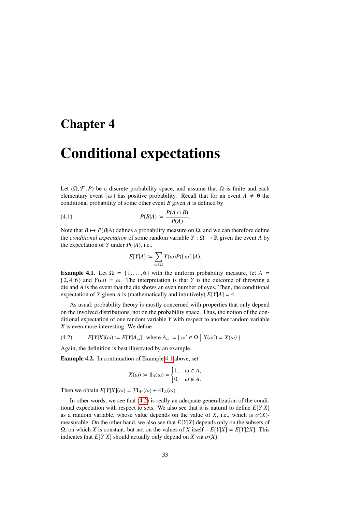### <span id="page-32-0"></span>Chapter 4

# Conditional expectations

Let  $(\Omega, \mathcal{F}, P)$  be a discrete probability space, and assume that  $\Omega$  is finite and each elementary event { $\omega$ } has positive probability. Recall that for an event  $A \neq \emptyset$  the conditional probability of some other event *B* given *A* is defined by

$$
(4.1) \t\t P(B|A) := \frac{P(A \cap B)}{P(A)}.
$$

Note that  $B \mapsto P(B|A)$  defines a probability measure on  $\Omega$ , and we can therefore define the *conditional expectation* of some random variable  $Y : \Omega \to \mathbb{R}$  given the event *A* by the expectation of *Y* under  $P(\cdot|A)$ , i.e.,

$$
E[Y|A] := \sum_{\omega \in \Omega} Y(\omega)P(\{\omega\}|A).
$$

<span id="page-32-1"></span>**Example 4.1.** Let  $\Omega = \{1, \ldots, 6\}$  with the uniform probability measure, let  $A =$  ${2, 4, 6}$  and  $Y(\omega) = \omega$ . The interpretation is that *Y* is the outcome of throwing a die and *A* is the event that the die shows an even number of eyes. Then, the conditional expectation of *Y* given *A* is (mathematically and intuitively)  $E[Y|A] = 4$ .

As usual, probability theory is mostly concerned with properties that only depend on the involved distributions, not on the probability space. Thus, the notion of the conditional expectation of one random variable *Y* with respect to another random variable *X* is even more interesting. We define

<span id="page-32-2"></span>(4.2) 
$$
E[Y|X](\omega) := E[Y|A_{\omega}], \text{ where } A_{\omega} := \{ \omega' \in \Omega \mid X(\omega') = X(\omega) \}.
$$

Again, the definition is best illustrated by an example.

Example 4.2. In continuation of Example [4.1](#page-32-1) above, set

$$
X(\omega) := \mathbf{1}_A(\omega) = \begin{cases} 1, & \omega \in A, \\ 0, & \omega \notin A. \end{cases}
$$

Then we obtain  $E[Y|X](\omega) = 3\mathbf{1}_{A^c}(\omega) + 4\mathbf{1}_{A}(\omega)$ .

In other words, we see that [\(4.2\)](#page-32-2) is really an adequate generalization of the conditional expectation with respect to sets. We also see that it is natural to define *E*[*Y*|*X*] as a random variable, whose value depends on the value of *X*, i.e., which is  $\sigma(X)$ measurable. On the other hand, we also see that *E*[*Y*|*X*] depends only on the subsets of Ω, on which *X* is constant, but not on the values of *X* itself – *E*[*Y*|*X*] = *E*[*Y*|2*X*]. This indicates that  $E[Y|X]$  should actually only depend on *X* via  $\sigma(X)$ .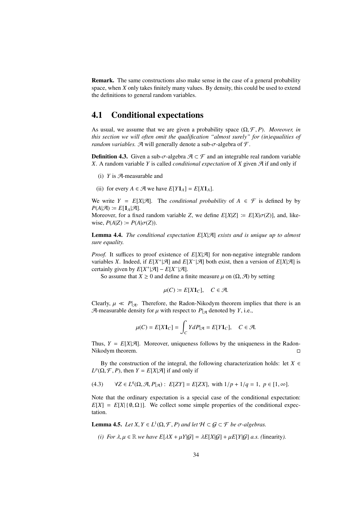Remark. The same constructions also make sense in the case of a general probability space, when *X* only takes finitely many values. By density, this could be used to extend the definitions to general random variables.

### <span id="page-33-0"></span>4.1 Conditional expectations

As usual, we assume that we are given a probability space  $(\Omega, \mathcal{F}, P)$ . *Moreover, in this section we will often omit the qualification "almost surely" for (in)equalities of random variables.* A will generally denote a sub- $\sigma$ -algebra of  $\mathcal{F}$ .

**Definition 4.3.** Given a sub- $\sigma$ -algebra  $\mathcal{A} \subset \mathcal{F}$  and an integrable real random variable *X*. A random variable *Y* is called *conditional expectation* of *X* given  $\mathcal{A}$  if and only if

- (i)  $Y$  is  $\mathcal{A}$ -measurable and
- (ii) for every  $A \in \mathcal{A}$  we have  $E[Y\mathbf{1}_A] = E[X\mathbf{1}_A]$ .

We write  $Y = E[X|\mathcal{A}]$ . The *conditional probability* of  $A \in \mathcal{F}$  is defined by by  $P(A|\mathcal{A}) \coloneqq E[\mathbf{1}_A|\mathcal{A}].$ 

Moreover, for a fixed random variable *Z*, we define  $E[X|Z] := E[X|\sigma(Z)]$ , and, likewise,  $P(A|Z) \coloneqq P(A|\sigma(Z)).$ 

Lemma 4.4. *The conditional expectation E*[*X*|A] *exists and is unique up to almost sure equality.*

*Proof.* It suffices to proof existence of  $E[X|\mathcal{A}]$  for non-negative integrable random variables *X*. Indeed, if  $E[X^+|\mathcal{A}]$  and  $E[X^-|\mathcal{A}]$  both exist, then a version of  $E[X|\mathcal{A}]$  is certainly given by  $E[X^+|\mathcal{A}] - E[X^-|\mathcal{A}]$ .

So assume that  $X \ge 0$  and define a finite measure  $\mu$  on  $(\Omega, \mathcal{A})$  by setting

$$
\mu(C) \coloneqq E[X \mathbf{1}_C], \quad C \in \mathcal{A}.
$$

Clearly,  $\mu \ll P_{\mathcal{A}}$ . Therefore, the Radon-Nikodym theorem implies that there is an A-measurable density for  $\mu$  with respect to  $P_{\mathcal{A}}$  denoted by *Y*, i.e.,

$$
\mu(C) = E[X\mathbf{1}_C] = \int_C YdP|_{\mathcal{A}} = E[Y\mathbf{1}_C], \quad C \in \mathcal{A}.
$$

Thus,  $Y = E[X|\mathcal{A}]$ . Moreover, uniqueness follows by the uniqueness in the Radon-Nikodym theorem.

By the construction of the integral, the following characterization holds: let  $X \in$  $L^p(\Omega, \mathcal{F}, P)$ , then  $Y = E[X|\mathcal{A}]$  if and only if

<span id="page-33-1"></span>(4.3) 
$$
\forall Z \in L^{q}(\Omega, \mathcal{A}, P|_{\mathcal{A}}): E[ZY] = E[ZX], \text{ with } 1/p + 1/q = 1, p \in [1, \infty].
$$

Note that the ordinary expectation is a special case of the conditional expectation:  $E[X] = E[X] \{ \emptyset, \Omega \}$ . We collect some simple properties of the conditional expectation.

**Lemma 4.5.** *Let*  $X, Y \in L^1(\Omega, \mathcal{F}, P)$  *and let*  $H \subset \mathcal{G} \subset \mathcal{F}$  *be*  $\sigma$ -algebras.

*(i)* For  $\lambda, \mu \in \mathbb{R}$  *we have*  $E[\lambda X + \mu Y | G] = \lambda E[X|G] + \mu E[Y|G]$  *a.s.* (linearity).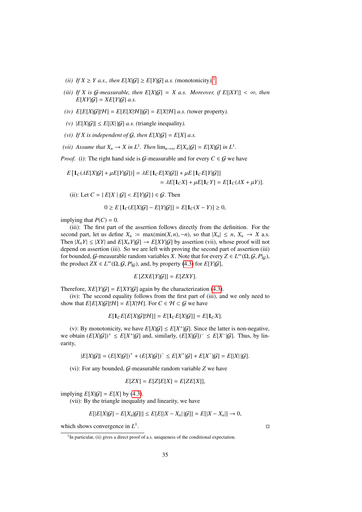- *(ii) If*  $X \geq Y$  *a.s., then*  $E[X|\mathcal{G}] \geq E[Y|\mathcal{G}]$  *a.s.* (monotonicity).<sup>[1](#page-34-0)</sup>
- *(iii)* If X is G-measurable, then  $E[X|G] = X$  a.s. Moreover, if  $E[|XY|] < \infty$ , then  $E[XY|\mathcal{G}] = XE[Y|\mathcal{G}]$  *a.s.*
- *(iv)*  $E[E[X|\mathcal{G}]|\mathcal{H}] = E[E[X|\mathcal{H}][\mathcal{G}] = E[X|\mathcal{H}]$  *a.s. (tower property).*
- (*v*)  $|E[X|\mathcal{G}]| \leq E[|X||\mathcal{G}]$  *a.s.* (triangle inequality).
- *(vi)* If X is independent of  $G$ , then  $E[X|G] = E[X]$  *a.s.*
- *(vii)* Assume that  $X_n \to X$  in  $L^1$ . Then  $\lim_{n\to\infty} E[X_n|G] = E[X|G]$  in  $L^1$ .

*Proof.* (i): The right hand side is G-measurable and for every  $C \in G$  we have

$$
E\left[\mathbf{1}_C(\lambda E[X|\mathcal{G}]+\mu E[Y|\mathcal{G}])\right] = \lambda E\left[\mathbf{1}_C E[X|\mathcal{G}]\right] + \mu E\left[\mathbf{1}_C E[Y|\mathcal{G}]\right] \\
= \lambda E[\mathbf{1}_C X] + \mu E[\mathbf{1}_C Y] = E[\mathbf{1}_C(\lambda X + \mu Y)].
$$

(ii): Let  $C = \{ E[X | G] < E[Y|G] \} \in G$ . Then

$$
0 \ge E\left[\mathbf{1}_C(E[X|\mathcal{G}]-E[Y|\mathcal{G}]]\right] = E[\mathbf{1}_C(X-Y)] \ge 0,
$$

implying that  $P(C) = 0$ .

(iii): The first part of the assertion follows directly from the definition. For the second part, let us define  $X_n := \max(\min(X, n), -n)$ , so that  $|X_n| \le n$ ,  $X_n \to X$  a.s. Then  $|X_nY| \leq |XY|$  and  $E[X_nY|\mathcal{G}] \to E[XY|\mathcal{G}]$  by assertion (vii), whose proof will not depend on assertion (iii). So we are left with proving the second part of assertion (iii) for bounded, G-measurable random variables *X*. Note that for every  $Z \in L^{\infty}(\Omega, \mathcal{G}, P|_{\mathcal{G}})$ , the product  $ZY \in L^{\infty}(\Omega, \mathcal{G}, P|_{\mathcal{G}})$  and by property (4.3) for  $F[V|_{\mathcal{G}}]$ the product  $ZX \in L^{\infty}(\Omega, \mathcal{G}, P|_{\mathcal{G}})$ , and, by property [\(4.3\)](#page-33-1) for  $E[Y|\mathcal{G}]$ ,

$$
E[ZXE[Y|\mathcal{G}]] = E[ZXY].
$$

Therefore,  $XE[Y|\mathcal{G}] = E[XY|\mathcal{G}]$  again by the characterization [\(4.3\)](#page-33-1).

(iv): The second equality follows from the first part of (iii), and we only need to show that  $E[E[X|\mathcal{G}]|\mathcal{H}] = E[X|\mathcal{H}]$ . For  $C \in \mathcal{H} \subset \mathcal{G}$  we have

$$
E[\mathbf{1}_C E[E[X|\mathcal{G}]|\mathcal{H}]] = E[\mathbf{1}_C E[X|\mathcal{G}]] = E[\mathbf{1}_C X].
$$

(v): By monotonicity, we have  $E[X|\mathcal{G}] \le E[X^+|\mathcal{G}]$ . Since the latter is non-negative, we obtain  $(E[X|\mathcal{G}])^+ \leq E[X^+|\mathcal{G}]$  and, similarly,  $(E[X|\mathcal{G}])^- \leq E[X^-|\mathcal{G}]$ . Thus, by linearity,

$$
|E[X|\mathcal{G}]| = (E[X|\mathcal{G}])^+ + (E[X|\mathcal{G}])^- \leq E[X^+|\mathcal{G}] + E[X^-|\mathcal{G}] = E[|X||\mathcal{G}].
$$

(vi): For any bounded, G-measurable random variable *Z* we have

$$
E[ZX] = E[Z]E[X] = E[ZE[X]],
$$

implying  $E[X|G] = E[X]$  by [\(4.3\)](#page-33-1).

(vii): By the triangle inequality and linearity, we have

$$
E[|E[X|\mathcal{G}]-E[X_n|\mathcal{G}]|] \leq E[E[|X-X_n||\mathcal{G}]]=E[|X-X_n|] \to 0,
$$

which shows convergence in *L* 1

.

<span id="page-34-0"></span><sup>&</sup>lt;sup>1</sup>In particular, (ii) gives a direct proof of a.s. uniqueness of the conditional expectation.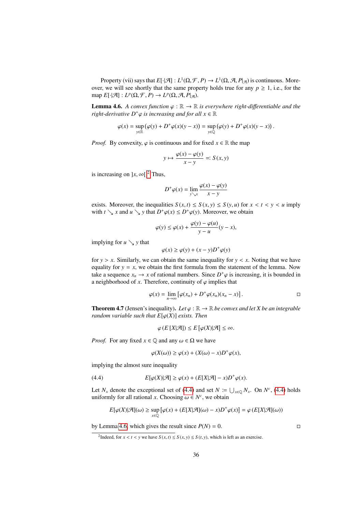Property (vii) says that  $E[\cdot|\mathcal{A}] : L^1(\Omega, \mathcal{F}, P) \to L^1(\Omega, \mathcal{A}, P|\mathcal{A})$  is continuous. More-<br>r we will see shortly that the same property holds true for any  $n > 1$  i.e., for the over, we will see shortly that the same property holds true for any  $p \ge 1$ , i.e., for the map  $E[\cdot|\mathcal{A}] : L^p(\Omega, \mathcal{F}, P) \to L^p(\Omega, \mathcal{A}, P|_{\mathcal{A}}).$ 

<span id="page-35-2"></span>**Lemma 4.6.** *A convex function*  $\varphi : \mathbb{R} \to \mathbb{R}$  *is everywhere right-differentiable and the right-derivative*  $D^+\varphi$  *is increasing and for all*  $x \in \mathbb{R}$ 

$$
\varphi(x) = \sup_{y \in \mathbb{R}} (\varphi(y) + D^+ \varphi(x)(y - x)) = \sup_{y \in \mathbb{Q}} (\varphi(y) + D^+ \varphi(x)(y - x)).
$$

*Proof.* By convexity,  $\varphi$  is continuous and for fixed  $x \in \mathbb{R}$  the map

$$
y \mapsto \frac{\varphi(x) - \varphi(y)}{x - y} =: S(x, y)
$$

is increasing on  $\vert x, \infty \vert^2$  $\vert x, \infty \vert^2$ . Thus,

$$
D^+\varphi(x) = \lim_{y \searrow x} \frac{\varphi(x) - \varphi(y)}{x - y}
$$

exists. Moreover, the inequalities  $S(x, t) \leq S(x, y) \leq S(y, u)$  for  $x < t < y < u$  imply with  $t \searrow x$  and  $u \searrow y$  that  $D^+\varphi(x) \le D^+\varphi(y)$ . Moreover, we obtain

$$
\varphi(y) \le \varphi(x) + \frac{\varphi(y) - \varphi(u)}{y - u}(y - x),
$$

implying for  $u \searrow y$  that

$$
\varphi(x) \ge \varphi(y) + (x - y)D^+\varphi(y)
$$

for  $y > x$ . Similarly, we can obtain the same inequality for  $y < x$ . Noting that we have equality for  $y = x$ , we obtain the first formula from the statement of the lemma. Now take a sequence  $x_n \to x$  of rational numbers. Since  $D^+\varphi$  is increasing, it is bounded in<br>a neighborhood of x. Therefore, continuity of  $\varphi$  implies that a neighborhood of *x*. Therefore, continuity of  $\varphi$  implies that

$$
\varphi(x) = \lim_{n \to \infty} \left[ \varphi(x_n) + D^+ \varphi(x_n)(x_n - x) \right].
$$

**Theorem 4.7** (Jensen's inequality). Let  $\varphi : \mathbb{R} \to \mathbb{R}$  be convex and let X be an integrable *random variable such that*  $E[\varphi(X)]$  *exists. Then* 

$$
\varphi(E[X|\mathcal{A}]) \le E[\varphi(X)|\mathcal{A}] \le \infty.
$$

*Proof.* For any fixed  $x \in \mathbb{Q}$  and any  $\omega \in \Omega$  we have

<span id="page-35-1"></span>
$$
\varphi(X(\omega)) \ge \varphi(x) + (X(\omega) - x)D^+\varphi(x),
$$

implying the almost sure inequality

(4.4) 
$$
E[\varphi(X)|\mathcal{A}] \geq \varphi(x) + (E[X|\mathcal{A}]-x)D^+\varphi(x).
$$

Let *N<sub>x</sub>* denote the exceptional set of [\(4.4\)](#page-35-1) and set *N* :=  $\bigcup_{x \in \mathbb{Q}} N_x$ . On *N<sup>c</sup>*, (4.4) holds uniformly for all rational *x*. Choosing  $\omega \in N^c$ , we obtain

$$
E[\varphi(X)|\mathcal{A}](\omega) \ge \sup_{x \in \mathbb{Q}} [\varphi(x) + (E[X|\mathcal{A}](\omega) - x)D^+\varphi(x)] = \varphi(E[X|\mathcal{A}](\omega))
$$

by Lemma [4.6,](#page-35-2) which gives the result since  $P(N) = 0$ .

<span id="page-35-0"></span><sup>&</sup>lt;sup>2</sup>Indeed, for *x* < *t* < *y* we have  $S(x, t) \le S(x, y) \le S(t, y)$ , which is left as an exercise.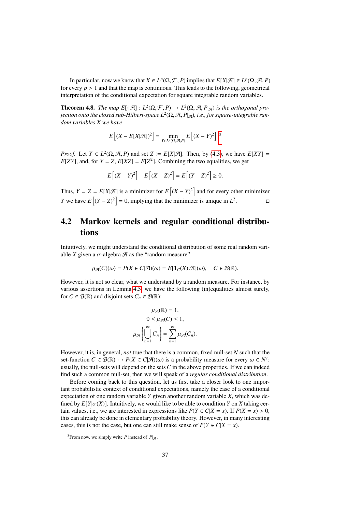In particular, now we know that  $X \in L^p(\Omega, \mathcal{F}, P)$  implies that  $E[X|\mathcal{A}] \in L^p(\Omega, \mathcal{A}, P)$ <br>every  $n > 1$  and that the man is continuous. This leads to the following, geometrical for every  $p > 1$  and that the map is continuous. This leads to the following, geometrical interpretation of the conditional expectation for square integrable random variables.

<span id="page-36-1"></span>**Theorem 4.8.** *The map*  $E[\cdot|\mathcal{A}] : L^2(\Omega, \mathcal{F}, P) \to L^2(\Omega, \mathcal{A}, P_{|\mathcal{A}})$  *is the orthogonal pro-*<br>iection onto the closed sub-Hilbert-space  $L^2(\Omega, \mathcal{A}, P_{|\mathcal{A}})$  *i.e.* for square-integrable ran*jection onto the closed sub-Hilbert-space L<sup>2</sup>(Ω, A, P|<sub>A</sub>), i.e., for square-integrable ran-<br>dom variables X we have dom variables X we have*

$$
E\left[\left(X - E[X|\mathcal{A}]\right)^2\right] = \min_{Y \in L^2(\Omega, \mathcal{A}, P)} E\left[\left(X - Y\right)^2\right].^3
$$

*Proof.* Let  $Y \in L^2(\Omega, \mathcal{A}, P)$  and set  $Z := E[X|\mathcal{A}]$ . Then, by [\(4.3\)](#page-33-0), we have  $E[XY] = E[ZY]$  and for  $Y - Z E[YZ] - E[Z^2]$ . Combining the two equalities we get  $E[ZY]$ , and, for  $Y = Z$ ,  $E[XZ] = E[Z^2]$ . Combining the two equalities, we get

$$
E[(X - Y)^{2}] - E[(X - Z)^{2}] = E[(Y - Z)^{2}] \ge 0.
$$

Thus,  $Y = Z = E[X|\mathcal{A}]$  is a minimizer for  $E[(X - Y)^2]$  and for every other minimizer *Y* we have  $E[(Y - Z)^2] = 0$ , implying that the minimizer is unique in  $L^2$ . на поставања<br>1990 — Поставања

### 4.2 Markov kernels and regular conditional distributions

Intuitively, we might understand the conditional distribution of some real random variable *X* given a  $\sigma$ -algebra  $\mathcal A$  as the "random measure"

$$
\mu_{\mathcal{A}}(C)(\omega) = P(X \in C | \mathcal{A})(\omega) = E[\mathbf{1}_C(X) | \mathcal{A}](\omega), \quad C \in \mathcal{B}(\mathbb{R}).
$$

However, it is not so clear, what we understand by a random measure. For instance, by various assertions in Lemma [4.5,](#page-33-1) we have the following (in)equalities almost surely, for  $C \in \mathcal{B}(\mathbb{R})$  and disjoint sets  $C_n \in \mathcal{B}(\mathbb{R})$ :

$$
\mu_{\mathcal{A}}(\mathbb{R}) = 1,
$$
  
\n
$$
0 \leq \mu_{\mathcal{A}}(C) \leq 1,
$$
  
\n
$$
\mu_{\mathcal{A}}\left(\bigcup_{n=1}^{\infty} C_n\right) = \sum_{n=1}^{\infty} \mu_{\mathcal{A}}(C_n).
$$

However, it is, in general, *not* true that there is a common, fixed null-set *N* such that the set-function  $C \in \mathcal{B}(\mathbb{R}) \mapsto P(X \in C | \mathcal{A})(\omega)$  is a probability measure for every  $\omega \in N^c$ :<br>usually the pull-sets will depend on the sets *C* in the above properties. If we can indeed usually, the null-sets will depend on the sets *C* in the above properties. If we can indeed find such a common null-set, then we will speak of a *regular conditional distribution*.

Before coming back to this question, let us first take a closer look to one important probabilistic context of conditional expectations, namely the case of a conditional expectation of one random variable *Y* given another random variable *X*, which was defined by  $E[Y|\sigma(X)]$ . Intuitively, we would like to be able to condition *Y* on *X* taking certain values, i.e., we are interested in expressions like  $P(Y \in C | X = x)$ . If  $P(X = x) > 0$ , this can already be done in elementary probability theory. However, in many interesting cases, this is not the case, but one can still make sense of  $P(Y \in C | X = x)$ .

<span id="page-36-0"></span><sup>&</sup>lt;sup>3</sup>From now, we simply write *P* instead of  $P_{\mathcal{A}}$ .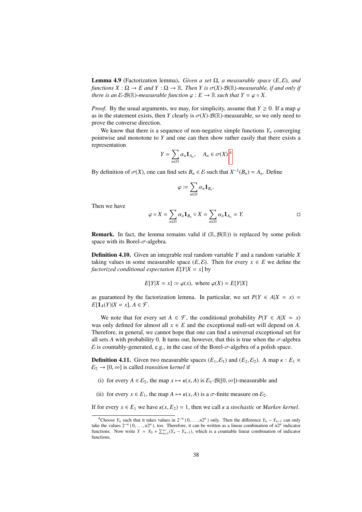Lemma 4.9 (Factorization lemma). *Given a set* <sup>Ω</sup>*, a measurable space* (*E*, <sup>E</sup>)*, and functions*  $X : \Omega \to E$  *and*  $Y : \Omega \to \mathbb{R}$ *. Then Y is*  $\sigma(X) \cdot \mathcal{B}(\mathbb{R})$ *-measurable, if and only if there is an*  $\mathcal{E}\text{-}\mathcal{B}(\mathbb{R})$ *-measurable function*  $\varphi : E \to \mathbb{R}$  *such that*  $Y = \varphi \circ X$ *.* 

*Proof.* By the usual arguments, we may, for simplicity, assume that  $Y \ge 0$ . If a map  $\varphi$ as in the statement exists, then *Y* clearly is  $\sigma(X)$ - $\mathcal{B}(\mathbb{R})$ -measurable, so we only need to prove the converse direction.

We know that there is a sequence of non-negative simple functions  $Y_n$  converging pointwise and monotone to *Y* and one can then show rather easily that there exists a representation

$$
Y = \sum_{n \in \mathbb{N}} \alpha_n \mathbf{1}_{A_n}, \quad A_n \in \sigma(X).
$$

By definition of  $\sigma(X)$ , one can find sets  $B_n \in \mathcal{E}$  such that  $X^{-1}(B_n) = A_n$ . Define

$$
\varphi\coloneqq \sum_{n\in\mathbb{N}}\alpha_n\mathbf{1}_{B_n}.
$$

Then we have

$$
\varphi \circ X = \sum_{n \in \mathbb{N}} \alpha_n \mathbf{1}_{B_n} \circ X = \sum_{n \in \mathbb{N}} \alpha_n \mathbf{1}_{A_n} = Y.
$$

**Remark.** In fact, the lemma remains valid if  $(\mathbb{R}, \mathcal{B}(\mathbb{R}))$  is replaced by some polish space with its Borel- $\sigma$ -algebra.

<span id="page-37-1"></span>Definition 4.10. Given an integrable real random variable *Y* and a random variable *X* taking values in some measurable space  $(E, \mathcal{E})$ . Then for every  $x \in E$  we define the *factorized conditional expectation*  $E[Y|X = x]$  by

$$
E[Y|X = x] := \varphi(x), \text{ where } \varphi(X) = E[Y|X]
$$

as guaranteed by the factorization lemma. In particular, we set  $P(Y \in A|X = x)$  $E[\mathbf{1}_A(Y)|X=x], A \in \mathcal{F}.$ 

We note that for every set  $A \in \mathcal{F}$ , the conditional probability  $P(Y \in A | X = x)$ was only defined for almost all  $x \in E$  and the exceptional null-set will depend on *A*. Therefore, in general, we cannot hope that one can find a universal exceptional set for all sets *A* with probability 0. It turns out, however, that this is true when the  $\sigma$ -algebra  $\mathcal E$  is countably-generated, e.g., in the case of the Borel- $\sigma$ -algebra of a polish space.

**Definition 4.11.** Given two measurable spaces  $(E_1, \mathcal{E}_1)$  and  $(E_2, \mathcal{E}_2)$ . A map  $\kappa : E_1 \times$  $\mathcal{E}_2 \rightarrow [0, \infty]$  is called *transition kernel* if

- (i) for every  $A \in \mathcal{E}_2$ , the map  $x \mapsto \kappa(x, A)$  is  $\mathcal{E}_1$ - $\mathcal{B}([0, \infty])$ -measurable and
- (ii) for every  $x \in E_1$ , the map  $A \mapsto \kappa(x, A)$  is a  $\sigma$ -finite measure on  $\mathcal{E}_2$ .

If for every  $x \in E_1$  we have  $\kappa(x, E_2) = 1$ , then we call  $\kappa$  a *stochastic* or *Markov kernel*.

<span id="page-37-0"></span><sup>&</sup>lt;sup>4</sup>Choose *Y<sub>n</sub>* such that it takes values in  $2^{-n} \{0, \ldots, n2^n\}$  only. Then the difference  $Y_n - Y_{n-1}$  can only  $n^{2n}$  indicator take the values  $2^{-n} \{0, \ldots, n2^n\}$ , too. Therefore, it can be written as a linear combination of *n*<sup>2*n*</sup> indicator functions. Now write  $Y = Y_0 + \sum_{i=1}^{\infty} (Y_i - Y_{i-1})$  which is a countable linear combination of indicato functions. Now write  $Y = Y_0 + \sum_{n=1}^{\infty} (Y_n - Y_{n-1})$ , which is a countable linear combination of indicator functions.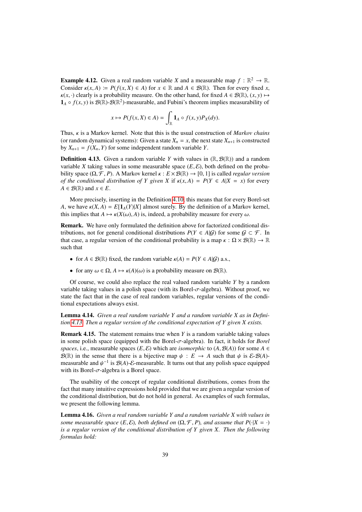**Example 4.12.** Given a real random variable *X* and a measurable map  $f : \mathbb{R}^2 \to \mathbb{R}$ . Consider  $\kappa(x, A) := P(f(x, X) \in A)$  for  $x \in \mathbb{R}$  and  $A \in \mathcal{B}(\mathbb{R})$ . Then for every fixed *x*,  $\kappa(x, \cdot)$  clearly is a probability measure. On the other hand, for fixed  $A \in \mathcal{B}(\mathbb{R})$ ,  $(x, y) \mapsto$  $\mathbf{1}_A \circ f(x, y)$  is  $\mathcal{B}(\mathbb{R})$ - $\mathcal{B}(\mathbb{R}^2)$ -measurable, and Fubini's theorem implies measurability of

$$
x \mapsto P(f(x, X) \in A) = \int_{\mathbb{R}} \mathbf{1}_A \circ f(x, y) P_X(dy).
$$

Thus, κ is a Markov kernel. Note that this is the usual construction of *Markov chains* (or random dynamical systems): Given a state  $X_n = x$ , the next state  $X_{n+1}$  is constructed by  $X_{n+1} = f(X_n, Y)$  for some independent random variable *Y*.

<span id="page-38-0"></span>**Definition 4.13.** Given a random variable *Y* with values in  $(\mathbb{R}, \mathcal{B}(\mathbb{R}))$  and a random variable *X* taking values in some measurable space  $(E, \mathcal{E})$ , both defined on the probability space  $(\Omega, \mathcal{F}, P)$ . A Markov kernel  $\kappa : E \times \mathcal{B}(\mathbb{R}) \to [0, 1]$  is called *regular version of the conditional distribution of Y given X if*  $\kappa(x, A) = P(Y \in A | X = x)$  *for every*  $A \in \mathcal{B}(\mathbb{R})$  and  $x \in E$ .

More precisely, inserting in the Definition [4.10,](#page-37-1) this means that for every Borel-set *A*, we have  $\kappa(X, A) = E[\mathbf{1}_A(Y)|X]$  almost surely. By the definition of a Markov kernel, this implies that  $A \mapsto \kappa(X(\omega), A)$  is, indeed, a probability measure for every  $\omega$ .

Remark. We have only formulated the definition above for factorized conditional distributions, not for general conditional distributions  $P(Y \in A | \mathcal{G})$  for some  $\mathcal{G} \subset \mathcal{F}$ . In that case, a regular version of the conditional probability is a map  $\kappa : \Omega \times \mathcal{B}(\mathbb{R}) \to \mathbb{R}$ such that

- for  $A \in \mathcal{B}(\mathbb{R})$  fixed, the random variable  $\kappa(A) = P(Y \in A | G)$  a.s.,
- for any  $\omega \in \Omega$ ,  $A \mapsto \kappa(A)(\omega)$  is a probability measure on  $\mathcal{B}(\mathbb{R})$ .

Of course, we could also replace the real valued random variable *Y* by a random variable taking values in a polish space (with its Borel- $\sigma$ -algebra). Without proof, we state the fact that in the case of real random variables, regular versions of the conditional expectations always exist.

Lemma 4.14. *Given a real random variable Y and a random variable X as in Definition [4.13.](#page-38-0) Then a regular version of the conditional expectation of Y given X exists.*

Remark 4.15. The statement remains true when *Y* is a random variable taking values in some polish space (equipped with the Borel-σ-algebra). In fact, it holds for *Borel spaces*, i.e., measurable spaces (*E*, *E*) which are *isomorphic* to (*A*, *B*(*A*)) for some *A* ∈  $\mathcal{B}(\mathbb{R})$  in the sense that there is a bijective map  $\psi : E \to A$  such that  $\psi$  is  $\mathcal{E}$ - $\mathcal{B}(A)$ measurable and  $\psi^{-1}$  is  $\mathcal{B}(A)$ -*E*-measurable. It turns out that any polish space equipped with its Borel- $\tau$ -algebra is a Borel space with its Borel- $\sigma$ -algebra is a Borel space.

The usability of the concept of regular conditional distributions, comes from the fact that many intuitive expressions hold provided that we are given a regular version of the conditional distribution, but do not hold in general. As examples of such formulas, we present the following lemma.

<span id="page-38-1"></span>Lemma 4.16. *Given a real random variable Y and a random variable X with values in some measurable space*  $(E, \mathcal{E})$ *, both defined on*  $(\Omega, \mathcal{F}, P)$ *, and assume that*  $P(\cdot|X = \cdot)$ *is a regular version of the conditional distribution of Y given X. Then the following formulas hold:*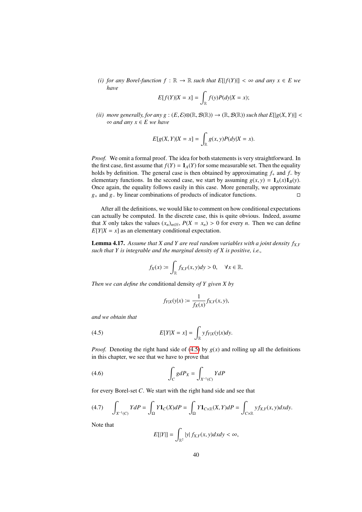*(i) for any Borel-function*  $f : \mathbb{R} \to \mathbb{R}$  *such that*  $E[|f(Y)|] < \infty$  and any  $x \in E$  we *have*

$$
E[f(Y)|X=x] = \int_{\mathbb{R}} f(y)P(dy|X=x);
$$

*(ii) more generally, for any g* :  $(E, \mathcal{E}) \otimes (\mathbb{R}, \mathcal{B}(\mathbb{R})) \rightarrow (\mathbb{R}, \mathcal{B}(\mathbb{R}))$  such that  $E[|g(X, Y)|]$  < ∞ *and any x* ∈ *E we have*

$$
E[g(X, Y)|X = x] = \int_{\mathbb{R}} g(x, y)P(dy|X = x).
$$

*Proof.* We omit a formal proof. The idea for both statements is very straightforward. In the first case, first assume that  $f(Y) = 1_A(Y)$  for some measurable set. Then the equality holds by definition. The general case is then obtained by approximating *f*<sup>+</sup> and *f*<sup>−</sup> by elementary functions. In the second case, we start by assuming  $g(x, y) = \mathbf{1}_A(x)\mathbf{1}_B(y)$ . Once again, the equality follows easily in this case. More generally, we approximate *g*+ and *g*− by linear combinations of products of indicator functions.

After all the definitions, we would like to comment on how conditional expectations can actually be computed. In the discrete case, this is quite obvious. Indeed, assume that *X* only takes the values  $(x_n)_{n \in \mathbb{N}}$ ,  $P(X = x_n) > 0$  for every *n*. Then we can define  $E[Y|X = x]$  as an elementary conditional expectation.

**Lemma 4.17.** Assume that X and Y are real random variables with a joint density  $f_{X,Y}$ *such that Y is integrable and the marginal density of X is positive, i.e.,*

$$
f_X(x) \coloneqq \int_{\mathbb{R}} f_{X,Y}(x,y) dy > 0, \quad \forall x \in \mathbb{R}.
$$

*Then we can define the* conditional density *of Y given X by*

<span id="page-39-0"></span>
$$
f_{Y|X}(y|x) := \frac{1}{f_X(x)} f_{X,Y}(x,y),
$$

*and we obtain that*

(4.5) 
$$
E[Y|X=x] = \int_{\mathbb{R}} y f_{Y|X}(y|x) dy.
$$

*Proof.* Denoting the right hand side of [\(4.5\)](#page-39-0) by  $g(x)$  and rolling up all the definitions in this chapter, we see that we have to prove that

$$
(4.6)\qquad \qquad \int_C g dP_X = \int_{X^{-1}(C)} Y dP
$$

for every Borel-set *C*. We start with the right hand side and see that

<span id="page-39-2"></span>
$$
(4.7) \qquad \int_{X^{-1}(C)} YdP = \int_{\Omega} Y\mathbf{1}_C(X)dP = \int_{\Omega} Y\mathbf{1}_{C\times\mathbb{R}}(X,Y)dP = \int_{C\times\mathbb{R}} yf_{X,Y}(x,y)dxdy.
$$

Note that

<span id="page-39-1"></span>
$$
E[|Y|] = \int_{\mathbb{R}^2} |y| f_{X,Y}(x,y) dx dy < \infty,
$$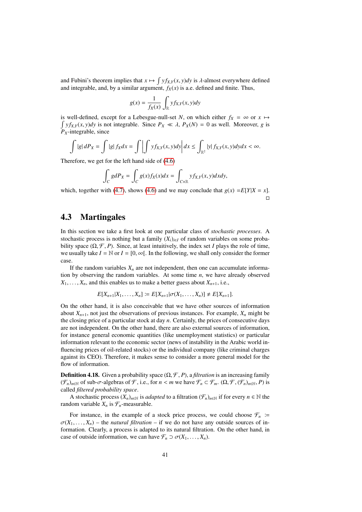and Fubini's theorem implies that  $x \mapsto \int y f_{X,Y}(x, y) dy$  is  $\lambda$ -almost everywhere defined<br>and integrable, and by a similar argument,  $f_Y(x)$  is a e-defined and finite. Thus and integrable, and, by a similar argument,  $f_X(x)$  is a.e. defined and finite. Thus,

$$
g(x) = \frac{1}{f_X(x)} \int_{\mathbb{R}} y f_{X,Y}(x, y) dy
$$

is well-defined, except for a Lebesgue-null-set N, on which either  $f_X = \infty$  or  $x \mapsto$  $\int y f_{X,Y}(x, y) dy$  is not integrable. Since  $P_X \ll \lambda$ ,  $P_X(N) = 0$  as well. Moreover, *g* is  $P_Y \sim \lambda$ .  $P_X$ -integrable, since

$$
\int |g| dP_X = \int |g| f_X dx = \int \left| \int y f_{X,Y}(x, y) dy \right| dx \le \int_{\mathbb{R}^2} |y| f_{X,Y}(x, y) dy dx < \infty.
$$

Therefore, we get for the left hand side of [\(4.6\)](#page-39-1)

$$
\int_C g dP_X = \int_C g(x) f_X(x) dx = \int_{C \times \mathbb{R}} y f_{X,Y}(x, y) dx dy,
$$

which, together with [\(4.7\)](#page-39-2), shows [\(4.6\)](#page-39-1) and we may conclude that  $g(x) = E[Y|X = x]$ .  $\Box$ 

### <span id="page-40-0"></span>4.3 Martingales

In this section we take a first look at one particular class of *stochastic processes*. A stochastic process is nothing but a family  $(X_i)_{i \in I}$  of random variables on some probability space  $(\Omega, \mathcal{F}, P)$ . Since, at least intuitively, the index set *I* plays the role of time, we usually take  $I = \mathbb{N}$  or  $I = [0, \infty]$ . In the following, we shall only consider the former case.

If the random variables  $X_n$  are not independent, then one can accumulate information by observing the random variables. At some time *n*, we have already observed  $X_1, \ldots, X_n$ , and this enables us to make a better guess about  $X_{n+1}$ , i.e.,

$$
E[X_{n+1}|X_1,\ldots,X_n] := E[X_{n+1}|\sigma(X_1,\ldots,X_n)] \neq E[X_{n+1}].
$$

On the other hand, it is also conceivable that we have other sources of information about  $X_{n+1}$ , not just the observations of previous instances. For example,  $X_n$  might be the closing price of a particular stock at day *n*. Certainly, the prices of consecutive days are not independent. On the other hand, there are also external sources of information, for instance general economic quantities (like unemployment statistics) or particular information relevant to the economic sector (news of instability in the Arabic world influencing prices of oil-related stocks) or the individual company (like criminal charges against its CEO). Therefore, it makes sense to consider a more general model for the flow of information.

**Definition 4.18.** Given a probability space  $(\Omega, \mathcal{F}, P)$ , a *filtration* is an increasing family  $(\mathcal{F}_n)_{n \in \mathbb{N}}$  of sub- $\sigma$ -algebras of  $\mathcal{F}$ , i.e., for  $n < m$  we have  $\mathcal{F}_n \subset \mathcal{F}_m$ .  $(\Omega, \mathcal{F}, (\mathcal{F}_n)_{n \in \mathbb{N}}, P)$  is called *filtered probability space*.

A stochastic process  $(X_n)_{n\in\mathbb{N}}$  is *adapted* to a filtration  $(\mathcal{F}_n)_{n\in\mathbb{N}}$  if for every  $n \in \mathbb{N}$  the random variable  $X_n$  is  $\mathcal{F}_n$ -measurable.

For instance, in the example of a stock price process, we could choose  $\mathcal{F}_n$  =  $\sigma(X_1, \ldots, X_n)$  – the *natural filtration* – if we do not have any outside sources of information. Clearly, a process is adapted to its natural filtration. On the other hand, in case of outside information, we can have  $\mathcal{F}_n \supset \sigma(X_1, \ldots, X_n)$ .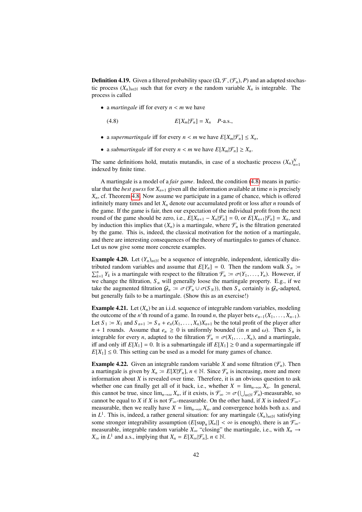**Definition 4.19.** Given a filtered probability space  $(\Omega, \mathcal{F}, (\mathcal{F}_n), P)$  and an adapted stochastic process  $(X_n)_{n \in \mathbb{N}}$  such that for every *n* the random variable  $X_n$  is integrable. The process is called

• <sup>a</sup> *martingale* <sup>i</sup>ff for every *<sup>n</sup>* < *<sup>m</sup>* we have

<span id="page-41-0"></span>(4.8)  $E[X_m | \mathcal{F}_n] = X_n \quad P\text{-a.s.,}$ 

- a *supermartingale* iff for every  $n < m$  we have  $E[X_m | \mathcal{F}_n] \leq X_n$ ,
- a *submartingale* iff for every  $n < m$  we have  $E[X_m | \mathcal{F}_n] \ge X_n$ .

The same definitions hold, mutatis mutandis, in case of a stochastic process  $(X_n)_{n=1}^N$ indexed by finite time.

A martingale is a model of a *fair game*. Indeed, the condition [\(4.8\)](#page-41-0) means in particular that the *best guess* for  $X_{n+1}$  given all the information available at time *n* is precisely *Xn*, cf. Theorem [4.8.](#page-36-1) Now assume we participate in a game of chance, which is offered infinitely many times and let  $X_n$  denote our accumulated profit or loss after *n* rounds of the game. If the game is fair, then our expectation of the individual profit from the next round of the game should be zero, i.e.,  $E[X_{n+1} - X_n | \mathcal{F}_n] = 0$ , or  $E[X_{n+1} | \mathcal{F}_n] = X_n$ , and by induction this implies that  $(X_n)$  is a martingale, where  $\mathcal{F}_n$  is the filtration generated by the game. This is, indeed, the classical motivation for the notion of a martingale, and there are interesting consequences of the theory of martingales to games of chance. Let us now give some more concrete examples.

**Example 4.20.** Let  $(Y_n)_{n \in \mathbb{N}}$  be a sequence of integrable, independent, identically distributed random variables and assume that  $E[Y_n] = 0$ . Then the random walk  $S_n$  :=  $\sum_{k=1}^{n} Y_k$  is a martingale with respect to the filtration  $\mathcal{F}_n := \sigma(Y_1, \ldots, Y_n)$ . However, if we change the filtration S, will generally loose the martingale property  $F$  g, if we we change the filtration,  $S_n$  will generally loose the martingale property. E.g., if we take the augmented filtration  $G_n := \sigma(\mathcal{F}_n \cup \sigma(S_N))$ , then  $S_n$  certainly is  $G_n$ -adapted, but generally fails to be a martingale. (Show this as an exercise!)

<span id="page-41-1"></span>**Example 4.21.** Let  $(X_n)$  be an i.i.d. sequence of integrable random variables, modeling the outcome of the *n*'th round of a game. In round *n*, the player bets  $e_{n-1}(X_1, \ldots, X_{n-1})$ . Let  $S_1 := X_1$  and  $S_{n+1} := S_n + e_n(X_1, \ldots, X_n)X_{n+1}$  be the total profit of the player after  $n + 1$  rounds. Assume that  $e_n \ge 0$  is uniformly bounded (in *n* and  $\omega$ ). Then  $S_n$  is integrable for every *n*, adapted to the filtration  $\mathcal{F}_n = \sigma(X_1, \ldots, X_n)$ , and a martingale, iff and only iff  $E[X_1] = 0$ . It is a submartingale iff  $E[X_1] \ge 0$  and a supermartingale iff  $E[X_1] \leq 0$ . This setting can be used as a model for many games of chance.

**Example 4.22.** Given an integrable random variable *X* and some filtration  $(\mathcal{F}_n)$ . Then a martingale is given by  $X_n := E[X|\mathcal{F}_n]$ ,  $n \in \mathbb{N}$ . Since  $\mathcal{F}_n$  is increasing, more and more information about  $X$  is revealed over time. Therefore, it is an obvious question to ask whether one can finally get all of it back, i.e., whether  $X = \lim_{n \to \infty} X_n$ . In general, this cannot be true, since  $\lim_{n\to\infty} X_n$ , if it exists, is  $\mathcal{F}_\infty := \sigma(\bigcup_{n\in\mathbb{N}} \mathcal{F}_n)$ -measurable, so cannot be equal to *X* if *X* is not  $\mathcal{F}_\infty$ -measurable. On the other hand, if *X* is indeed  $\mathcal{F}_\infty$ . cannot be equal to *X* if *X* is not  $\mathcal{F}_{\infty}$ -measurable. On the other hand, if *X* is indeed  $\mathcal{F}_{\infty}$ measurable, then we really have  $X = \lim_{n \to \infty} X_n$ , and convergence holds both a.s. and in  $L^1$ . This is, indeed, a rather general situation: for any martingale  $(X_n)_{n \in \mathbb{N}}$  satisfying some stronger integrability assumption  $(E[\sup_n |X_n|] < \infty$  is enough), there is an  $\mathcal{F}_{\infty}$ -<br>measurable integrable random variable Y "closing" the martingale i.e. with Y measurable, integrable random variable  $X_\infty$  "closing" the martingale, i.e., with  $X_n \to$  $X_{\infty}$  in  $L^1$  and a.s., implying that  $X_n = E[X_{\infty} | \mathcal{F}_n]$ ,  $n \in \mathbb{N}$ .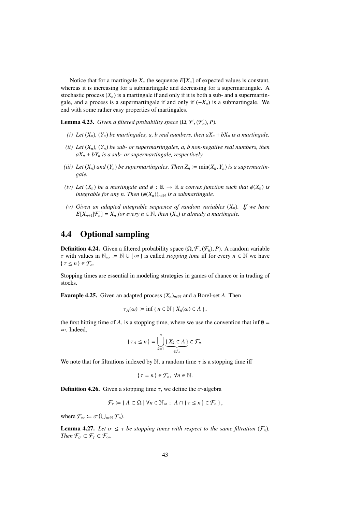Notice that for a martingale  $X_n$  the sequence  $E[X_n]$  of expected values is constant, whereas it is increasing for a submartingale and decreasing for a supermartingale. A stochastic process  $(X_n)$  is a martingale if and only if it is both a sub- and a supermartingale, and a process is a supermartingale if and only if  $(-X_n)$  is a submartingale. We end with some rather easy properties of martingales.

**Lemma 4.23.** *Given a filtered probability space*  $(\Omega, \mathcal{F}, (\mathcal{F}_n), P)$ *.* 

- *(i) Let*  $(X_n)$ *,*  $(Y_n)$  *be martingales, a, b real numbers, then*  $aX_n + bX_n$  *<i>is a martingale.*
- *(ii) Let* (*Xn*)*,* (*Yn*) *be sub- or supermartingales, a, b non-negative real numbers, then*  $aX_n + bY_n$  *is a sub- or supermartingale, respectively.*
- *(iii)* Let  $(X_n)$  and  $(Y_n)$  be supermartingales. Then  $Z_n := min(X_n, Y_n)$  is a supermartin*gale.*
- *(iv)* Let  $(X_n)$  be a martingale and  $\phi : \mathbb{R} \to \mathbb{R}$  a convex function such that  $\phi(X_n)$  is *integrable for any n. Then*  $(\phi(X_n))_{n\in\mathbb{N}}$  *is a submartingale.*
- *(v) Given an adapted integrable sequence of random variables* (*Xn*)*. If we have*  $E[X_{n+1}|\mathcal{F}_n] = X_n$  *for every*  $n \in \mathbb{N}$ , *then*  $(X_n)$  *is already a martingale.*

### <span id="page-42-0"></span>4.4 Optional sampling

**Definition 4.24.** Given a filtered probability space  $(\Omega, \mathcal{F}, (\mathcal{F}_n), P)$ . A random variable  $\tau$  with values in  $\mathbb{N}_{\infty} := \mathbb{N} \cup \{ \infty \}$  is called *stopping time* iff for every  $n \in \mathbb{N}$  we have  $\{\tau \leq n\} \in \mathcal{F}_n$ .

Stopping times are essential in modeling strategies in games of chance or in trading of stocks.

**Example 4.25.** Given an adapted process  $(X_n)_{n \in \mathbb{N}}$  and a Borel-set *A*. Then

$$
\tau_A(\omega) := \inf \{ n \in \mathbb{N} \mid X_n(\omega) \in A \},
$$

the first hitting time of *A*, is a stopping time, where we use the convention that inf  $\emptyset$  = ∞. Indeed,

$$
\{\tau_A \leq n\} = \bigcup_{k=1}^n \underbrace{\{X_k \in A\}}_{\in \mathcal{F}_k} \in \mathcal{F}_n.
$$

We note that for filtrations indexed by  $\mathbb N$ , a random time  $\tau$  is a stopping time iff

$$
\{\tau = n\} \in \mathcal{F}_n, \ \forall n \in \mathbb{N}.
$$

**Definition 4.26.** Given a stopping time  $\tau$ , we define the  $\sigma$ -algebra

$$
\mathcal{F}_{\tau} := \{ A \subset \Omega \mid \forall n \in \mathbb{N}_{\infty} : A \cap \{ \tau \leq n \} \in \mathcal{F}_n \},
$$

where  $\mathcal{F}_{\infty} \coloneqq \sigma\left(\bigcup_{n\in\mathbb{N}} \mathcal{F}_n\right)$ .

**Lemma 4.27.** Let  $\sigma \leq \tau$  be stopping times with respect to the same filtration  $(\mathcal{F}_n)$ . *Then*  $\mathcal{F}_{\sigma} \subset \mathcal{F}_{\tau} \subset \mathcal{F}_{\infty}$ *.*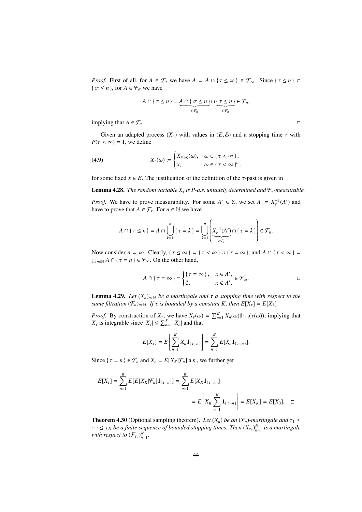*Proof.* First of all, for  $A \in \mathcal{F}_{\tau}$  we have  $A = A \cap {\tau \leq \infty} \in \mathcal{F}_{\infty}$ . Since  ${\tau \leq n} \subset$  $\{\sigma \leq n\}$ , for  $A \in \mathcal{F}_{\sigma}$  we have

$$
A \cap \{\tau \leq n\} = \underbrace{A \cap \{\sigma \leq n\}}_{\in \mathcal{F}_n} \cap \underbrace{\{\tau \leq n\}}_{\in \mathcal{F}_n} \in \mathcal{F}_n,
$$

implying that  $A \in \mathcal{F}_{\tau}$ .

Given an adapted process  $(X_n)$  with values in  $(E, \mathcal{E})$  and a stopping time  $\tau$  with  $P(\tau < \infty) = 1$ , we define

(4.9) 
$$
X_{\tau}(\omega) := \begin{cases} X_{\tau(\omega)}(\omega), & \omega \in {\tau < \infty}, \\ x, & \omega \in {\tau < \infty} \end{cases}
$$

for some fixed  $x \in E$ . The justification of the definition of the  $\tau$ -past is given in

**Lemma 4.28.** *The random variable*  $X<sub>\tau</sub>$  *is P-a.s. uniquely determined and*  $\mathcal{F}<sub>\tau</sub>$ *-measurable.* 

*Proof.* We have to prove measurability. For some  $A' \in \mathcal{E}$ , we set  $A := X_\tau^{-1}(A')$  and have to prove that  $A \in \mathcal{F}_{\tau}$ . For  $n \in \mathbb{N}$  we have

$$
A \cap \{\tau \leq n\} = A \cap \bigcup_{k=1}^{n} \{\tau = k\} = \bigcup_{k=1}^{n} \left( \underbrace{X_k^{-1}(A')}_{\in \mathcal{F}_k} \cap \{\tau = k\} \right) \in \mathcal{F}_n.
$$

Now consider  $n = \infty$ . Clearly,  $\{\tau \leq \infty\} = \{\tau < \infty\} \cup \{\tau = \infty\}$ , and  $A \cap \{\tau < \infty\} =$  $\bigcup_{n\in\mathbb{N}} A \cap {\tau = n} \in \mathcal{F}_{\infty}$ . On the other hand,

$$
A \cap \{\tau = \infty\} = \begin{cases} \{\tau = \infty\}, & x \in A', \\ \emptyset, & x \notin A', \end{cases} \in \mathcal{F}_{\infty}.
$$

<span id="page-43-0"></span>**Lemma 4.29.** Let  $(X_n)_{n \in \mathbb{N}}$  be a martingale and  $\tau$  a stopping time with respect to the *same filtration*  $(\mathcal{F}_n)_{n\in\mathbb{N}}$ *. If*  $\tau$  *is bounded by a constant K, then*  $E[X_\tau] = E[X_1]$ *.* 

*Proof.* By construction of  $X_{\tau}$ , we have  $X_{\tau}(\omega) = \sum_{n=1}^{K} X_n(\omega) \mathbf{1}_{\{n\}}(\tau(\omega))$ , implying that *X* is integrable since  $|Y| < \sum_{n=1}^{K} |Y|$  and that *X*<sub>τ</sub> is integrable since  $|X_{\tau}| \le \sum_{n=1}^{K} |X_n|$  and that

$$
E[X_{\tau}]=E\left[\sum_{n=1}^K X_n \mathbf{1}_{\{\tau=n\}}\right]=\sum_{n=1}^K E[X_n \mathbf{1}_{\{\tau=n\}}].
$$

Since  $\{\tau = n\} \in \mathcal{F}_n$  and  $X_n = E[X_K | \mathcal{F}_n]$  a.s., we further get

$$
E[X_{\tau}] = \sum_{n=1}^{K} E[E[X_{K}|\mathcal{F}_{n}]1_{(\tau=n)}] = \sum_{n=1}^{K} E[X_{K}1_{(\tau=n)}]
$$
  
= 
$$
E\left[X_{K}\sum_{n=1}^{K}1_{(\tau=n)}\right] = E[X_{K}] = E[X_{0}]. \quad \Box
$$

<span id="page-43-1"></span>**Theorem 4.30** (Optional sampling theorem). *Let*  $(X_n)$  *be an*  $(\mathcal{F}_n)$ *-martingale and*  $\tau_1 \leq$  $\cdots \leq \tau_N$  *be a finite sequence of bounded stopping times. Then*  $(X_{\tau_n})_{n=1}^N$  *is a martingale*<br>with respect to  $(F_{\tau_n})_N^N$ with respect to  $(\mathcal{F}_{\tau_n})_{n=1}^N$ .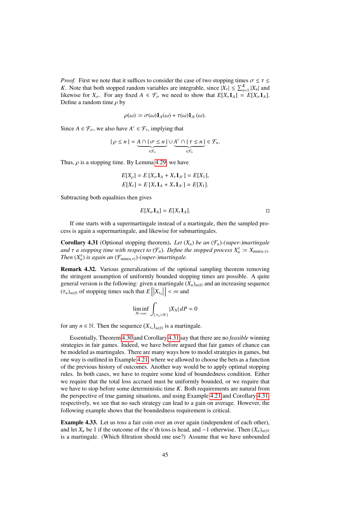*Proof.* First we note that it suffices to consider the case of two stopping times  $\sigma \le \tau \le$ *K*. Note that both stopped random variables are integrable, since  $|X_{\tau}| \le \sum_{n=1}^{K} |X_n|$  and illustries for *Y*<sub>n</sub>. For any fixed  $A \in \mathcal{F}$ , we need to show that  $F[X, 1] = F[X, 1]$ likewise for  $X_{\sigma}$ . For any fixed  $A \in \mathcal{F}_{\sigma}$  we need to show that  $E[X_{\tau}1_{A}] = E[X_{\sigma}1_{A}]$ . Define a random time  $\rho$  by

$$
\rho(\omega) \coloneqq \sigma(\omega) \mathbf{1}_A(\omega) + \tau(\omega) \mathbf{1}_{A^c}(\omega).
$$

Since  $A \in \mathcal{F}_{\sigma}$ , we also have  $A^c \in \mathcal{F}_{\tau}$ , implying that

$$
\{\rho \leq n\} = \underbrace{A \cap \{\sigma \leq n\}}_{\in \mathcal{F}_n} \cup \underbrace{A^c \cap \{\tau \leq n\}}_{\in \mathcal{F}_n} \in \mathcal{F}_n.
$$

Thus,  $\rho$  is a stopping time. By Lemma [4.29,](#page-43-0) we have

$$
E[X_{\rho}] = E[X_{\sigma} \mathbf{1}_A + X_{\tau} \mathbf{1}_{A^c}] = E[X_1],
$$
  

$$
E[X_{\tau}] = E[X_{\tau} \mathbf{1}_A + X_{\tau} \mathbf{1}_{A^c}] = E[X_1].
$$

Subtracting both equalities then gives

$$
E[X_{\sigma}1_A] = E[X_{\tau}1_A].
$$

If one starts with a supermartingale instead of a martingale, then the sampled process is again a supermartingale, and likewise for submartingales.

<span id="page-44-0"></span>**Corollary 4.31** (Optional stopping theorem). Let  $(X_n)$  be an  $(\mathcal{F}_n)$ -(super-)martingale *and*  $\tau$  *a stopping time with respect to*  $(\mathcal{F}_n)$ *. Define the stopped process*  $X_n^{\tau} := X_{\min(n,\tau)}$ *.*<br>*Then*  $(X^{\tau})$  *is gagin an*  $(\mathcal{F}_{\tau} \times \mathcal{F}_{\tau})$ *. Support martingale. Then*  $(X_n^{\tau})$  *is again an*  $(\mathcal{F}_{\min(n,\tau)})$ *-(super-)martingale.* 

Remark 4.32. Various generalizations of the optional sampling theorem removing the stringent assumption of uniformly bounded stopping times are possible. A quite general version is the following: given a martingale  $(X_n)_{n\in\mathbb{N}}$  and an increasing sequence  $(\tau_n)_{n \in \mathbb{N}}$  of stopping times such that  $E\left[|X_{\tau_n}|X\right]$  $\Big] < \infty$  and

$$
\liminf_{N \to \infty} \int_{\{\tau_n > N\}} |X_N| \, dP = 0
$$

for any  $n \in \mathbb{N}$ . Then the sequence  $(X_{\tau_n})_{n \in \mathbb{N}}$  is a martingale.

Essentially, Theorem [4.30](#page-43-1) and Corollary [4.31](#page-44-0) say that there are no *feasible* winning strategies in fair games. Indeed, we have before argued that fair games of chance can be modeled as martingales. There are many ways how to model strategies in games, but one way is outlined in Example [4.21,](#page-41-1) where we allowed to choose the bets as a function of the previous history of outcomes. Another way would be to apply optimal stopping rules. In both cases, we have to require some kind of boundedness condition. Either we require that the total loss accrued must be uniformly bounded, or we require that we have to stop before some deterministic time *K*. Both requirements are natural from the perspective of true gaming situations, and using Example [4.21](#page-41-1) and Corollary [4.31,](#page-44-0) respectively, we see that no such strategy can lead to a gain on average. However, the following example shows that the boundedness requirement is critical.

Example 4.33. Let us toss a fair coin over an over again (independent of each other), and let  $X_n$  be 1 if the outcome of the *n*'th toss is head, and  $-1$  otherwise. Then  $(X_n)_{n\in\mathbb{N}}$ is a martingale. (Which filtration should one use?) Assume that we have unbounded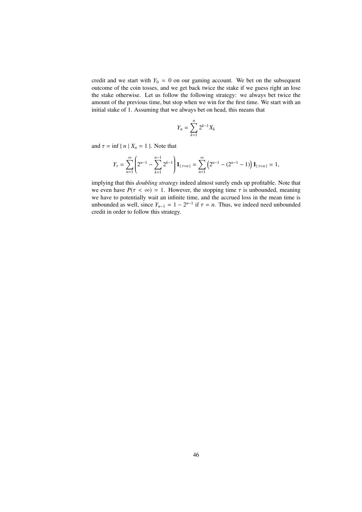credit and we start with  $Y_0 = 0$  on our gaming account. We bet on the subsequent outcome of the coin tosses, and we get back twice the stake if we guess right an lose the stake otherwise. Let us follow the following strategy: we always bet twice the amount of the previous time, but stop when we win for the first time. We start with an initial stake of 1. Assuming that we always bet on head, this means that

$$
Y_n = \sum_{k=1}^n 2^{k-1} X_k
$$

and  $\tau = \inf \{ n | X_n = 1 \}$ . Note that

$$
Y_{\tau} = \sum_{n=1}^{\infty} \left( 2^{n-1} - \sum_{k=1}^{n-1} 2^{k-1} \right) \mathbf{1}_{\{\tau=n\}} = \sum_{n=1}^{\infty} \left( 2^{n-1} - (2^{n-1} - 1) \right) \mathbf{1}_{\{\tau=n\}} = 1,
$$

implying that this *doubling strategy* indeed almost surely ends up profitable. Note that we even have  $P(\tau < \infty) = 1$ . However, the stopping time  $\tau$  is unbounded, meaning we have to potentially wait an infinite time, and the accrued loss in the mean time is unbounded as well, since  $Y_{n-1} = 1 - 2^{n-1}$  if  $\tau = n$ . Thus, we indeed need unbounded credit in order to follow this strategy credit in order to follow this strategy.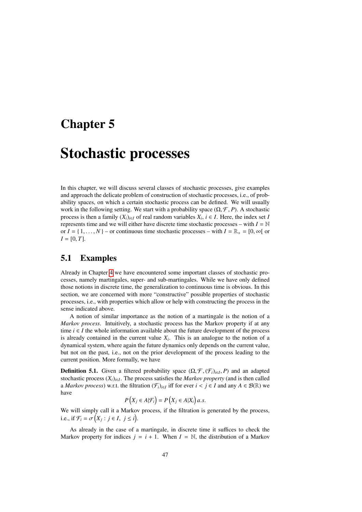### Chapter 5

## Stochastic processes

In this chapter, we will discuss several classes of stochastic processes, give examples and approach the delicate problem of construction of stochastic processes, i.e., of probability spaces, on which a certain stochastic process can be defined. We will usually work in the following setting. We start with a probability space  $(\Omega, \mathcal{F}, P)$ . A stochastic process is then a family  $(X_i)_{i \in I}$  of real random variables  $X_i$ ,  $i \in I$ . Here, the index set *I* represents time and we will either have discrete time stochastic processes – with  $I = N$ or  $I = \{1, \ldots, N\}$  – or continuous time stochastic processes – with  $I = \mathbb{R}_+ = [0, \infty]$  or  $I = [0, T]$ .

### 5.1 Examples

Already in Chapter [4](#page-32-0) we have encountered some important classes of stochastic processes, namely martingales, super- and sub-martingales. While we have only defined those notions in discrete time, the generalization to continuous time is obvious. In this section, we are concerned with more "constructive" possible properties of stochastic processes, i.e., with properties which allow or help with constructing the process in the sense indicated above.

A notion of similar importance as the notion of a martingale is the notion of a *Markov process*. Intuitively, a stochastic process has the Markov property if at any time  $i \in I$  the whole information available about the future development of the process is already contained in the current value  $X_i$ . This is an analogue to the notion of a dynamical system, where again the future dynamics only depends on the current value, but not on the past, i.e., not on the prior development of the process leading to the current position. More formally, we have

**Definition 5.1.** Given a filtered probability space  $(\Omega, \mathcal{F}, (\mathcal{F}_i)_{i \in I}, P)$  and an adapted stochastic process  $(X_i)_{i \in I}$ . The process satisfies the *Markov property* (and is then called stochastic process  $(X_i)_{i \in I}$ . The process satisfies the *Markov property* (and is then called a *Markov process*) w.r.t. the filtration  $(\mathcal{F}_i)_{i \in I}$  iff for ever  $i < j \in I$  and any  $A \in \mathcal{B}(\mathbb{R})$  we have have

$$
P(X_j \in A | \mathcal{F}_i) = P(X_j \in A | X_i) a.s.
$$

We will simply call it a Markov process, if the filtration is generated by the process, i.e., if  $\mathcal{F}_i = \sigma\left(X_j : j \in I, j \leq i\right)$ .

As already in the case of a martingale, in discrete time it suffices to check the Markov property for indices  $j = i + 1$ . When  $I = \mathbb{N}$ , the distribution of a Markov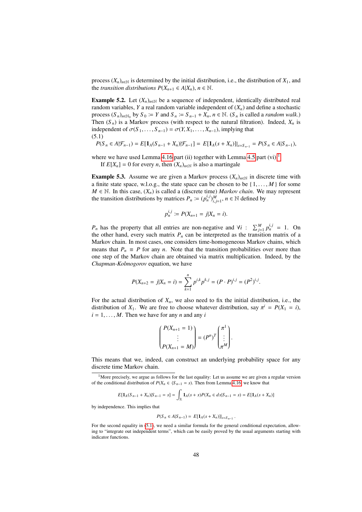process  $(X_n)_{n \in \mathbb{N}}$  is determined by the initial distribution, i.e., the distribution of  $X_1$ , and the *transition distributions*  $P(X_{n+1} \in A | X_n)$ ,  $n \in \mathbb{N}$ .

<span id="page-47-2"></span>**Example 5.2.** Let  $(X_n)_{n\in\mathbb{N}}$  be a sequence of independent, identically distributed real random variables,  $Y$  a real random variable independent of  $(X_n)$  and define a stochastic process  $(S_n)_{n \in \mathbb{N}_0}$  by  $S_0 := Y$  and  $S_n := S_{n-1} + X_n$ ,  $n \in \mathbb{N}$ .  $(S_n$  is called a *random walk*.) Then  $(S_n)$  is a Markov process (with respect to the natural filtration). Indeed,  $X_n$  is independent of  $\sigma(S_1, \ldots, S_{n-1}) = \sigma(Y, X_1, \ldots, X_{n-1})$ , implying that (5.1)

<span id="page-47-1"></span>
$$
P(S_n \in A | \mathcal{F}_{n-1}) = E[\mathbf{1}_A(S_{n-1} + X_n) | \mathcal{F}_{n-1}] = E[\mathbf{1}_A(s + X_n)]|_{s = S_{n-1}} = P(S_n \in A | S_{n-1}),
$$

where we have used Lemma [4.16](#page-38-1) part (ii) together with Lemma [4.5](#page-33-1) part  $(vi)$ .<sup>[1](#page-47-0)</sup>

If  $E[X_n] = 0$  for every *n*, then  $(X_n)_{n \in \mathbb{N}}$  is also a martingale

**Example 5.3.** Assume we are given a Markov process  $(X_n)_{n \in \mathbb{N}}$  in discrete time with a finite state space, w.l.o.g., the state space can be chosen to be  $\{1, \ldots, M\}$  for some *M* ∈ N. In this case,  $(X_n)$  is called a (discrete time) *Markov chain*. We may represent the transition distributions by matrices  $P_n := (p_n^{i,j})_{i,j=1}^M$ ,  $n \in \mathbb{N}$  defined by

$$
p_n^{i,j} := P(X_{n+1} = j | X_n = i).
$$

*P<sub>n</sub>* has the property that all entries are non-negative and  $\forall i$  :  $\sum_{j=1}^{M} p_n^{i,j} = 1$ . On the other hand, every such matrix  $P_n$  can be interpreted as the transition matrix of a Markov chain. In most cases, one considers time-homogeneous Markov chains, which means that  $P_n \equiv P$  for any *n*. Note that the transition probabilities over more than one step of the Markov chain are obtained via matrix multiplication. Indeed, by the *Chapman-Kolmogorov* equation, we have

$$
P(X_{n+2} = j | X_n = i) = \sum_{k=1}^{n} p^{i,k} p^{k,j} = (P \cdot P)^{i,j} = (P^2)^{i,j}.
$$

For the actual distribution of  $X_n$ , we also need to fix the initial distribution, i.e., the distribution of  $X_1$ . We are free to choose whatever distribution, say  $\pi^i = P(X_1 = i)$ ,  $i = 1$  *M*. Then we have for any *n* and any *i*  $i = 1, \ldots, M$ . Then we have for any *n* and any *i* 

$$
\begin{pmatrix} P(X_{n+1} = 1) \\ \vdots \\ P(X_{n+1} = M) \end{pmatrix} = (P^n)^T \begin{pmatrix} \pi^1 \\ \vdots \\ \pi^M \end{pmatrix}.
$$

This means that we, indeed, can construct an underlying probability space for any discrete time Markov chain.

<span id="page-47-0"></span><sup>1</sup>More precisely, we argue as follows for the last equality: Let us assume we are given a regular version of the conditional distribution of  $P(X_n \in \cdot | S_{n-1} = s)$ . Then from Lemma [4.16,](#page-38-1) we know that

$$
E[\mathbf{1}_A(S_{n-1} + X_n)|S_{n-1} = s] = \int_{\mathbb{R}} \mathbf{1}_A(s+x)P(X_n \in dx | S_{n-1} = s) = E[\mathbf{1}_A(s+X_n)]
$$

by independence. This implies that

$$
P(S_n \in A | S_{n-1}) = E[\mathbf{1}_A(s + X_n)]|_{s = S_{n-1}}
$$

For the second equality in [\(5.1\)](#page-47-1), we need a similar formula for the general conditional expectation, allowing to "integrate out independent terms", which can be easily proved by the usual arguments starting with indicator functions.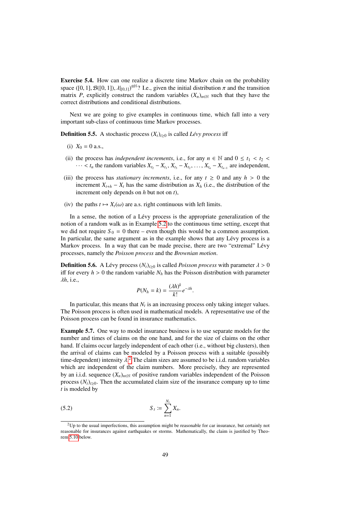Exercise 5.4. How can one realize a discrete time Markov chain on the probability space ([0, 1],  $\mathcal{B}([0, 1])$ ,  $\lambda |_{[0, 1]}$ )<sup> $\otimes \mathbb{N}$ </sup>? I.e., given the initial distribution  $\pi$  and the transition matrix  $P$  explicitly construct the random variables  $(Y)$ , we such that they have the matrix *P*, explicitly construct the random variables  $(X_n)_{n \in \mathbb{N}}$  such that they have the correct distributions and conditional distributions.

Next we are going to give examples in continuous time, which fall into a very important sub-class of continuous time Markov processes.

**Definition 5.5.** A stochastic process  $(X_t)_{t\geq0}$  is called *Lévy process* iff

- (i)  $X_0 = 0$  a.s.,
- (ii) the process has *independent increments*, i.e., for any  $n \in \mathbb{N}$  and  $0 \le t_1 < t_2$  $\cdots < t_n$  the random variables  $X_{t_2} - X_{t_1}, X_{t_3} - X_{t_2}, \ldots, X_{t_n} - X_{t_{n-1}}$  are independent,
- (iii) the process has *stationary increments*, i.e., for any  $t \ge 0$  and any  $h > 0$  the increment  $X_{t+h} - X_t$  has the same distribution as  $X_h$  (i.e., the distribution of the increment only depends on *h* but not on *t*),
- (iv) the paths  $t \mapsto X_t(\omega)$  are a.s. right continuous with left limits.

In a sense, the notion of a Lévy process is the appropriate generalization of the notion of a random walk as in Example [5.2](#page-47-2) to the continuous time setting, except that we did not require  $S_0 = 0$  there – even though this would be a common assumption. In particular, the same argument as in the example shows that any Lévy process is a Markov process. In a way that can be made precise, there are two "extremal" Lévy processes, namely the *Poisson process* and the *Brownian motion*.

**Definition 5.6.** A Lévy process  $(N_t)_{t\geq0}$  is called *Poisson process* with parameter  $\lambda > 0$ iff for every  $h > 0$  the random variable  $N_h$  has the Poisson distribution with parameter λ*h*, i.e.,

$$
P(N_h = k) = \frac{(\lambda h)^k}{k!} e^{-\lambda h}.
$$

In particular, this means that  $N_t$  is an increasing process only taking integer values. The Poisson process is often used in mathematical models. A representative use of the Poisson process can be found in insurance mathematics.

Example 5.7. One way to model insurance business is to use separate models for the number and times of claims on the one hand, and for the size of claims on the other hand. If claims occur largely independent of each other (i.e., without big clusters), then the arrival of claims can be modeled by a Poisson process with a suitable (possibly time-dependent) intensity  $\lambda^2$  $\lambda^2$ . The claim sizes are assumed to be i.i.d. random variables<br>which are independent of the claim numbers. More precisely, they are represented which are independent of the claim numbers. More precisely, they are represented by an i.i.d. sequence  $(X_n)_{n \in \mathbb{N}}$  of positive random variables independent of the Poisson process  $(N_t)_{t\geq0}$ . Then the accumulated claim size of the insurance company up to time *t* is modeled by

<span id="page-48-1"></span>(5.2) 
$$
S_t := \sum_{n=1}^{N_t} X_n.
$$

<span id="page-48-0"></span> $2Up$  to the usual imperfections, this assumption might be reasonable for car insurance, but certainly not reasonable for insurances against earthquakes or storms. Mathematically, the claim is justified by Theorem [5.10](#page-49-0) below.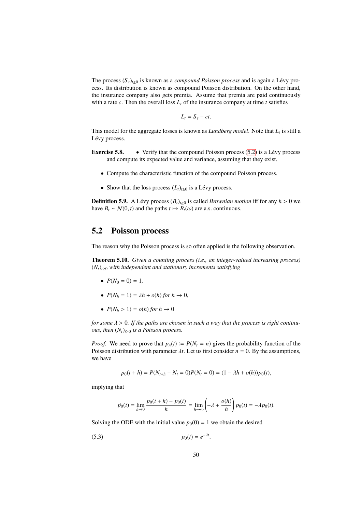The process  $(S_t)_{t\geq0}$  is known as a *compound Poisson process* and is again a Lévy process. Its distribution is known as compound Poisson distribution. On the other hand, the insurance company also gets premia. Assume that premia are paid continuously with a rate  $c$ . Then the overall loss  $L<sub>t</sub>$  of the insurance company at time  $t$  satisfies

$$
L_t = S_t - ct.
$$

This model for the aggregate losses is known as *Lundberg model*. Note that *L<sup>t</sup>* is still a Lévy process.

- **Exercise 5.8.** Verify that the compound Poisson process  $(5.2)$  is a Lévy process and compute its expected value and variance, assuming that they exist.
	- Compute the characteristic function of the compound Poisson process.
	- Show that the loss process  $(L_t)_{t\geq0}$  is a Lévy process.

<span id="page-49-2"></span>**Definition 5.9.** A Lévy process  $(B_t)_{t\geq0}$  is called *Brownian motion* iff for any  $h > 0$  we have  $B_t \sim N(0, t)$  and the paths  $t \mapsto B_t(\omega)$  are a.s. continuous.

### 5.2 Poisson process

<span id="page-49-0"></span>The reason why the Poisson process is so often applied is the following observation.

Theorem 5.10. *Given a counting process (i.e., an integer-valued increasing process)*  $(N_t)_{t\geq0}$  *with independent and stationary increments satisfying* 

- $P(N_0 = 0) = 1$ ,
- $P(N_h = 1) = \lambda h + o(h)$  *for*  $h \to 0$ *,*
- $P(N_h > 1) = o(h)$  *for*  $h \to 0$

*for some*  $\lambda > 0$ . If the paths are chosen in such a way that the process is right continu*ous, then*  $(N_t)_{t>0}$  *is a Poisson process.* 

*Proof.* We need to prove that  $p_n(t) := P(N_t = n)$  gives the probability function of the Poisson distribution with parameter  $\lambda t$ . Let us first consider  $n = 0$ . By the assumptions, we have

$$
p_0(t+h) = P(N_{t+h} - N_t = 0)P(N_t = 0) = (1 - \lambda h + o(h))p_0(t),
$$

implying that

<span id="page-49-1"></span>
$$
\dot{p}_0(t) = \lim_{h \to 0} \frac{p_0(t+h) - p_0(t)}{h} = \lim_{h \to \infty} \left( -\lambda + \frac{o(h)}{h} \right) p_0(t) = -\lambda p_0(t).
$$

Solving the ODE with the initial value  $p_0(0) = 1$  we obtain the desired

$$
(5.3) \t\t\t p_0(t) = e^{-\lambda t}.
$$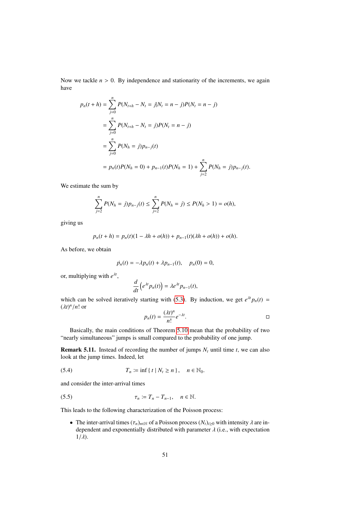Now we tackle  $n > 0$ . By independence and stationarity of the increments, we again have

$$
p_n(t+h) = \sum_{j=0}^n P(N_{t+h} - N_t = j | N_t = n - j) P(N_t = n - j)
$$
  
= 
$$
\sum_{j=0}^n P(N_{t+h} - N_t = j) P(N_t = n - j)
$$
  
= 
$$
\sum_{j=0}^n P(N_h = j) p_{n-j}(t)
$$
  
= 
$$
p_n(t) P(N_h = 0) + p_{n-1}(t) P(N_h = 1) + \sum_{j=2}^n P(N_h = j) p_{n-j}(t).
$$

We estimate the sum by

$$
\sum_{j=2}^{n} P(N_h = j) p_{n-j}(t) \le \sum_{j=2}^{n} P(N_h = j) \le P(N_h > 1) = o(h),
$$

giving us

$$
p_n(t + h) = p_n(t)(1 - \lambda h + o(h)) + p_{n-1}(t)(\lambda h + o(h)) + o(h).
$$

As before, we obtain

$$
\dot{p}_n(t) = -\lambda p_n(t) + \lambda p_{n-1}(t), \quad p_n(0) = 0,
$$

or, multiplying with *e* λ*t* ,

$$
\frac{d}{dt}\left(e^{\lambda t}p_n(t)\right)=\lambda e^{\lambda t}p_{n-1}(t),
$$

which can be solved iteratively starting with [\(5.3\)](#page-49-1). By induction, we get  $e^{\lambda t}p_n(t)$  =  $(\lambda t)^n/n!$  or

$$
p_n(t) = \frac{(\lambda t)^n}{n!} e^{-\lambda t}.
$$

Basically, the main conditions of Theorem [5.10](#page-49-0) mean that the probability of two "nearly simultaneous" jumps is small compared to the probability of one jump.

<span id="page-50-0"></span>**Remark 5.11.** Instead of recording the number of jumps  $N_t$  until time *t*, we can also look at the jump times. Indeed, let

(5.4) 
$$
T_n := \inf \{ t \mid N_t \ge n \}, \quad n \in \mathbb{N}_0.
$$

and consider the inter-arrival times

$$
\tau_n := T_n - T_{n-1}, \quad n \in \mathbb{N}.
$$

This leads to the following characterization of the Poisson process:

• The inter-arrival times  $(\tau_n)_{n \in \mathbb{N}}$  of a Poisson process  $(N_t)_{t \geq 0}$  with intensity  $\lambda$  are independent and exponentially distributed with parameter  $\lambda$  (i.e., with expectation  $1/\lambda$ ).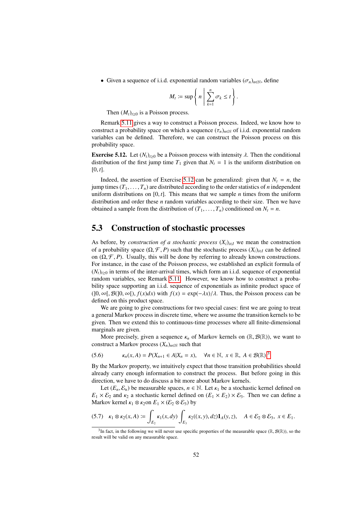• Given a sequence of i.i.d. exponential random variables  $(\sigma_n)_{n \in \mathbb{N}}$ , define

$$
M_t := \sup \left\{ n \mid \sum_{k=1}^n \sigma_k \leq t \right\}.
$$

Then  $(M_t)_{t>0}$  is a Poisson process.

Remark [5.11](#page-50-0) gives a way to construct a Poisson process. Indeed, we know how to construct a probability space on which a sequence  $(\tau_n)_{n \in \mathbb{N}}$  of i.i.d. exponential random variables can be defined. Therefore, we can construct the Poisson process on this probability space.

<span id="page-51-0"></span>**Exercise 5.12.** Let  $(N_t)_{t\geq0}$  be a Poisson process with intensity  $\lambda$ . Then the conditional distribution of the first jump time  $T_1$  given that  $N_t = 1$  is the uniform distribution on  $[0, t]$ .

Indeed, the assertion of Exercise [5.12](#page-51-0) can be generalized: given that  $N_t = n$ , the jump times  $(T_1, \ldots, T_n)$  are distributed according to the order statistics of *n* independent uniform distributions on  $[0, t]$ . This means that we sample *n* times from the uniform distribution and order these *n* random variables according to their size. Then we have obtained a sample from the distribution of  $(T_1, \ldots, T_n)$  conditioned on  $N_t = n$ .

### <span id="page-51-4"></span>5.3 Construction of stochastic processes

As before, by *construction of a stochastic process*  $(X_i)_{i \in I}$  we mean the construction of a probability space  $(\Omega, \mathcal{F}, P)$  such that the stochastic process  $(X_i)_{i \in I}$  can be defined on  $(\Omega, \mathcal{F}, P)$ . Usually, this will be done by referring to already known constructions. For instance, in the case of the Poisson process, we established an explicit formula of  $(N_t)_{t\geq0}$  in terms of the inter-arrival times, which form an i.i.d. sequence of exponential random variables, see Remark [5.11.](#page-50-0) However, we know how to construct a probability space supporting an i.i.d. sequence of exponentials as infinite product space of  $($ [0,  $\infty$ [,  $\mathcal{B}(]0, \infty)$ ],  $f(x)dx$ ) with  $f(x) = \exp(-\lambda x)/\lambda$ . Thus, the Poisson process can be defined on this product space.

We are going to give constructions for two special cases: first we are going to treat a general Markov process in discrete time, where we assume the transition kernels to be given. Then we extend this to continuous-time processes where all finite-dimensional marginals are given.

More precisely, given a sequence  $\kappa_n$  of Markov kernels on  $(\mathbb{R}, \mathcal{B}(\mathbb{R}))$ , we want to construct a Markov process  $(X_n)_{n\in\mathbb{N}}$  such that

$$
(5.6) \qquad \kappa_n(x, A) = P(X_{n+1} \in A | X_n = x), \quad \forall n \in \mathbb{N}, \ x \in \mathbb{R}, \ A \in \mathcal{B}(\mathbb{R}).^3
$$

By the Markov property, we intuitively expect that those transition probabilities should already carry enough information to construct the process. But before going in this direction, we have to do discuss a bit more about Markov kernels.

Let  $(E_n, \mathcal{E}_n)$  be measurable spaces,  $n \in \mathbb{N}$ . Let  $\kappa_1$  be a stochastic kernel defined on  $E_1 \times E_2$  and  $\kappa_2$  a stochastic kernel defined on  $(E_1 \times E_2) \times E_3$ . Then we can define a Markov kernel  $\kappa_1 \otimes \kappa_2$ on  $E_1 \times (\mathcal{E}_2 \otimes \mathcal{E}_3)$  by

<span id="page-51-2"></span>
$$
(5.7) \quad \kappa_1 \otimes \kappa_2(x, A) := \int_{E_2} \kappa_1(x, dy) \int_{E_3} \kappa_2((x, y), dz) \mathbf{1}_A(y, z), \quad A \in \mathcal{E}_2 \otimes \mathcal{E}_3, \ x \in E_1.
$$

<span id="page-51-3"></span><span id="page-51-1"></span><sup>&</sup>lt;sup>3</sup>In fact, in the following we will never use specific properties of the measurable space ( $\mathbb{R}, \mathcal{B}(\mathbb{R})$ ), so the ult will be valid on any measurable space result will be valid on any measurable space.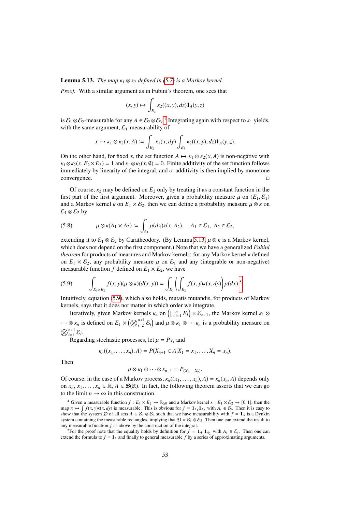#### **Lemma 5.13.** *The map*  $\kappa_1 \otimes \kappa_2$  *defined in [\(5.7\)](#page-51-2) is a Markov kernel.*

*Proof.* With a similar argument as in Fubini's theorem, one sees that

$$
(x,y)\mapsto \int_{E_3} \kappa_2((x,y),dz) \mathbf{1}_A(y,z)
$$

is  $\mathcal{E}_1 \otimes \mathcal{E}_2$ -measurable for any  $A \in \mathcal{E}_2 \otimes \mathcal{E}_3$ .<sup>[4](#page-52-0)</sup> Integrating again with respect to  $\kappa_1$  yields, with the same argument  $\mathcal{E}_3$ -measurability of with the same argument,  $\mathcal{E}_1$ -measurability of

$$
x \mapsto \kappa_1 \otimes \kappa_2(x, A) := \int_{E_2} \kappa_1(x, dy) \int_{E_3} \kappa_2((x, y), dz) \mathbf{1}_A(y, z).
$$

On the other hand, for fixed *x*, the set function  $A \mapsto \kappa_1 \otimes \kappa_2(x, A)$  is non-negative with  $\kappa_1 \otimes \kappa_2(x, E_2 \times E_3) = 1$  and  $\kappa_1 \otimes \kappa_2(x, \emptyset) = 0$ . Finite additivity of the set function follows immediately by linearity of the integral, and  $σ$ -additivity is then implied by monotone convergence.  $\Box$ convergence.

Of course,  $\kappa_2$  may be defined on  $E_2$  only by treating it as a constant function in the first part of the first argument. Moreover, given a probability measure  $\mu$  on  $(E_1, \mathcal{E}_1)$ and a Markov kernel  $\kappa$  on  $E_1 \times E_2$ , then we can define a probability measure  $\mu \otimes \kappa$  on  $\mathcal{E}_1 \otimes \mathcal{E}_2$  by

(5.8) 
$$
\mu \otimes \kappa(A_1 \times A_2) := \int_{A_1} \mu(dx)\kappa(x,A_2), \quad A_1 \in \mathcal{E}_1, A_2 \in \mathcal{E}_2,
$$

extending it to  $\mathcal{E}_1 \otimes \mathcal{E}_2$  by Caratheodory. (By Lemma [5.13,](#page-51-3)  $\mu \otimes \kappa$  is a Markov kernel, which does not depend on the first component.) Note that we have a generalized *Fubini theorem* for products of measures and Markov kernels: for any Markov kernel κ defined on  $E_1 \times E_2$ , any probability measure  $\mu$  on  $E_1$  and any (integrable or non-negative) measurable function *f* defined on  $E_1 \times E_2$ , we have

<span id="page-52-2"></span>
$$
(5.9) \qquad \int_{E_1\times E_2} f(x,y)(\mu\otimes \kappa)(d(x,y)) = \int_{E_1} \left(\int_{E_2} f(x,y)\kappa(x,dy)\right) \mu(dx).^5
$$

Intuitively, equation [\(5.9\)](#page-52-2), which also holds, mutatis mutandis, for products of Markov kernels, says that it does not matter in which order we integrate.

Iteratively, given Markov kernels  $\kappa_n$  on  $\left(\prod_{i=1}^n E_i\right) \times \mathcal{E}_{n+1}$ , the Markov kernel  $\kappa_1 \otimes$  $\cdots \otimes \kappa_n$  is defined on  $E_1 \times (\bigotimes_{i=2}^{n+1} \mathcal{E}_i)$  and  $\mu \otimes \kappa_1 \otimes \cdots \kappa_n$  is a probability measure on  $\bigotimes_{i=1}^{n+1} \mathcal{E}_i$  $\bigotimes_{i=1}^{n+1} \mathcal{E}_i$ .

Regarding stochastic processes, let  $\mu = P_{X_1}$  and

$$
\kappa_n((x_1,\ldots,x_n),A)=P(X_{n+1}\in A|X_1=x_1,\ldots,X_n=x_n).
$$

Then

$$
\mu \otimes \kappa_1 \otimes \cdots \otimes \kappa_{n-1} = P_{(X_1,\ldots,X_n)}.
$$

Of course, in the case of a Markov process,  $\kappa_n((x_1, \ldots, x_n), A) = \kappa_n(x_n, A)$  depends only<br>on  $x - x_1 \in \mathbb{R}$   $A \in \mathcal{B}(\mathbb{R})$ . In fact, the following theorem asserts that we can go on  $x_n, x_1, \ldots, x_n \in \mathbb{R}, A \in \mathcal{B}(\mathbb{R})$ . In fact, the following theorem asserts that we can go to the limit  $n \to \infty$  in this construction.

<span id="page-52-3"></span><span id="page-52-0"></span><sup>&</sup>lt;sup>4</sup> Given a measurable function  $f: E_1 \times E_2 \to \mathbb{R}_{\geq 0}$  and a Markov kernel  $\kappa: E_1 \times E_2 \to [0, 1]$ , then the  $\lim_{h \to \infty} \int f(x, y)k(x, dy)$  is measurable. This is obvious for  $f = 1_{A_1}1_{A_2}$  with  $A_i \in \mathcal{E}_i$ . Then it is easy to show that the system *D* of all sets  $A \in \mathcal{E}_i \otimes \mathcal{E}_2$  such that we have measurability with  $f = 1$ , show that the system D of all sets  $A \in \mathcal{E}_1 \otimes \mathcal{E}_2$  such that we have measurability with  $f = \mathbf{1}_A$  is a Dynkin system containing the measurable rectangles, implying that  $\mathcal{D} = \mathcal{E}_1 \otimes \mathcal{E}_2$ . Then one can extend the result to any measurable function *f* as above by the construction of the integral.

<span id="page-52-1"></span><sup>&</sup>lt;sup>5</sup>For the proof note that the equality holds by definition for  $f = \mathbf{1}_{A_1} \mathbf{1}_{A_2}$  with  $A_i \in \mathcal{E}_i$ . Then one can extend the formula to  $f = 1_A$  and finally to general measurable f by a series of approximating arguments.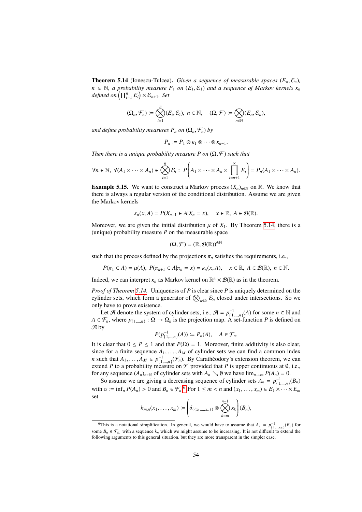**Theorem 5.14** (Ionescu-Tulcea). *Given a sequence of measurable spaces*  $(E_n, \mathcal{E}_n)$ ,  $n \in \mathbb{N}$ , *a probability measure*  $P_1$  *on*  $(E_1, \mathcal{E}_1)$  *and a sequence of Markov kernels*  $\kappa_n$  $\det(\text{Im} \theta) \cdot \left( \prod_{i=1}^{n} E_i \right) \times \mathcal{E}_{n+1}$ . Set

$$
(\Omega_n,\mathcal{F}_n)\coloneqq\bigotimes_{i=1}^n(E_i,\mathcal{E}_i),\ n\in\mathbb{N},\quad (\Omega,\mathcal{F})\coloneqq\bigotimes_{n\in\mathbb{N}}(E_n,\mathcal{E}_n),
$$

*and define probability measures*  $P_n$  *on*  $(\Omega_n, \mathcal{F}_n)$  *by* 

$$
P_n := P_1 \otimes \kappa_1 \otimes \cdots \otimes \kappa_{n-1}.
$$

*Then there is a unique probability measure P on*  $(\Omega, \mathcal{F})$  *such that* 

$$
\forall n \in \mathbb{N}, \ \forall (A_1 \times \cdots \times A_n) \in \bigotimes_{i=1}^n \mathcal{E}_i : \ P\left(A_1 \times \cdots \times A_n \times \prod_{i=n+1}^\infty E_i\right) = P_n(A_1 \times \cdots \times A_n).
$$

**Example 5.15.** We want to construct a Markov process  $(X_n)_{n \in \mathbb{N}}$  on R. We know that there is always a regular version of the conditional distribution. Assume we are given the Markov kernels

$$
\kappa_n(x, A) = P(X_{n+1} \in A | X_n = x), \quad x \in \mathbb{R}, A \in \mathcal{B}(\mathbb{R}).
$$

Moreover, we are given the initial distribution  $\mu$  of  $X_1$ . By Theorem [5.14,](#page-52-3) there is a (unique) probability measure *P* on the measurable space

$$
(\Omega,\mathcal{F}) = (\mathbb{R},\mathcal{B}(\mathbb{R}))^{\otimes \mathbb{N}}
$$

such that the process defined by the projections  $\pi_n$  satisfies the requirements, i.e.,

$$
P(\pi_1 \in A) = \mu(A), \ P(\pi_{n+1} \in A | \pi_n = x) = \kappa_n(x, A), \quad x \in \mathbb{R}, \ A \in \mathcal{B}(\mathbb{R}), \ n \in \mathbb{N}.
$$

Indeed, we can interpret  $\kappa_n$  as Markov kernel on  $\mathbb{R}^n \times \mathcal{B}(\mathbb{R})$  as in the theorem.

*Proof of Theorem [5.14.](#page-52-3)* Uniqueness of *P* is clear since *P* is uniquely determined on the cylinder sets, which form a generator of  $\bigotimes_{n\in\mathbb{N}}\mathcal{E}_n$  closed under intersections. So we only have to prove existence.

Let A denote the system of cylinder sets, i.e.,  $A = p_{-1}^{-1}$  (*A*) for some  $n \in \mathbb{N}$  and Let  $\mathcal{F}_1$  denote the system of cynnaer sets, i.e.,  $\mathcal{F}_1 = P_{\{1,\dots,n\}}(A)$  for some  $n \in \mathbb{N}$  and  $A \in \mathcal{F}_n$ , where  $p_{\{1,\dots,n\}} : \Omega \to \Omega_n$  is the projection map. A set-function *P* is defined on A by

$$
P(p_{\{1,\ldots,n\}}^{-1}(A)) \coloneqq P_n(A), \quad A \in \mathcal{F}_n.
$$

It is clear that  $0 \le P \le 1$  and that  $P(\Omega) = 1$ . Moreover, finite additivity is also clear, since for a finite sequence  $A_1, \ldots, A_M$  of cylinder sets we can find a common index<br>*n* such that  $A_1, \ldots, A_M \in \mathbb{R}^{n-1}$  ( $\mathcal{F}$ ). By Carathéodory's extension theorem, we can *n* such that  $A_1, \ldots, A_M \in p_{[1,\ldots,n]}^{-1}(\mathcal{F}_n)$ . By Caratheodory's extension theorem, we can extend *P* to a probability measure on  $\mathcal{F}$  provided that *P* is upper continuous at  $\emptyset$ , i.e. extend *P* to a probability measure on  $\mathcal F$  provided that *P* is upper continuous at  $\emptyset$ , i.e., for any sequence  $(A_n)_{n \in \mathbb{N}}$  of cylinder sets with  $A_n \searrow \emptyset$  we have  $\lim_{n \to \infty} P(A_n) = 0$ .

So assume we are giving a decreasing sequence of cylinder sets  $A_n = p_{(1,...,n)}^{-1}(B_n)$ with  $\alpha := \inf_n P(A_n) > 0$  and  $B_n \in \mathcal{F}_n$ .<sup>[6](#page-53-0)</sup> For  $1 \leq m < n$  and  $(x_1, \ldots, x_m) \in E_1 \times \cdots \times E_m$ set

$$
h_{m,n}(x_1,\ldots,x_m):=\left(\delta_{\{(x_1,\ldots,x_m)\}}\otimes\bigotimes_{k=m}^{n-1}\kappa_k\right)(B_n),
$$

<span id="page-53-0"></span><sup>6</sup>This is a notational simplification. In general, we would have to assume that  $A_n = p_{\{1,\ldots,k_n\}}^{-1}(B_n)$  for  $B_n \in \mathcal{F}_n$  with a sequence *k*, which we might assume to be increasing. It is not difficult to extend the some  $B_n \in \mathcal{F}_{k_n}$  with a sequence  $k_n$  which we might assume to be increasing. It is not difficult to extend the following arguments to this general situation, but they are more transparent in the simpler case.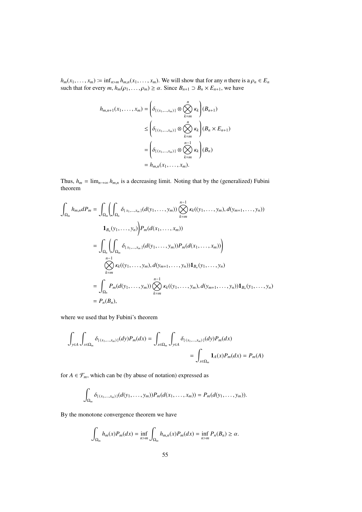$h_m(x_1, \ldots, x_m) \coloneqq \inf_{n > m} h_{m,n}(x_1, \ldots, x_m)$ . We will show that for any *n* there is a  $\rho_n \in E_n$ such that for every *m*,  $h_m(\rho_1, \ldots, \rho_m) \ge \alpha$ . Since  $B_{n+1} \supset B_n \times E_{n+1}$ , we have

$$
h_{m,n+1}(x_1,\ldots,x_m) = \left(\delta_{\{(x_1,\ldots,x_m)\}} \otimes \bigotimes_{k=m}^n \kappa_k\right)(B_{n+1})
$$
  

$$
\leq \left(\delta_{\{(x_1,\ldots,x_m)\}} \otimes \bigotimes_{k=m}^n \kappa_k\right)(B_n \times E_{n+1})
$$
  

$$
= \left(\delta_{\{(x_1,\ldots,x_m)\}} \otimes \bigotimes_{k=m}^{n-1} \kappa_k\right)(B_n)
$$
  

$$
= h_{m,n}(x_1,\ldots,x_m).
$$

Thus,  $h_m = \lim_{n \to \infty} h_{m,n}$  is a decreasing limit. Noting that by the (generalized) Fubini theorem

$$
\int_{\Omega_m} h_{m,n} dP_m = \int_{\Omega_m} \left( \int_{\Omega_m} \delta_{\{x_1, \dots, x_m\}}(d(y_1, \dots, y_m)) \bigotimes_{k=m}^{n-1} \kappa_k((y_1, \dots, y_m), d(y_{m+1}, \dots, y_n)) \right)
$$
  
\n
$$
1_{B_n}(y_1, \dots, y_n) \bigg) P_m(d(x_1, \dots, x_m))
$$
  
\n
$$
= \int_{\Omega_n} \left( \int_{\Omega_m} \delta_{\{x_1, \dots, x_m\}}(d(y_1, \dots, y_m)) P_m(d(x_1, \dots, x_m)) \right)
$$
  
\n
$$
\bigotimes_{k=m}^{n-1} \kappa_k((y_1, \dots, y_m), d(y_{m+1}, \dots, y_n)) 1_{B_n}(y_1, \dots, y_n)
$$
  
\n
$$
= \int_{\Omega_n} P_m(d(y_1, \dots, y_m)) \bigotimes_{k=m}^{n-1} \kappa_k((y_1, \dots, y_m), d(y_{m+1}, \dots, y_n)) 1_{B_n}(y_1, \dots, y_n)
$$
  
\n
$$
= P_n(B_n),
$$

where we used that by Fubini's theorem

$$
\int_{y \in A} \int_{x \in \Omega_m} \delta_{\{(x_1, \dots, x_m)\}}(dy) P_m(dx) = \int_{x \in \Omega_m} \int_{y \in A} \delta_{\{(x_1, \dots, x_m)\}}(dy) P_m(dx)
$$
  
= 
$$
\int_{x \in \Omega_m} \mathbf{1}_A(x) P_m(dx) = P_m(A)
$$

for  $A \in \mathcal{F}_m$ , which can be (by abuse of notation) expressed as

$$
\int_{\Omega_m} \delta_{\{(x_1,\ldots,x_m)\}}(d(y_1,\ldots,y_m))P_m(d(x_1,\ldots,x_m))=P_m(d(y_1,\ldots,y_m)).
$$

By the monotone convergence theorem we have

$$
\int_{\Omega_m} h_m(x) P_m(dx) = \inf_{n>m} \int_{\Omega_m} h_{m,n}(x) P_m(dx) = \inf_{n>m} P_n(B_n) \ge \alpha.
$$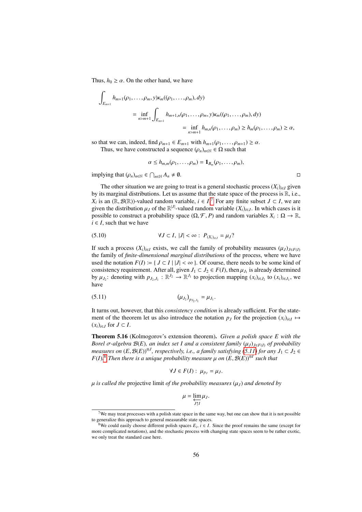Thus,  $h_0 \ge \alpha$ . On the other hand, we have

 $\sim$ 

$$
\int_{E_{m+1}} h_{m+1}(\rho_1, ..., \rho_m, y) \kappa_m((\rho_1, ..., \rho_m), dy)
$$
\n
$$
= \inf_{n>m+1} \int_{E_{m+1}} h_{m+1,n}(\rho_1, ..., \rho_m, y) \kappa_m((\rho_1, ..., \rho_m), dy)
$$
\n
$$
= \inf_{n>m+1} h_{m,n}(\rho_1, ..., \rho_m) \ge h_m(\rho_1, ..., \rho_m) \ge \alpha,
$$

so that we can, indeed, find  $\rho_{m+1} \in E_{m+1}$  with  $h_{m+1}(\rho_1, \ldots, \rho_{m+1}) \ge \alpha$ .

Thus, we have constructed a sequence  $(\rho_n)_{n \in \mathbb{N}} \in \Omega$  such that

$$
\alpha\leq h_{m,m}(\rho_1,\ldots,\rho_m)=\mathbf{1}_{B_m}(\rho_1,\ldots,\rho_m),
$$

 $\text{implying that } (\rho_n)_{n \in \mathbb{N}} \in \bigcap_{n \in \mathbb{N}} A_n \neq \emptyset.$ 

The other situation we are going to treat is a general stochastic process  $(X_i)_{i \in I}$  given by its marginal distributions. Let us assume that the state space of the process is  $\mathbb{R}$ , i.e., *X*<sub>*i*</sub> is an ( $\mathbb{R}, \mathcal{B}(\mathbb{R})$ )-valued random variable, *i* ∈ *I*.<sup>[7](#page-55-0)</sup> For any finite subset *J* ⊂ *I*, we are given the distribution *u* of the  $\mathbb{R}^{|J|}$ -valued random variable (*X*)). In which cases is it given the distribution  $\mu_J$  of the  $\mathbb{R}^{|J|}$ -valued random variable  $(X_i)_{i \in J}$ . In which cases is it possible to construct a probability space  $(O \nsubseteq P)$  and random variables  $X : O \to \mathbb{R}$ possible to construct a probability space  $(\Omega, \mathcal{F}, P)$  and random variables  $X_i : \Omega \to \mathbb{R}$ ,  $i \in I$  such that we have  $i \in I$ , such that we have

(5.10) 
$$
\forall J \subset I, |J| < \infty : P_{(X_i)_{i \in J}} = \mu_J
$$
?

If such a process  $(X_i)_{i \in I}$  exists, we call the family of probability measures  $(\mu_J)_{J \in F(I)}$ the family of *finite-dimensional marginal distributions* of the process, where we have used the notation  $F(I) := \{ J \subset I \mid |J| < \infty \}$ . Of course, there needs to be some kind of consistency requirement. After all, given  $J_1 \subset J_2 \in F(I)$ , then  $\mu_{J_1}$  is already determined<br>by  $\mu_{J_1}$  denoting with  $p_{J_1} \in \mathbb{R}^{J_2} \to \mathbb{R}^{J_1}$  to projection manning  $(x)_{J_1}$  to  $(x)_{J_2}$ , we by  $\mu_{J_2}$ : denoting with  $p_{J_2,J_1} : \mathbb{R}^{J_2} \to \mathbb{R}^{J_1}$  to projection mapping  $(x_i)_{i \in J_2}$  to  $(x_i)_{i \in J_1}$ , we have have

(5.11) 
$$
(\mu_{J_2})_{p_{J_2,J_1}} = \mu_{J_1}.
$$

It turns out, however, that this *consistency condition* is already sufficient. For the statement of the theorem let us also introduce the notation  $p_J$  for the projection  $(x_i)_{i \in I} \mapsto$  $(x_i)_{i \in J}$  for *J* ⊂ *I*.

<span id="page-55-3"></span>Theorem 5.16 (Kolmogorov's extension theorem). *Given a polish space E with the Borel* σ-algebra  $B(E)$ *, an index set I and a consistent family*  $(μ<sub>J</sub>)<sub>J∈F(I)</sub>$  *of probability measures on*  $(E, \mathcal{B}(E))^{\otimes J}$ , respectively, i.e., a family satisfying  $(5.11)$  for any  $J_1 \subset J_2 \in$ <br> $E(D)^8$  Then there is a unique probability measure u on  $(E, \mathcal{B}(E))^{\otimes I}$  such that  $F(I)$ <sup>2</sup> *Then there is a unique probability measure*  $\mu$  *on*  $(E, \mathcal{B}(E))^{\otimes I}$  *such that* 

<span id="page-55-1"></span>
$$
\forall J \in F(I): \mu_{p_J} = \mu_J.
$$

 $\mu$  *is called the* projective limit *of the probability measures*  $(\mu_J)$  *and denoted by* 

$$
\mu = \varprojlim_{J \uparrow I} \mu_J.
$$

<span id="page-55-0"></span> $7$ We may treat processes with a polish state space in the same way, but one can show that it is not possible to generalize this approach to general measurable state spaces.

<span id="page-55-2"></span><sup>&</sup>lt;sup>8</sup>We could easily choose different polish spaces  $E_i$ ,  $i \in I$ . Since the proof remains the same (except for more complicated notations), and the stochastic process with changing state spaces seem to be rather exotic, we only treat the standard case here.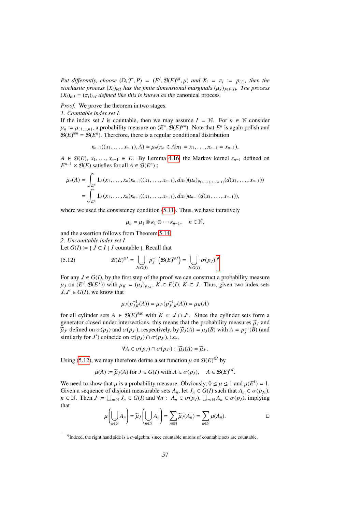*Put differently, choose*  $(\Omega, \mathcal{F}, P) = (E^I, \mathcal{B}(E)^{\otimes I}, \mu)$  *and*  $X_i = \pi_i := p_{\{i\}}$ *, then the stochastic process*  $(X_i)_{i \in I}$  *has the finite dimensional marginals*  $(\mu_i)_{i \in I}$ *n The process stochastic process*  $(X_i)_{i \in I}$  *has the finite dimensional marginals*  $(\mu_I)_{J \in F(I)}$ *. The process*  $(X_i)_{i \in I}$  *defined like this is known as the canonical process*  $(X_i)_{i \in I} = (\pi_i)_{i \in I}$  *defined like this is known as the canonical process.* 

*Proof.* We prove the theorem in two stages.

*1. Countable index set I*.

If the index set *I* is countable, then we may assume  $I = N$ . For  $n \in N$  consider  $\mu_n := \mu_{\{1,\dots,n\}}$ , a probability measure on  $(E^n, \mathcal{B}(E)^{\otimes n})$ . Note that  $E^n$  is again polish and  $\mathcal{B}(E)^{\otimes n} - \mathcal{B}(E^n)$ . Therefore, there is a regular conditional distribution  $\mathcal{B}(E)^{\otimes n} = \mathcal{B}(E^n)$ . Therefore, there is a regular conditional distribution

$$
\kappa_{n-1}((x_1,\ldots,x_{n-1}),A)=\mu_n(\pi_n\in A|\pi_1=x_1,\ldots,\pi_{n-1}=x_{n-1}),
$$

*A* ∈  $\mathcal{B}(E)$ ,  $x_1, \ldots, x_{n-1}$  ∈ *E*. By Lemma [4.16,](#page-38-1) the Markov kernel  $\kappa_{n-1}$  defined on  $E^{n-1} \times \mathcal{B}(E)$  satisfies for all  $A \in \mathcal{B}(E^n)$ :

$$
\mu_n(A) = \int_{E^n} \mathbf{1}_A(x_1, \dots, x_n) \kappa_{n-1}((x_1, \dots, x_{n-1}), dx_n) (\mu_n)_{p_{\{1,\dots,n\},\{1,\dots,n-1\}}}(d(x_1, \dots, x_{n-1}))
$$
  
= 
$$
\int_{E^n} \mathbf{1}_A(x_1, \dots, x_n) \kappa_{n-1}((x_1, \dots, x_{n-1}), dx_n) \mu_{n-1}(d(x_1, \dots, x_{n-1})),
$$

where we used the consistency condition  $(5.11)$ . Thus, we have iteratively

<span id="page-56-1"></span>
$$
\mu_n = \mu_1 \otimes \kappa_1 \otimes \cdots \kappa_{n-1}, \quad n \in \mathbb{N},
$$

and the assertion follows from Theorem [5.14.](#page-52-3)

*2. Uncountable index set I*

Let  $G(I) \coloneqq \{ J \subset I \mid J \text{ countable } \}$ . Recall that

(5.12) 
$$
\mathcal{B}(E)^{\otimes I} = \bigcup_{J \in G(I)} p_J^{-1} (\mathcal{B}(E)^{\otimes J}) = \bigcup_{J \in G(I)} \sigma(p_J)^9
$$

For any  $J \in G(I)$ , by the first step of the proof we can construct a probability measure  $\mu_J$  on  $(E^J, \mathcal{B}(E^J))$  with  $\mu_K = (\mu_J)_{p_{JK}}$ ,  $K \in F(I)$ ,  $K \subset J$ . Thus, given two index sets *I I'* ∈ *G*(*I*) we know that  $J, J' \in G(I)$ , we know that

$$
\mu_J(p_{J,K}^{-1}(A)) = \mu_{J'}(p_{J',K}^{-1}(A)) = \mu_K(A)
$$

for all cylinder sets  $A \in \mathcal{B}(E)^{\otimes K}$  with  $K \subset J \cap J'$ . Since the cylinder sets form a generator closed under intersections, this means that the probability measures  $\tilde{\mu}_J$  and  $\widetilde{\mu}_J$  defined on  $\sigma(p_J)$  and  $\sigma(p_{J'})$ , respectively, by  $\widetilde{\mu}_J(A) = \mu_J(B)$  with  $A = p_J^{-1}(B)$  (and similarly for *I'*) coincide on  $\sigma(p_J) \cap \sigma(p_J)$  i.e. similarly for *J'*) coincide on  $\sigma(p_J) \cap \sigma(p_{J'})$ , i.e.,

$$
\forall A \in \sigma(p_J) \cap \sigma(p_{J'}) : \widetilde{\mu}_J(A) = \widetilde{\mu}_{J'}.
$$

Using [\(5.12\)](#page-56-1), we may therefore define a set function  $\mu$  on  $\mathcal{B}(E)^{\otimes l}$  by

$$
\mu(A) := \widetilde{\mu}_J(A) \text{ for } J \in G(I) \text{ with } A \in \sigma(p_J), \quad A \in \mathcal{B}(E)^{\otimes I}
$$

We need to show that  $\mu$  is a probability measure. Obviously,  $0 \le \mu \le 1$  and  $\mu(E^I) = 1$ .<br>Given a sequence of disjoint measurable sets  $A = |e|I| \le G(D)$  such that  $A \in \mathcal{F}(D)$ . Given a sequence of disjoint measurable sets  $A_n$ , let  $J_n \in G(I)$  such that  $A_n \in \sigma(p_n)$ ,  $p \in \mathbb{N}$ . Then  $I = \square_{n \in I} \in G(I)$  and  $\forall n \in A \in \sigma(n)$ ,  $\square_{n \in I}$ ,  $\in G(n)$ , implying *n* ∈ N. Then *J* :=  $\bigcup_{n \in \mathbb{N}} J_n$  ∈ *G*(*I*) and  $\forall n$  :  $A_n \in \sigma(p_J)$ ,  $\bigcup_{n \in \mathbb{N}} A_n \in \sigma(p_J)$ , implying that

$$
\mu\left(\bigcup_{n\in\mathbb{N}}A_n\right)=\widetilde{\mu}_J\left(\bigcup_{n\in\mathbb{N}}A_n\right)=\sum_{n\in\mathbb{N}}\widetilde{\mu}_J(A_n)=\sum_{n\in\mathbb{N}}\mu(A_n).
$$

<span id="page-56-0"></span><sup>&</sup>lt;sup>9</sup>Indeed, the right hand side is a  $\sigma$ -algebra, since countable unions of countable sets are countable.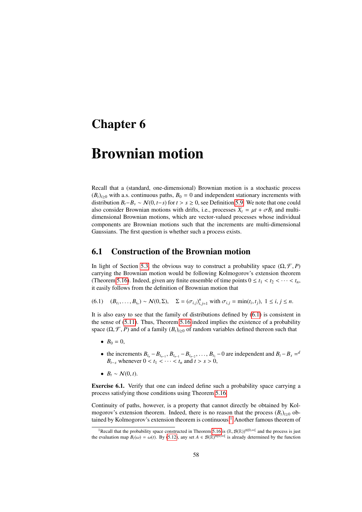### Chapter 6

## Brownian motion

Recall that a (standard, one-dimensional) Brownian motion is a stochastic process  $(B_t)_{t\geq0}$  with a.s. continuous paths,  $B_0 = 0$  and independent stationary increments with distribution  $B_t - B_s \sim N(0, t - s)$  for  $t > s \ge 0$ , see Definition [5.9.](#page-49-2) We note that one could also consider Brownian motions with drifts, i.e., processes  $X_t = \mu t + \sigma B_t$  and multidimensional Brownian motions, which are vector-valued processes whose individual components are Brownian motions such that the increments are multi-dimensional Gaussians. The first question is whether such a process exists.

### 6.1 Construction of the Brownian motion

In light of Section [5.3,](#page-51-4) the obvious way to construct a probability space  $(\Omega, \mathcal{F}, P)$ carrying the Brownian motion would be following Kolmogorov's extension theorem (Theorem [5.16\)](#page-55-3). Indeed, given any finite ensemble of time points  $0 \le t_1 < t_2 < \cdots < t_n$ , it easily follows from the definition of Brownian motion that

<span id="page-57-0"></span>(6.1)  $(B_{t_1},...,B_{t_n}) \sim \mathcal{N}(0,\Sigma), \quad \Sigma = (\sigma_{i,j})_{i,j=1}^n \text{ with } \sigma_{i,j} = \min(t_i,t_j), \ 1 \le i, j \le n.$ 

It is also easy to see that the family of distributions defined by [\(6.1\)](#page-57-0) is consistent in the sense of [\(5.11\)](#page-55-1). Thus, Theorem [5.16](#page-55-3) indeed implies the existence of a probability space  $(\Omega, \mathcal{F}, P)$  and of a family  $(B_t)_{t\geq0}$  of random variables defined thereon such that

- $B_0 = 0$ ,
- the increments  $B_{t_n} B_{t_{n-1}}$ ,  $B_{t_{n-1}} B_{t_{n-2}}$ , ...,  $B_{t_1} 0$  are independent and  $B_t B_s = a$ *B*<sub>*t*−*s*</sub> whenever  $0 < t_1 < \cdots < t_n$  and  $t > s > 0$ ,
- $B_t \sim N(0, t)$ .

Exercise 6.1. Verify that one can indeed define such a probability space carrying a process satisfying those conditions using Theorem [5.16.](#page-55-3)

Continuity of paths, however, is a property that cannot directly be obtained by Kolmogorov's extension theorem. Indeed, there is no reason that the process  $(B_t)_{t\geq0}$  ob-tained by Kolmogorov's extension theorem is continuous.<sup>[1](#page-57-1)</sup> Another famous theorem of

<span id="page-57-1"></span><sup>&</sup>lt;sup>1</sup>Recall that the probability space constructed in Theorem [5.16](#page-55-3) is  $(\mathbb{R}, \mathcal{B}(\mathbb{R}))^{\otimes [0, \infty]}$  and the process is just evaluation man  $R(\omega) = \omega(t)$ . By (5.12) any set  $A \in \mathcal{B}(\mathbb{R})^{\otimes [0, \infty]}$  is already determined the evaluation map  $B_t(\omega) = \omega(t)$ . By [\(5.12\)](#page-56-1), any set  $A \in \mathcal{B}(\mathbb{R})^{\otimes [0,\infty]}$  is already determined by the function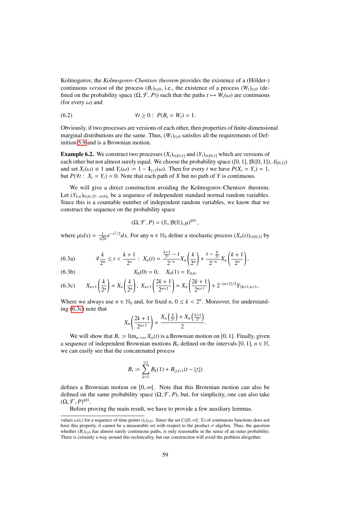Kolmogorov, the *Kolmogorov-Chentsov theorem* provides the existence of a (Hölder-) continuous *version* of the process  $(B_t)_{t\geq0}$ , i.e., the existence of a process  $(W_t)_{t\geq0}$  (defined on the probability space  $(\Omega, \mathcal{F}, P)$  such that the paths  $t \mapsto W_t(\omega)$  are continuous (for every  $\omega$ ) and

(6.2) 
$$
\forall t \ge 0 : P(B_t = W_t) = 1.
$$

Obviously, if two processes are versions of each other, then properties of finite-dimensional marginal distributions are the same. Thus,  $(W_t)_{t\geq0}$  satisfies all the requirements of Definition [5.9](#page-49-2) and is a Brownian motion.

**Example 6.2.** We construct two processes  $(X_t)_{t \in [0,1]}$  and  $(Y_t)_{t \in [0,1]}$  which are versions of each other but not almost surely equal. We choose the probability space ([0, 1],  $\mathcal{B}([0, 1])$ ,  $\lambda|_{[0, 1]}$ ) and set  $X_t(\omega) \equiv 1$  and  $Y_t(\omega) \equiv 1 - \mathbf{1}_{\{t\}}(\omega)$ . Then for every *t* we have  $P(X_t = Y_t) = 1$ , but  $P(\forall t : X_t = Y_t) = 0$ . Note that each path of *X* but no path of *Y* is continuous.

We will give a direct construction avoiding the Kolmogorov-Chentsov theorem. Let  $(Y_{k,n})_{0\leq k\leq 2^n}$ ,  $n\in\mathbb{N}_0$  be a sequence of independent standard normal random variables. Since this is a countable number of independent random variables, we know that we construct the sequence on the probability space

$$
(\Omega,\mathcal{F},P)=(\mathbb{R},\mathcal{B}(\mathbb{R}),\mu)^{\otimes\mathbb{N}},
$$

<span id="page-58-2"></span>where  $\mu(dx) = \frac{1}{\sqrt{2\pi}} e^{-x^2/2} dx$ . For any  $n \in \mathbb{N}_0$  define a stochastic process  $(X_n(t))_{t \in [0,1]}$  by

<span id="page-58-3"></span>
$$
(6.3a) \qquad \forall \frac{k}{2^n} \leq t < \frac{k+1}{2^n} \, : \, X_n(t) = \frac{\frac{k+1}{2^n} - t}{2^{-n}} X_n\left(\frac{k}{2^n}\right) + \frac{t - \frac{k}{2^n}}{2^{-n}} X_n\left(\frac{k+1}{2^n}\right),
$$

(6.3b) 
$$
X_0(0) = 0, \quad X_0(1) = Y_{0,0},
$$

<span id="page-58-0"></span>
$$
(6.3c) \tX_{n+1}\left(\frac{k}{2^n}\right) = X_n\left(\frac{k}{2^n}\right), \; X_{n+1}\left(\frac{2k+1}{2^{n+1}}\right) = X_n\left(\frac{2k+1}{2^{n+1}}\right) + 2^{-(n+2)/2}Y_{2k+1,n+1},
$$

Where we always use  $n \in \mathbb{N}_0$  and, for fixed  $n, 0 \le k < 2^n$ . Moreover, for understand-<br>ing (6.3c) note that ing [\(6.3c\)](#page-58-0) note that

$$
X_n\left(\frac{2k+1}{2^{n+1}}\right)=\frac{X_n\left(\frac{k}{2^n}\right)+X_n\left(\frac{k+1}{2^n}\right)}{2}.
$$

We will show that  $B_t := \lim_{n \to \infty} X_n(t)$  is a Brownian motion on [0, 1]. Finally, given a sequence of independent Brownian motions  $B_n$  defined on the intervals [0, 1],  $n \in \mathbb{N}$ , we can easily see that the concatenated process

$$
B_t := \sum_{k=1}^{\lfloor t \rfloor} B_k(1) + B_{\lfloor t \rfloor + 1}(t - \lfloor t \rfloor)
$$

defines a Brownian motion on  $[0, \infty)$ . Note that this Brownian motion can also be defined on the same probability space  $(\Omega, \mathcal{F}, P)$ , but, for simplicity, one can also take  $(\Omega, \mathcal{F}, P)^{\otimes \mathbb{N}}$ .<br>Before p

Before proving the main result, we have to provide a few auxiliary lemmas.

<span id="page-58-1"></span>values  $\omega(t_i)$  for a sequence of time points  $(t_i)_{i\in\mathbb{N}}$ . Since the set  $C([0,\infty[:\mathbb{R})$  of continuous functions does not have this property, it cannot be a measurable set with respect to the product  $\sigma$ -algebra. Thus, the question whether  $(B_t)_{t\geq0}$  has almost surely continuous paths, is only reasonable in the sense of an outer probability. There is certainly a way around this technicality, but our construction will avoid the problem altogether.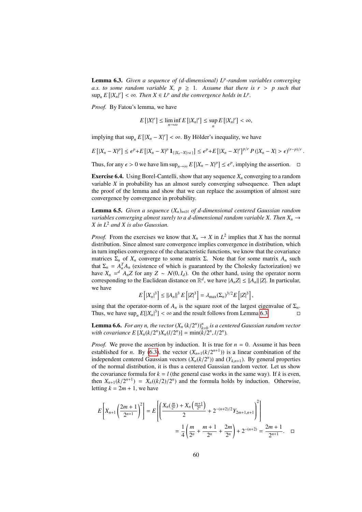Lemma 6.3. *Given a sequence of (d-dimensional) L<sup>p</sup> -random variables converging a.s. to some random variable X,*  $p \geq 1$ *. Assume that there is r > p such that*  $\sup_n E[|X_n|^r] < \infty$ . Then  $X \in L^p$  and the convergence holds in  $L^p$ .

*Proof.* By Fatou's lemma, we have

$$
E\left[|X|^r\right] \leq \liminf_{n \to \infty} E\left[|X_n|^r\right] \leq \sup_n E\left[|X_n|^r\right] < \infty,
$$

implying that  $\sup_n E\left[|X_n - X|^r\right] < \infty$ . By Hölder's inequality, we have

$$
E\left[|X_n - X|^p\right] \le \epsilon^p + E\left[|X_n - X|^p \mathbf{1}_{\{|X_n - X| > \epsilon\}}\right] \le \epsilon^p + E\left[|X_n - X|^r\right]^{p/r} P\left(|X_n - X| > \epsilon\right)^{(r-p)/r}.
$$

Thus, for any  $\epsilon > 0$  we have  $\limsup_{n \to \infty} E\left[ |X_n - X|^p \right] \le \epsilon^p$ , implying the assertion.  $\Box$ 

**Exercise 6.4.** Using Borel-Cantelli, show that any sequence  $X_n$  converging to a random variable  $X$  in probability has an almost surely converging subsequence. Then adapt the proof of the lemma and show that we can replace the assumption of almost sure convergence by convergence in probability.

<span id="page-59-0"></span>**Lemma 6.5.** *Given a sequence*  $(X_n)_{n \in \mathbb{N}}$  *of d-dimensional centered Gaussian random variables converging almost surely to a d-dimensional random variable X. Then*  $X_n \rightarrow$ *X in L*<sup>2</sup> *and X is also Gaussian.*

*Proof.* From the exercises we know that  $X_n \to X$  in  $L^2$  implies that *X* has the normal distribution. Since almost sure convergence implies convergence in distribution, which in turn implies convergence of the characteristic functions, we know that the covariance matrices  $\Sigma_n$  of  $X_n$  converge to some matrix  $\Sigma$ . Note that for some matrix  $A_n$  such that  $\Sigma_n = A_n^T A_n$  (existence of which is guaranteed by the Cholesky factorization) we have  $X_n = dA_nZ$  for any  $Z \sim \mathcal{N}(0, I_d)$ . On the other hand, using the operator norm corresponding to the Euclidean distance on  $\mathbb{R}^d$ , we have  $|A|Z| \le ||A|| ||Z||$  In particular corresponding to the Euclidean distance on  $\mathbb{R}^d$ , we have  $|A_n Z| \le ||A_n|| |Z|$ . In particular, we have

$$
E\left[|X_n|^3\right] \leq ||A_n||^3 E\left[|Z|^3\right] = \lambda_{\max}(\Sigma_n)^{3/2} E\left[|Z|^3\right],
$$

using that the operator-norm of  $A_n$  is the square root of the largest eigenvalue of  $\Sigma_n$ . Thus, we have  $\sup_n E[|X_n|^3] < \infty$  and the result follows from Lemma [6.3.](#page-58-1)

**Lemma 6.6.** *For any n, the vector*  $(X_n (k/2^n))_{k=0}^n$  is a centered Gaussian random vector<br>with covariance  $F[X (k/2^n)X (l/2^n)] = \min_k (k/2^n, l/2^n)$ *with covariance*  $E[X_n(k/2^n)X_n(l/2^n)] = \min(k/2^n, l/2^n)$ .

*Proof.* We prove the assertion by induction. It is true for  $n = 0$ . Assume it has been established for *n*. By [\(6.3\)](#page-58-2), the vector  $(X_{n+1}(k/2^{n+1}))$  is a linear combination of the independent centered Gaussian vectors  $(Y_k(k/2^n))$  and  $(Y_{k-1})$ . By general properties independent centered Gaussian vectors  $(X_n(k/2^n))$  and  $(Y_{k,n+1})$ . By general properties of the normal distribution, it is thus a centered Gaussian random vector. Let us shown of the normal distribution, it is thus a centered Gaussian random vector. Let us show the covariance formula for  $k = l$  (the general case works in the same way). If k is even, then  $X_{n+1}(k/2^{n+1}) = X_n((k/2)/2^n)$  and the formula holds by induction. Otherwise, letting  $k - 2m + 1$  we have letting  $k = 2m + 1$ , we have

$$
E\left[X_{n+1}\left(\frac{2m+1}{2^{n+1}}\right)^2\right] = E\left[\left(\frac{X_n(\frac{m}{2^n}) + X_n(\frac{m+1}{2^n})}{2} + 2^{-(n+2)/2}Y_{2m+1,n+1}\right)^2\right]
$$
  
=  $\frac{1}{4}\left(\frac{m}{2^n} + \frac{m+1}{2^n} + \frac{2m}{2^n}\right) + 2^{-(n+2)} = \frac{2m+1}{2^{n+1}}.\quad \Box$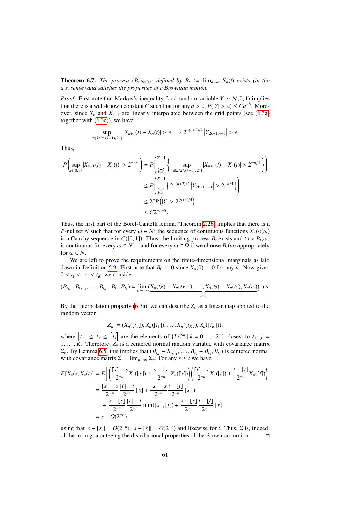**Theorem 6.7.** *The process*  $(B_t)_{t\in[0,1]}$  *defined by*  $B_t := \lim_{n\to\infty} X_n(t)$  *exists (in the a.s. sense) and satisfies the properties of a Brownian motion.*

*Proof.* First note that Markov's inequality for a random variable  $Y \sim N(0, 1)$  implies that there is a well-known constant *C* such that for any  $a > 0$ ,  $P(|Y| > a) \leq Ca^{-8}$ . More-<br>over since *X* and *X*, are linearly interpolated between the grid points (see (6.3a) over, since  $X_n$  and  $X_{n+1}$  are linearly interpolated between the grid points (see [\(6.3a\)](#page-58-3) together with [\(6.3c\)](#page-58-0)), we have

$$
\sup_{t\in[k/2^n,(k+1)/2^n]}|X_{n+1}(t)-X_n(t)|>\epsilon\Longrightarrow 2^{-(n+2)/2}|Y_{2k+1,n+1}|>\epsilon.
$$

Thus,

$$
P\left(\sup_{t\in[0,1]}|X_{n+1}(t) - X_n(t)| > 2^{-n/4}\right) = P\left(\bigcup_{k=0}^{2^n - 1} \left\{\sup_{t\in[k/2^n,(k+1)/2^n]}|X_{n+1}(t) - X_n(t)| > 2^{-n/4}\right\}\right)
$$
  

$$
\leq P\left(\bigcup_{k=0}^{2^n - 1} \left\{2^{-(n+2)/2} |Y_{2k+1,n+1}| > 2^{-n/4}\right\}\right)
$$
  

$$
\leq 2^n P\left(|Y| > 2^{(n+4)/4}\right)
$$
  

$$
\leq C2^{-n-8}.
$$

Thus, the first part of the Borel-Cantelli lemma (Theorem [2.26\)](#page-17-0) implies that there is a *P*-nullset *N* such that for every  $\omega \in N^c$  the sequence of continuous functions  $X_n(\cdot)(\omega)$  is a Cauchy sequence in  $C([0, 1])$ . Thus, the limiting process *R* exists and  $t \mapsto R(\omega)$ is a Cauchy sequence in  $C([0, 1])$ . Thus, the limiting process  $B_t$  exists and  $t \mapsto B_t(\omega)$ is continuous for every  $\omega \in N^c$  – and for every  $\omega \in \Omega$  if we choose  $B_t(\omega)$  appropriately for  $\omega \in N$ for  $\omega \in N$ .

We are left to prove the requirements on the finite-dimensional marginals as laid down in Definition [5.9.](#page-49-2) First note that  $B_0 \equiv 0$  since  $X_n(0) \equiv 0$  for any *n*. Now given  $0 < t_1 < \cdots < t_K$ , we consider

$$
(B_{t_K}-B_{t_{K-1}},\ldots,B_{t_2}-B_{t_1},B_{t_1})=\lim_{n\to\infty}\underbrace{(X_n(t_K)-X_n(t_{K-1}),\ldots,X_n(t_2)-X_n(t_1),X_n(t_1))}_{=:Z_n} \text{ a.s.}
$$

By the interpolation property [\(6.3a\)](#page-58-3), we can describe  $Z_n$  as a linear map applied to the random vector

$$
\overline{Z}_n := (X_n(\lfloor t_1 \rfloor), X_n(\lceil t_1 \rceil), \ldots, X_n(\lfloor t_K \rfloor), X_n(\lceil t_K \rceil)),
$$

where  $\begin{cases} t_j \leq t_j \leq \lceil t_j \rceil \end{cases}$  are the elements of  $\{k/2^n \mid k = 0, ..., 2^n\}$  closest to  $t_j$ ,  $j = 1$ 1,...,  $\tilde{K}$ . Therefore,  $Z_n$  is a centered normal random variable with covariance matrix<br> $\Sigma$ ,  $R_V$  I emma 6.5, this implies that  $(R_1 - R_2 - R_3 - R_4)$  is centered normal  $\Sigma_n$ . By Lemma [6.5,](#page-59-0) this implies that  $(B_{t_K} - B_{t_{K-1}}, \ldots, B_{t_2} - B_{t_1}, B_{t_1})$  is centered normal with covariance matrix  $\Sigma := \lim_{\Sigma} \sum_{\Sigma} \text{For any } s \leq t$  we have with covariance matrix  $\Sigma := \lim_{n \to \infty} \Sigma_n$ . For any  $s \le t$  we have

$$
E[X_n(s)X_n(t)] = E\left[\left(\frac{\lceil s \rceil - s}{2^{-n}} X_n(\lfloor s \rfloor) + \frac{s - \lfloor s \rfloor}{2^{-n}} X_n(\lceil s \rceil)\right)\left(\frac{\lceil t \rceil - t}{2^{-n}} X_n(\lfloor t \rfloor) + \frac{t - \lfloor t \rfloor}{2^{-n}} X_n(\lceil t \rceil)\right)\right]
$$
  
\n
$$
= \frac{\lceil s \rceil - s}{2^{-n}} \frac{\lceil t \rceil - t}{2^{-n}} \lfloor s \rfloor + \frac{\lceil s \rceil - s}{2^{-n}} \frac{t - \lfloor t \rfloor}{2^{-n}} \lfloor s \rfloor +
$$
  
\n
$$
+ \frac{s - \lfloor s \rfloor}{2^{-n}} \frac{\lceil t \rceil - t}{2^{-n}} \min(\lceil s \rceil, \lfloor t \rfloor) + \frac{s - \lfloor s \rfloor}{2^{-n}} \frac{t - \lfloor t \rfloor}{2^{-n}} \lceil s \rceil
$$
  
\n
$$
= s + O(2^{-n}),
$$

using that  $|s - \lfloor s \rfloor| = O(2^{-n})$ ,  $|s - \lceil s \rceil| = O(2^{-n})$  and likewise for *t*. Thus,  $\Sigma$  is, indeed, of the form guaranteeing the distributional properties of the Brownian motion.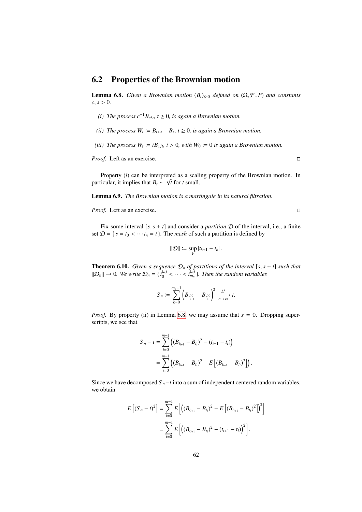### 6.2 Properties of the Brownian motion

<span id="page-61-0"></span>**Lemma 6.8.** *Given a Brownian motion*  $(B_t)_{t\geq0}$  *defined on*  $(\Omega, \mathcal{F}, P)$  *and constants*  $c, s > 0$ .

- *(i) The process*  $c^{-1}B_{c^2t}$ ,  $t ≥ 0$ , *is again a Brownian motion.*
- *(ii)* The process  $W_t := B_{t+s} B_s$ ,  $t \ge 0$ , is again a Brownian motion.
- *(iii)* The process  $W_t := tB_{1/t}$ ,  $t > 0$ , with  $W_0 := 0$  is again a Brownian motion.

*Proof.* Left as an exercise. □

Property  $(i)$  can be interpreted as a scaling property of the Brownian motion. In particular, it implies that  $B_t \sim \sqrt{t}$  for *t* small.

<span id="page-61-2"></span>Lemma 6.9. *The Brownian motion is a martingale in its natural filtration.*

*Proof.* Left as an exercise. □

Fix some interval  $[s, s + t]$  and consider a *partition*  $D$  of the interval, i.e., a finite set  $\mathcal{D} = \{ s = t_0 < \cdots t_n = t \}$ . The *mesh* of such a partition is defined by

$$
\|\mathcal{D}\| := \sup_k |t_{k+1} - t_k|.
$$

<span id="page-61-1"></span>**Theorem 6.10.** *Given a sequence*  $\mathcal{D}_n$  *of partitions of the interval* [ $s, s + t$ ] *such that*  $\|\mathcal{D}_n\| \to 0$ . We write  $\mathcal{D}_n = \{t_0^{(n)}\}$  $\binom{n}{0}$  < · · · <  $t_{m_n}^{(n)}$  }. Then the random variables

$$
S_n := \sum_{k=0}^{m_n-1} \left( B_{t_{k+1}^{(n)}} - B_{t_k^{(n)}} \right)^2 \xrightarrow[n \to \infty]{L^2} t.
$$

*Proof.* By property (ii) in Lemma [6.8,](#page-61-0) we may assume that  $s = 0$ . Dropping superscripts, we see that

$$
S_n - t = \sum_{i=0}^{m-1} \left( (B_{t_{i+1}} - B_{t_i})^2 - (t_{i+1} - t_i) \right)
$$
  
= 
$$
\sum_{i=0}^{m-1} \left( (B_{t_{i+1}} - B_{t_i})^2 - E \left[ (B_{t_{i+1}} - B_{t_i})^2 \right] \right)
$$

Since we have decomposed  $S_n - t$  into a sum of independent centered random variables, we obtain

$$
E [(S_n - t)^2] = \sum_{i=0}^{m-1} E [(B_{t_{i+1}} - B_{t_i})^2 - E [(B_{t_{i+1}} - B_{t_i})^2])^2]
$$
  
= 
$$
\sum_{i=0}^{m-1} E [(B_{t_{i+1}} - B_{t_i})^2 - (t_{i+1} - t_i)]^2].
$$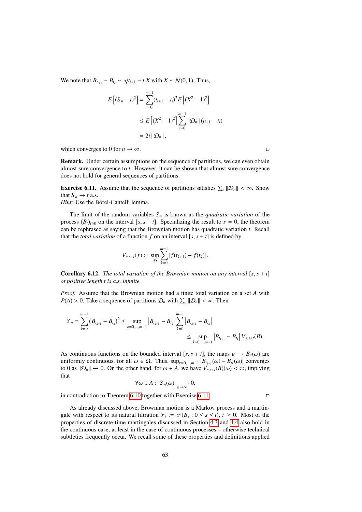We note that  $B_{t_{i+1}} - B_{t_i} \sim \sqrt{t_{i+1} - t_i} X$  with  $X \sim \mathcal{N}(0, 1)$ . Thus,

$$
E[(S_n - t)^2] = \sum_{i=0}^{m-1} (t_{i+1} - t_i)^2 E[(X^2 - 1)^2]
$$
  
\n
$$
\leq E[(X^2 - 1)^2] \sum_{i=0}^{m-1} ||\mathcal{D}_n|| (t_{i+1} - t_i)
$$
  
\n
$$
= 2t ||\mathcal{D}_n||,
$$

which converges to 0 for  $n \to \infty$ .

Remark. Under certain assumptions on the sequence of partitions, we can even obtain almost sure convergence to *t*. However, it can be shown that almost sure convergence does not hold for general sequences of partitions.

<span id="page-62-0"></span>**Exercise 6.11.** Assume that the sequence of partitions satisfies  $\sum_{n} ||\mathcal{D}_n|| < \infty$ . Show that  $S \to t a s$ . that  $S_n \to t$  a.s.

*Hint:* Use the Borel-Cantelli lemma.

The limit of the random variables  $S_n$  is known as the *quadratic variation* of the process  $(B_t)_{t\geq0}$  on the interval [*s*, *s* + *t*]. Specializing the result to *s* = 0, the theorem can be rephrased as saying that the Brownian motion has quadratic variation *t*. Recall that the *total variation* of a function *f* on an interval  $[s, s + t]$  is defined by

$$
V_{s,s+t}(f) := \sup_{\mathcal{D}} \sum_{k=0}^{m-1} |f(t_{k+1}) - f(t_k)|.
$$

**Corollary 6.12.** *The total variation of the Brownian motion on any interval* [ $s, s + t$ ] *of positive length t is a.s. infinite.*

*Proof.* Assume that the Brownian motion had a finite total variation on a set *A* with  $P(A) > 0$ . Take a sequence of partitions  $\mathcal{D}_n$  with  $\sum_n ||\mathcal{D}_n|| < \infty$ . Then

$$
S_n = \sum_{k=0}^{m-1} (B_{t_{k+1}} - B_{t_k})^2 \le \sup_{k=0,\dots,m-1} |B_{t_{k+1}} - B_{t_k}| \sum_{k=0}^{m-1} |B_{t_{k+1}} - B_{t_k}|
$$
  

$$
\le \sup_{k=0,\dots,m-1} |B_{t_{k+1}} - B_{t_k}| V_{s,s+t}(B).
$$

As continuous functions on the bounded interval [ $s, s + t$ ], the maps  $u \mapsto B_u(\omega)$  are uniformly continuous, for all  $\omega \in \Omega$ . Thus,  $\sup_{k=0,...,m-1} \left| B_{t_{k+1}}(\omega) - B_{t_k}(\omega) \right|$  converges<br>to 0 as  $\|\mathcal{D}\| \to 0$ . On the other hand, for  $\omega \in A$ , we have  $V(\mathcal{D}(\omega) < \infty)$  implying to 0 as  $\|\mathcal{D}_n\| \to 0$ . On the other hand, for  $\omega \in A$ , we have  $V_{s,s+t}(B)(\omega) < \infty$ , implying that

$$
\forall \omega \in A: S_n(\omega) \xrightarrow[n \to \infty]{} 0,
$$

in contradiction to Theorem [6.10](#page-61-1) together with Exercise [6.11.](#page-62-0)

As already discussed above, Brownian motion is a Markov process and a martingale with respect to its natural filtration  $\mathcal{F}_t := \sigma(B_s : 0 \le s \le t)$ ,  $t \ge 0$ . Most of the properties of discrete-time martingales discussed in Section 4.3 and 4.4 also hold in properties of discrete-time martingales discussed in Section [4.3](#page-40-0) and [4.4](#page-42-0) also hold in the continuous case, at least in the case of continuous processes – otherwise technical subtleties frequently occur. We recall some of these properties and definitions applied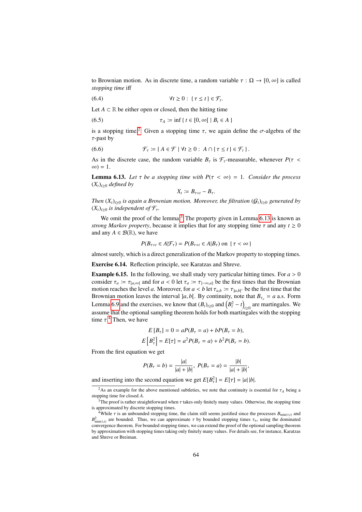to Brownian motion. As in discrete time, a random variable  $\tau : \Omega \to [0, \infty]$  is called *stopping time* iff

(6.4) <sup>∀</sup>*<sup>t</sup>* <sup>≥</sup> 0 : { <sup>τ</sup> <sup>≤</sup> *<sup>t</sup>* } ∈ F*<sup>t</sup>*

Let  $A \subset \mathbb{R}$  be either open or closed, then the hitting time

$$
\tau_A := \inf \{ t \in [0, \infty[ \mid B_t \in A \}
$$

is a stopping time.<sup>[2](#page-63-0)</sup> Given a stopping time  $\tau$ , we again define the  $\sigma$ -algebra of the  $\tau$ -past by

(6.6) 
$$
\mathcal{F}_{\tau} := \{ A \in \mathcal{F} \mid \forall t \geq 0 : A \cap \{ \tau \leq t \} \in \mathcal{F}_{t} \}.
$$

As in the discrete case, the random variable  $B<sub>\tau</sub>$  is  $\mathcal{F}<sub>\tau</sub>$ -measurable, whenever  $P(\tau <$  $\infty$ ) = 1.

<span id="page-63-2"></span>**Lemma 6.13.** Let  $\tau$  be a stopping time with  $P(\tau < \infty) = 1$ . Consider the process  $(X<sub>t</sub>)<sub>t≥0</sub>$  *defined by* 

$$
X_t := B_{\tau+t} - B_{\tau}.
$$

*Then*  $(X_t)_{t\geq0}$  *is again a Brownian motion. Moreover, the filtration*  $(G_t)_{t\geq0}$  *generated by*  $(X_t)_{t>0}$  *is independent of*  $\mathcal{F}_{\tau}$ .

We omit the proof of the lemma.<sup>[3](#page-63-1)</sup> The property given in Lemma  $6.13$  is known as *strong Markov property*, because it implies that for any stopping time  $\tau$  and any  $t \ge 0$ and any  $A \in \mathcal{B}(\mathbb{R})$ , we have

$$
P(B_{\tau+t} \in A | \mathcal{F}_{\tau}) = P(B_{\tau+t} \in A | B_{\tau}) \text{ on } \{\tau < \infty\}
$$

almost surely, which is a direct generalization of the Markov property to stopping times.

Exercise 6.14. Reflection principle, see Karatzas and Shreve.

<span id="page-63-4"></span>**Example 6.15.** In the following, we shall study very particular hitting times. For  $a > 0$ consider  $\tau_a := \tau_{[a,\infty]}$  and for  $a < 0$  let  $\tau_a := \tau_{]-\infty,a}$  be the first times that the Brownian motion reaches the level *a*. Moreover, for  $a < b$  let  $\tau_{a,b} := \tau_{a,b}$ [*c* be the first time that the Brownian motion leaves the interval la b. By continuity note that  $B = a$  as Form Brownian motion leaves the interval  $a, b$ [. By continuity, note that  $B_{\tau_a} = a$  a.s. Form Lemma [6.9](#page-61-2) and the exercises, we know that  $(B_t)_{t\geq0}$  and  $(B_t^2 - t)_{t\geq0}$  are martingales. We assume that the optional sampling theorem holds for both martingales with the stopping time  $\tau$ <sup>[4](#page-63-3)</sup>. Then, we have

$$
E[B_{\tau}] = 0 = aP(B_{\tau} = a) + bP(B_{\tau} = b),
$$
  

$$
E[B_{\tau}^{2}] = E[\tau] = a^{2}P(B_{\tau} = a) + b^{2}P(B_{\tau} = b).
$$

From the first equation we get

$$
P(B_{\tau} = b) = \frac{|a|}{|a| + |b|}, \ P(B_{\tau} = a) = \frac{|b|}{|a| + |b|},
$$

and inserting into the second equation we get  $E[B_\tau^2] = E[\tau] = |a||b|$ .

<span id="page-63-0"></span><sup>&</sup>lt;sup>2</sup>As an example for the above mentioned subtleties, we note that continuity is essential for  $\tau_A$  being a princ time for closed A stopping time for closed *A*.

<span id="page-63-1"></span> $3^3$ The proof is rather straightforward when  $\tau$  takes only finitely many values. Otherwise, the stopping time is approximated by discrete stopping times.

<span id="page-63-3"></span><sup>&</sup>lt;sup>4</sup>While  $\tau$  is an unbounded stopping time, the claim still seems justified since the processes  $B_{\min(\tau,t)}$  and  $B_{\text{min}(\tau,t)}^2$  are bounded. Thus, we can approximate τ by bounded stopping times  $\tau_n$ , using the dominated  $m_{\text{min}(\tau,t)}$  are bounded. Thus, we can approximate  $\tau$  by bounded stopping times  $\tau_n$ , using the commated convergence theorem. For bounded stopping times, we can extend the proof of the optional sampling theorem by approximation with stopping times taking only finitely many values. For details see, for instance, Karatzas and Shreve or Breiman.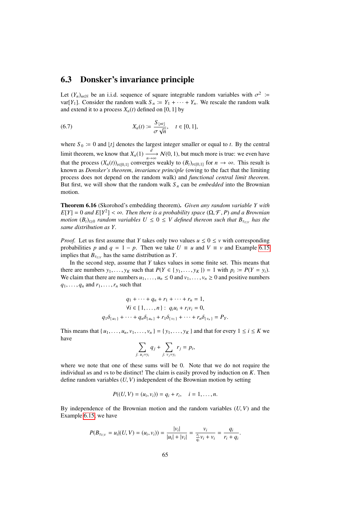### 6.3 Donsker's invariance principle

Let  $(Y_n)_{n \in \mathbb{N}}$  be an i.i.d. sequence of square integrable random variables with  $\sigma^2$  :=<br>var[*Y*<sub>·</sub>]. Consider the random walk  $S = Y_1 + \cdots + Y_n$ . We rescale the random walk var[*Y*<sub>1</sub>]. Consider the random walk  $S_n := Y_1 + \cdots + Y_n$ . We rescale the random walk and extend it to a process  $X_n(t)$  defined on [0, 1] by

(6.7) 
$$
X_n(t) := \frac{S_{\lfloor nt \rfloor}}{\sigma \sqrt{n}}, \quad t \in [0, 1],
$$

where  $S_0 \coloneqq 0$  and  $\lfloor t \rfloor$  denotes the largest integer smaller or equal to *t*. By the central limit theorem, we know that  $X_n(1) \xrightarrow[n \to \infty]{d} \mathcal{N}(0, 1)$ , but much more is true: we even have that the process  $(X_n(t))_{t\in[0,1]}$  converges weakly to  $(B_t)_{t\in[0,1]}$  for  $n \to \infty$ . This result is<br>known as Donskar's theorem, invariance principle (owing to the fect that the limiting known as *Donsker's theorem*, *invariance principle* (owing to the fact that the limiting process does not depend on the random walk) and *functional central limit theorem*. But first, we will show that the random walk  $S_n$  can be *embedded* into the Brownian motion.

<span id="page-64-0"></span>Theorem 6.16 (Skorohod's embedding theorem). *Given any random variable Y with*  $E[Y] = 0$  *and*  $E[Y^2] < \infty$ . Then there is a probability space  $(\Omega, \mathcal{F}, P)$  *and a Brownian*<br>motion  $(B)$ , a random variables  $U < 0 < V$  defined thereon such that  $B$  has the *motion*  $(B_t)_{t\geq0}$  *random variables*  $U \leq 0 \leq V$  *defined thereon such that*  $B_{\tau_{U,V}}$  *has the same distribution as Y.*

*Proof.* Let us first assume that *Y* takes only two values  $u \le 0 \le v$  with corresponding probabilities *p* and  $q = 1 - p$ . Then we take  $U \equiv u$  and  $V \equiv v$  and Example [6.15](#page-63-4) implies that  $B_{\tau_{U,V}}$  has the same distribution as *Y*.

In the second step, assume that *Y* takes values in some finite set. This means that there are numbers  $y_1, \ldots, y_K$  such that  $P(Y \in \{y_1, \ldots, y_K\}) = 1$  with  $p_i := P(Y = y_i)$ . We claim that there are numbers  $u_1, \ldots, u_n \leq 0$  and  $v_1, \ldots, v_n \geq 0$  and positive numbers  $q_1, \ldots, q_n$  and  $r_1, \ldots, r_n$  such that

$$
q_1 + \dots + q_n + r_1 + \dots + r_n = 1,
$$
  
\n
$$
\forall i \in \{1, ..., n\} : q_i u_i + r_i v_i = 0,
$$
  
\n
$$
q_1 \delta_{\{u_1\}} + \dots + q_n \delta_{\{u_n\}} + r_1 \delta_{\{v_1\}} + \dots + r_n \delta_{\{v_n\}} = P_Y.
$$

This means that  $\{u_1, \ldots, u_n, v_1, \ldots, v_n\} = \{y_1, \ldots, y_K\}$  and that for every  $1 \le i \le K$  we have

$$
\sum_{j: u_j = y_i} q_j + \sum_{j: v_j = y_i} r_j = p_i,
$$

where we note that one of these sums will be 0. Note that we do not require the individual *u*s and *v*s to be distinct! The claim is easily proved by induction on *K*. Then define random variables (*U*, *<sup>V</sup>*) independent of the Brownian motion by setting

$$
P((U, V) = (u_i, v_i)) = q_i + r_i, \quad i = 1, ..., n.
$$

By independence of the Brownian motion and the random variables (*U*, *<sup>V</sup>*) and the Example [6.15,](#page-63-4) we have

$$
P(B_{\tau_{U,V}} = u_i | (U, V) = (u_i, v_i)) = \frac{|v_i|}{|u_i| + |v_i|} = \frac{v_i}{\frac{r_i}{q_i}v_i + v_i} = \frac{q_i}{r_i + q_i}
$$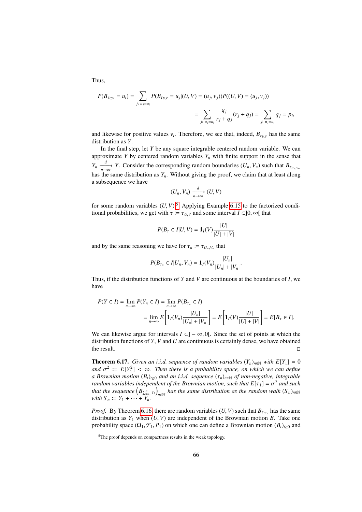Thus,

$$
P(B_{\tau_{U,V}} = u_i) = \sum_{j: u_j = u_i} P(B_{\tau_{U,V}} = u_j | (U, V) = (u_j, v_j)) P((U, V) = (u_j, v_j))
$$
  
= 
$$
\sum_{j: u_j = u_i} \frac{q_j}{r_j + q_j} (r_j + q_j) = \sum_{j: u_j = u_i} q_j = p_i,
$$

and likewise for positive values  $v_i$ . Therefore, we see that, indeed,  $B_{\tau_{U,V}}$  has the same distribution as *V* distribution as *Y*.

In the final step, let *Y* be any square integrable centered random variable. We can approximate *Y* by centered random variables  $Y_n$  with finite support in the sense that *Y<sub>n</sub>*  $\frac{d}{dx}$  *Y*. Consider the corresponding random boundaries (*U<sub>n</sub>*, *V<sub>n</sub>*) such that  $B_{\tau_{U_n,V_n}}$ has the same distribution as  $Y_n$ . Without giving the proof, we claim that at least along a subsequence we have

$$
(U_n, V_n) \xrightarrow[n \to \infty]{d} (U, V)
$$

for some random variables  $(U, V)$ .<sup>[5](#page-65-0)</sup> Applying Example [6.15](#page-63-4) to the factorized conditional probabilities, we get with  $\tau = \tau_{U,V}$  and some interval  $I \subset ]0, \infty[$  that

$$
P(B_{\tau} \in I | U, V) = \mathbf{1}_{I}(V) \frac{|U|}{|U| + |V|}
$$

and by the same reasoning we have for  $\tau_n := \tau_{U_n, V_n}$  that

$$
P(B_{\tau_n} \in I | U_n, V_n) = \mathbf{1}_I(V_n) \frac{|U_n|}{|U_n| + |V_n|}
$$

Thus, if the distribution functions of *Y* and *V* are continuous at the boundaries of *I*, we have

$$
P(Y \in I) = \lim_{n \to \infty} P(Y_n \in I) = \lim_{n \to \infty} P(B_{\tau_n} \in I)
$$
  
= 
$$
\lim_{n \to \infty} E\left[\mathbf{1}_I(V_n) \frac{|U_n|}{|U_n| + |V_n|}\right] = E\left[\mathbf{1}_I(V) \frac{|U|}{|U| + |V|}\right] = E[B_{\tau} \in I].
$$

We can likewise argue for intervals  $I \subset ]-\infty, 0[$ . Since the set of points at which the distribution functions of *Y*, *V* and *U* are continuous is certainly dense, we have obtained the result.  $\square$ 

<span id="page-65-1"></span>**Theorem 6.17.** *Given an i.i.d. sequence of random variables*  $(Y_n)_{n \in \mathbb{N}}$  *with*  $E[Y_1] = 0$ *and*  $\sigma^2 := E[Y_1^2] < \infty$ . Then there is a probability space, on which we can define a Brownian motion  $(B)$ , a and an i.i.d. sequence  $(\tau)$ , as of non-negative, integrable *a Brownian motion*  $(B_t)_{t>0}$  *and an i.i.d. sequence*  $(\tau_n)_{n\in\mathbb{N}}$  *of non-negative, integrable random variables independent of the Brownian motion, such that*  $E[\tau_1] = \sigma^2$  *and such* that the sequence  $(B_{\tau_1})$  bas the same distribution as the random walk  $(S_{\tau_1})$ *that the sequence*  $(B_{\sum_{k=1}^{n} \tau_k}^{\cdot})$  $\int_{n\in\mathbb{N}}$  *has the same distribution as the random walk*  $(S_n)_{n\in\mathbb{N}}$ *with*  $S_n := Y_1 + \cdots + Y_n$ .

*Proof.* By Theorem [6.16,](#page-64-0) there are random variables  $(U, V)$  such that  $B_{\tau_{U,V}}$  has the same distribution as  $Y_{V}$ , when  $(U, V)$  are independent of the Brownian motion  $R$ . Take one distribution as  $Y_1$  when  $(U, V)$  are independent of the Brownian motion *B*. Take one probability space  $(\Omega_1, \mathcal{F}_1, P_1)$  on which one can define a Brownian motion  $(B_t)_{t\geq0}$  and

<span id="page-65-0"></span><sup>&</sup>lt;sup>5</sup>The proof depends on compactness results in the weak topology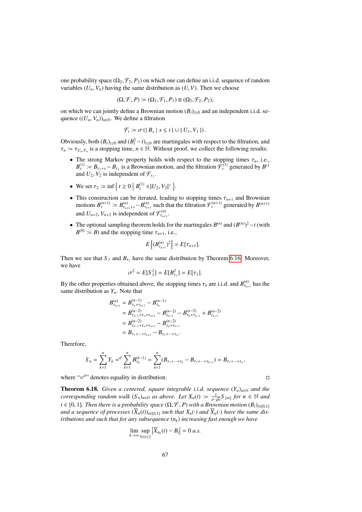one probability space  $(\Omega_2, \mathcal{F}_2, P_2)$  on which one can define an i.i.d. sequence of random variables  $(U_n, V_n)$  having the same distribution as  $(U, V)$ . Then we choose

$$
(\Omega, \mathcal{F}, P) \coloneqq (\Omega_1, \mathcal{F}_1, P_1) \otimes (\Omega_2, \mathcal{F}_2, P_2),
$$

on which we can jointly define a Brownian motion  $(B_t)_{t\geq0}$  and an independent i.i.d. sequence  $((U_n, V_n))_{n \in \mathbb{N}}$ . We define a filtration

$$
\mathcal{F}_t \coloneqq \sigma(\{B_s \mid s \leq t\} \cup \{U_1, V_1\}).
$$

Obviously, both  $(B_t)_{t\geq0}$  and  $(B_t^2 - t)_{t\geq0}$  are martingales with respect to the filtration, and  $\tau_n := \tau_{U_n, V_n}$  is a stopping time,  $n \in \mathbb{N}$ . Without proof, we collect the following results:

- The strong Markov property holds with respect to the stopping times  $\tau_n$ , i.e.,  $B_s^{(1)} := B_{\tau_1+s} - B_{\tau_1}$  is a Brownian motion, and the filtration  $\mathcal{F}_s^{(1)}$  generated by  $B^{(1)}$ and  $U_2$ ,  $V_2$  is independent of  $\mathcal{F}_{\tau_1}$ .
- We set  $\tau_2 := \inf \left\{ t \ge 0 \mid B_t^{(1)} \in ]U_2, V_2[^c \right\}.$
- This construction can be iterated, leading to stopping times  $\tau_{n+1}$  and Brownian motions  $B_s^{(n+1)} := B_{\tau_{n+1}+s}^{(n)} B_{\tau_{n+1}}^{(n)}$  such that the filtration  $\mathcal{F}_s^{(n+1)}$  generated by  $B_{(n+1)}$ and  $U_{n+2}$ ,  $V_{n+2}$  is independent of  $\mathcal{F}_{\tau_{n+1}}^{(n)}$  $\frac{\tau_{n+1}}{\tau_{n+1}}$ .
- The optional sampling theorem holds for the martingales  $B^{(n)}$  and  $(B^{(n)})^2 t$  (with  $B^{(0)} \coloneqq B$  and the stopping time  $\tau_{n+1}$ , i.e.,

$$
E\left[ (B_{\tau_{n+1}}^{(n)})^2 \right] = E[\tau_{n+1}].
$$

Then we see that  $S_1$  and  $B_{\tau_1}$  have the same distribution by Theorem [6.16.](#page-64-0) Moreover, we have

$$
\sigma^2 = E[S_1^2] = E[B_{\tau_1}^2] = E[\tau_1].
$$

By the other properties obtained above, the stopping times  $\tau_n$  are i.i.d. and  $B_{\tau_n}^{(n)}$  $r_{\tau_{n+1}}^{(n)}$  has the same distribution as *Yn*. Note that

$$
B_{\tau_{n+1}}^{(n)} = B_{\tau_n + \tau_{n+1}}^{(n-1)} - B_{\tau_n}^{(n-1)}
$$
  
=  $B_{\tau_{n-1} + \tau_{n+1}}^{(n-2)} - B_{\tau_{n-1}}^{(n-2)} - B_{\tau_{n+1} + \tau_{n-1}}^{(n-2)} + B_{\tau_{n-1}}^{(n-2)}$   
=  $B_{\tau_{n-1} + \tau_{n} + \tau_{n+1}}^{(n-2)} - B_{\tau_{n} + \tau_{n-1}}^{(n-2)}$   
=  $B_{\tau_1 + \dots + \tau_{n+1}} - B_{\tau_1 + \dots + \tau_n}.$ 

Therefore,

$$
S_n = \sum_{k=1}^n Y_k = \sum_{k=1}^n B_{\tau_k}^{(k-1)} = \sum_{k=1}^n (B_{\tau_1 + \dots + \tau_k} - B_{\tau_1 + \dots + \tau_{k-1}}) = B_{\tau_1 + \dots + \tau_n},
$$

where  $=$ <sup> $d$ </sup> denotes equality in distribution.

<span id="page-66-0"></span>**Theorem 6.18.** *Given a centered, square integrable i.i.d. sequence*  $(Y_n)_{n \in \mathbb{N}}$  *and the corresponding random walk*  $(S_n)_{n \in \mathbb{N}}$  *as above. Let*  $X_n(t) \coloneqq \frac{1}{\sigma \sqrt{n}} S_{\lfloor nt \rfloor}$  *for*  $n \in \mathbb{N}$  *and*  $t \in [0, 1]$ *. Then there is a probability space*  $(\Omega, \mathcal{F}, P)$  *with a Brownian motion*  $(B_t)_{t \in [0, 1]}$ <br>and a sequence of processes  $(\overline{X}, (t))$  is a such that  $X$  (*c*) and  $\overline{X}$  (*c*) have the same dis*and a sequence of processes*  $(\overline{X}_n(t))_{t\in[0,1]}$  *such that*  $X_n(\cdot)$  *and*  $\overline{X}_n(\cdot)$  *have the same distributions and such that for any subsequence* (*nk*) *increasing fast enough we have*

$$
\lim_{k\to\infty}\sup_{0\leq t\leq 1}|\overline{X}_{n_k}(t)-B_t|=0\ a.s.
$$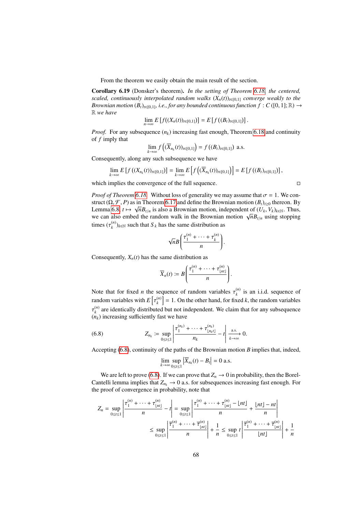From the theorem we easily obtain the main result of the section.

Corollary 6.19 (Donsker's theorem). *In the setting of Theorem [6.18,](#page-66-0) the centered, scaled, continuously interpolated random walks*  $(X_n(t))_{t\in[0,1]}$  *converge weakly to the Brownian motion*  $(B_t)_{t\in[0,1]}$ *, i.e., for any bounded continuous function*  $f: C([0,1];\mathbb{R}) \to$ R *we have*

$$
\lim_{n\to\infty} E\left[f((X_n(t))_{t\in[0,1]})\right] = E\left[f((B_t)_{t\in[0,1]})\right].
$$

*Proof.* For any subsequence  $(n_k)$  increasing fast enough, Theorem [6.18](#page-66-0) and continuity of *f* imply that

$$
\lim_{k\to\infty} f\left((\overline{X}_{n_k}(t))_{t\in[0,1]}\right) = f\left((B_t)_{t\in[0,1]}\right) \text{ a.s.}
$$

Consequently, along any such subsequence we have

$$
\lim_{k\to\infty} E\left[f\left((X_{n_k}(t))_{t\in[0,1]}\right)\right] = \lim_{k\to\infty} E\left[f\left((\overline{X}_{n_k}(t))_{t\in[0,1]}\right)\right] = E\left[f\left((B_t)_{t\in[0,1]}\right)\right],
$$

which implies the convergence of the full sequence.  $\Box$ 

*Proof of Theorem [6.18.](#page-66-0)* Without loss of generality we may assume that  $\sigma = 1$ . We construct ( $\Omega$ ,  $\mathcal{F}$ , *P*) as in Theorem [6.17](#page-65-1) and define the Brownian motion  $(B_t)_{t\geq0}$  thereon. By<br>Lemma 6.8  $t \mapsto \sqrt{n}R$ , is also a Brownian motion, independent of  $(U, V_t)_{t\geq0}$ . Thus Lemma [6.8,](#page-61-0)  $t \mapsto \sqrt{n}B_{t/n}$  is also a Brownian motion, independent of  $(U_k, V_k)_{k \in \mathbb{N}}$ . Thus, we can also embed the random walk in the Brownian motion  $\sqrt{n}R$ , using stopping Lemma 6.8,  $t \mapsto \sqrt{n}B_{t/n}$  is also a Brownian motion, independent of  $(U_k, V_k)_{k \in \mathbb{N}}$ . Thus, we can also embed the random walk in the Brownian motion  $\sqrt{n}B_{t/n}$  using stopping times  $(\tau_k^{(n)})$  $(k)$ <sub>k</sub> $(k)$  such that  $S_k$  has the same distribution as

$$
\sqrt{n}B\left(\frac{\tau_1^{(n)}+\cdots+\tau_k^{(n)}}{n}\right).
$$

Consequently,  $X_n(t)$  has the same distribution as

$$
\overline{X}_n(t) \coloneqq B\left(\frac{\tau_1^{(n)} + \cdots + \tau_{\lfloor nt \rfloor}^{(n)}}{n}\right).
$$

Note that for fixed *n* the sequence of random variables  $\tau_k^{(n)}$  $\binom{n}{k}$  is an i.i.d. sequence of random variables with  $E$ (*n*)  ${k \choose k}$  = 1. On the other hand, for fixed *k*, the random variables  $(n_k)$  increasing sufficiently fast we have (*n*)  $k_k^{(n)}$  are identically distributed but not independent. We claim that for any subsequence

(6.8) 
$$
Z_{n_k} := \sup_{0 \le t \le 1} \left| \frac{\tau_1^{(n_k)} + \dots + \tau_{\lfloor n_k t \rfloor}^{(n_k)}}{n_k} - t \right| \xrightarrow[k \to \infty]{\text{a.s.}} 0.
$$

Accepting [\(6.8\)](#page-67-0), continuity of the paths of the Brownian motion *B* implies that, indeed,

<span id="page-67-0"></span>
$$
\lim_{k \to \infty} \sup_{0 \le t \le 1} |\overline{X}_{n_k}(t) - B_t| = 0 \text{ a.s.}
$$

We are left to prove [\(6.8\)](#page-67-0). If we can prove that  $Z_n \to 0$  in probability, then the Borel-Cantelli lemma implies that  $Z_{n_k} \to 0$  a.s. for subsequences increasing fast enough. For the proof of convergence in probability, note that

$$
Z_n = \sup_{0 \le t \le 1} \left| \frac{\tau_1^{(n)} + \dots + \tau_{\lfloor nt \rfloor}^{(n)}}{n} - t \right| = \sup_{0 \le t \le 1} \left| \frac{\tau_1^{(n)} + \dots + \tau_{\lfloor nt \rfloor}^{(n)} - \lfloor nt \rfloor}{n} + \frac{\lfloor nt \rfloor - nt}{n} \right|
$$
  

$$
\le \sup_{0 \le t \le 1} \left| \frac{\overline{\tau_1}^{(n)} + \dots + \overline{\tau_{\lfloor nt \rfloor}}^{(n)}}{n} \right| + \frac{1}{n} \le \sup_{0 \le t \le 1} t \left| \frac{\overline{\tau_1}^{(n)} + \dots + \overline{\tau_{\lfloor nt \rfloor}}^{(n)}}{\lfloor nt \rfloor} \right| + \frac{1}{n}
$$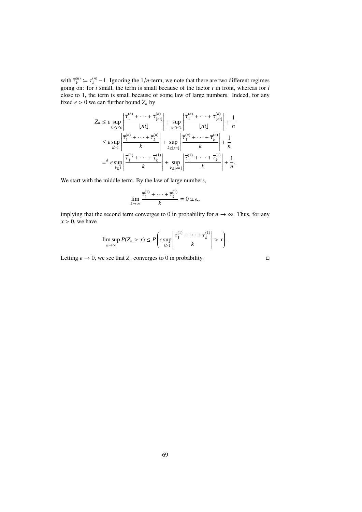with  $\overline{\tau}_k^{(n)} := \tau_k^{(n)}$ <br>
going on: for *t* with  $\overline{\tau}_{k}^{(n)} := \tau_{k}^{(n)} - 1$ . Ignoring the  $1/n$ -term, we note that there are two different regimes going on: for *t* small, the term is small because of the factor *t* in front, whereas for *t* close to 1, the term is small because of some law of large numbers. Indeed, for any fixed  $\epsilon > 0$  we can further bound  $Z_n$  by

$$
Z_n \leq \epsilon \sup_{0 \leq t \leq \epsilon} \left| \frac{\overline{\tau}_1^{(n)} + \dots + \overline{\tau}_{\lfloor nt \rfloor}^{(n)}}{\lfloor nt \rfloor} \right| + \sup_{\epsilon \leq t \leq 1} \left| \frac{\overline{\tau}_1^{(n)} + \dots + \overline{\tau}_{\lfloor nt \rfloor}^{(n)}}{\lfloor nt \rfloor} \right| + \frac{1}{n}
$$
  
\n
$$
\leq \epsilon \sup_{k \geq 1} \left| \frac{\overline{\tau}_1^{(n)} + \dots + \overline{\tau}_k^{(n)}}{k} \right| + \sup_{k \geq \lfloor \epsilon n \rfloor} \left| \frac{\overline{\tau}_1^{(n)} + \dots + \overline{\tau}_k^{(n)}}{k} \right| + \frac{1}{n}
$$
  
\n
$$
= \epsilon \sup_{k \geq 1} \left| \frac{\overline{\tau}_1^{(1)} + \dots + \overline{\tau}_k^{(1)}}{k} \right| + \sup_{k \geq \lfloor \epsilon n \rfloor} \left| \frac{\overline{\tau}_1^{(1)} + \dots + \overline{\tau}_k^{(1)}}{k} \right| + \frac{1}{n}.
$$

We start with the middle term. By the law of large numbers,

$$
\lim_{k \to \infty} \frac{\overline{\tau}_1^{(1)} + \dots + \overline{\tau}_k^{(1)}}{k} = 0 \text{ a.s.},
$$

implying that the second term converges to 0 in probability for  $n \to \infty$ . Thus, for any  $x > 0$ , we have

$$
\limsup_{n\to\infty} P(Z_n > x) \leq P\left(\epsilon \sup_{k\geq 1} \left|\frac{\overline{\tau}_1^{(1)} + \dots + \overline{\tau}_k^{(1)}}{k}\right| > x\right).
$$

Letting  $\epsilon \to 0$ , we see that  $Z_n$  converges to 0 in probability.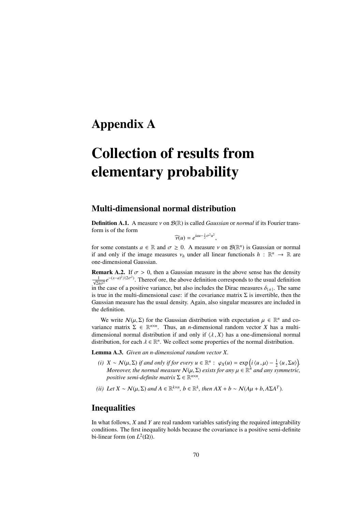## Appendix A

# Collection of results from elementary probability

### Multi-dimensional normal distribution

Definition A.1. A measure ν on <sup>B</sup>(R) is called *Gaussian* or *normal* if its Fourier transform is of the form

$$
\widehat{\nu}(u) = e^{iau - \frac{1}{2}\sigma^2 u^2}
$$

 $\widehat{\nu}(u) = e^{iau - \frac{1}{2}\sigma^2 u^2}$ ,<br>for some constants  $a \in \mathbb{R}$  and  $\sigma \ge 0$ . A measure  $\nu$  on  $\mathcal{B}(\mathbb{R}^n)$  is Gaussian or normal<br>if and only if the image measures  $\nu$ , under all linear functionals  $h : \mathbb{R}^n \to \mathbb{$ if and only if the image measures  $v_h$  under all linear functionals  $h : \mathbb{R}^n \to \mathbb{R}$  are<br>one-dimensional Gaussian one-dimensional Gaussian.

**Remark A.2.** If  $\sigma > 0$ , then a Gaussian measure in the above sense has the density  $\frac{1}{\sqrt{2\pi\sigma^2}}e^{-(x-a)^2/(2\sigma^2)}$ . Thereof ore, the above definition corresponds to the usual definition  $\sqrt{2\pi\sigma^2}$ <br>in the case of a positive variance, but also includes the Dirac measures  $\delta_{\{a\}}$ . The same<br>is true in the multi-dimensional case: if the covariance matrix  $\Sigma$  is invertible, then the is true in the multi-dimensional case: if the covariance matrix  $\Sigma$  is invertible, then the Gaussian measure has the usual density. Again, also singular measures are included in the definition.

We write  $\mathcal{N}(\mu, \Sigma)$  for the Gaussian distribution with expectation  $\mu \in \mathbb{R}^n$  and co-<br>ance matrix  $\Sigma \in \mathbb{R}^{n \times n}$ . Thus, an *n*-dimensional random vector *X* has a multivariance matrix  $\Sigma \in \mathbb{R}^{n \times n}$ . Thus, an *n*-dimensional random vector *X* has a multidimensional normal distribution if and only if  $\langle \lambda, X \rangle$  has a one-dimensional normal distribution, for each  $\lambda \in \mathbb{R}^n$ . We collect some properties of the normal distribution.

Lemma A.3. *Given an n-dimensional random vector X.*

- *(i)*  $X \sim N(\mu, \Sigma)$  *if and only if for every*  $u \in \mathbb{R}^n$ *:*  $\varphi_X(u) = \exp\left(i\langle u, \mu\rangle \frac{1}{2}\langle u, \Sigma u\rangle\right)$ .<br>Moreover the normal measure  $N(u, \Sigma)$  exists for any  $u \in \mathbb{R}^n$  and any symmetric *Moreover, the normal measure*  $N(\mu, \Sigma)$  *exists for any*  $\mu \in \mathbb{R}^n$  *and any symmetric,*<br>*nositive semi-definite matrix*  $\Sigma \in \mathbb{R}^{n \times n}$ *positive semi-definite matrix*  $\Sigma \in \mathbb{R}^{n \times n}$ *.*
- *(ii) Let*  $X \sim \mathcal{N}(\mu, \Sigma)$  *and*  $A \in \mathbb{R}^{k \times n}$ ,  $b \in \mathbb{R}^k$ , then  $AX + b \sim \mathcal{N}(A\mu + b, A\Sigma A^T)$ .

### **Inequalities**

In what follows, *X* and *Y* are real random variables satisfying the required integrability conditions. The first inequality holds because the covariance is a positive semi-definite bi-linear form (on  $L^2(\Omega)$ ).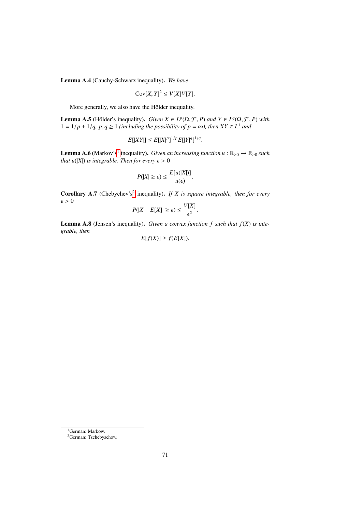Lemma A.4 (Cauchy-Schwarz inequality). *We have*

$$
Cov[X, Y]^2 \le V[X]V[Y].
$$

More generally, we also have the Hölder inequality.

**Lemma A.5** (Hölder's inequality). *Given*  $X \in L^p(\Omega, \mathcal{F}, P)$  *and*  $Y \in L^q(\Omega, \mathcal{F}, P)$  *with*  $1 - 1/p + 1/q$ ,  $p, q > 1$  (including the possibility of  $p - \infty$ ), then  $XY \in L^1$  and  $1 = 1/p + 1/q$ ,  $p, q \ge 1$  *(including the possibility of*  $p = \infty$ *), then*  $XY \in L^1$  *and* 

$$
E[|XY|] \leq E[|X|^p]^{1/p} E[|Y|^q]^{1/q}.
$$

**Lemma A.6** (Markov's<sup>[1](#page-70-0)</sup> inequality). *Given an increasing function u* :  $\mathbb{R}_{\geq 0} \to \mathbb{R}_{\geq 0}$  *such that u*( $|X|$ ) *is integrable. Then for every*  $\epsilon > 0$ 

$$
P(|X| \geq \epsilon) \leq \frac{E[u(|X|)]}{u(\epsilon)}.
$$

**Corollary A.7** (Chebychev's<sup>[2](#page-70-1)</sup> inequality). If X is square integrable, then for every  $\epsilon > 0$ *V*[*X*]

$$
P(|X - E[X]| \ge \epsilon) \le \frac{V[X]}{\epsilon^2}.
$$

Lemma A.8 (Jensen's inequality). *Given a convex function f such that f*(*X*) *is integrable, then*

$$
E[f(X)] \ge f(E[X]).
$$

<span id="page-70-0"></span><sup>1</sup>German: Markow.

<span id="page-70-1"></span><sup>2</sup>German: Tschebyschow.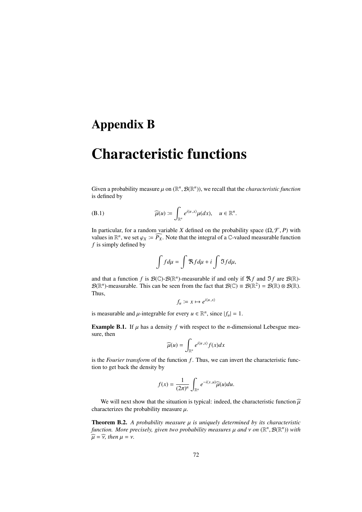## Appendix B

# Characteristic functions

Given a probability measure  $\mu$  on  $(\mathbb{R}^n, \mathcal{B}(\mathbb{R}^n))$ , we recall that the *characteristic function* is defined by is defined by

(B.1) 
$$
\widehat{\mu}(u) \coloneqq \int_{\mathbb{R}^n} e^{i\langle u, x \rangle} \mu(dx), \quad u \in \mathbb{R}^n.
$$

In particular, for a random variable *X* defined on the probability space  $(\Omega, \mathcal{F}, P)$  with values in  $\mathbb{R}^n$ , we set  $\varphi_X := \widehat{P_X}$ . Note that the integral of a C-valued measurable function f is simply defined by *f* is simply defined by

$$
\int f d\mu = \int \mathfrak{R} f d\mu + i \int \mathfrak{I} f d\mu,
$$

and that a function *f* is  $\mathcal{B}(\mathbb{C})$ - $\mathcal{B}(\mathbb{R}^n)$ -measurable if and only if  $\mathfrak{R}f$  and  $\mathfrak{I}f$  are  $\mathcal{B}(\mathbb{R})$ - $\mathcal{B}(\mathbb{R}^n)$ -measurable. This can be seen from the fact that  $\mathcal{B}(\mathbb{C}) \equiv \mathcal{B}(\mathbb{R}^2) = \mathcal{B}(\mathbb{R}) \otimes \mathcal{B}(\mathbb{R})$ . Thus,

$$
f_u \coloneqq x \mapsto e^{i\langle u, x \rangle}
$$

is measurable and  $\mu$ -integrable for every  $u \in \mathbb{R}^n$ , since  $|f_u| = 1$ .

**Example B.1.** If  $\mu$  has a density  $f$  with respect to the *n*-dimensional Lebesgue measure, then

$$
\widehat{\mu}(u) = \int_{\mathbb{R}^n} e^{i\langle u, x \rangle} f(x) dx
$$

is the *Fourier transform* of the function *f*. Thus, we can invert the characteristic function to get back the density by

$$
f(x) = \frac{1}{(2\pi)^n} \int_{\mathbb{R}^n} e^{-i(x,u)} \widehat{\mu}(u) du.
$$

We will next show that the situation is typical: indeed, the characteristic function  $\hat{\mu}$ characterizes the probability measure  $\mu$ .

**Theorem B.2.** A probability measure  $\mu$  is uniquely determined by its characteristic *function. More precisely, given two probability measures*  $\mu$  *and*  $\nu$  *on* ( $\mathbb{R}^n$ ,  $\mathcal{B}(\mathbb{R}^n)$ ) *with*  $\widehat{a} = \widehat{x}$  *then*  $\mu = \nu$  $\widehat{u} = \widehat{v}$ , then  $u = v$ .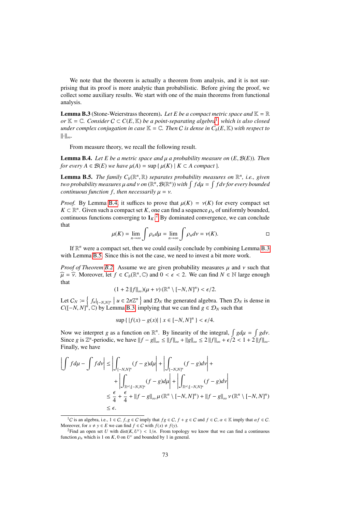We note that the theorem is actually a theorem from analysis, and it is not surprising that its proof is more analytic than probabilistic. Before giving the proof, we collect some auxiliary results. We start with one of the main theorems from functional analysis.

<span id="page-72-3"></span>**Lemma B.3** (Stone-Weierstrass theorem). Let E be a compact metric space and  $K = \mathbb{R}$ *or*  $\mathbb{K} = \mathbb{C}$ *. Consider*  $C \subset C(E, \mathbb{K})$  *be a point-separating algebra*<sup>[1](#page-72-0)</sup>, which is also closed under complex conjugation in case  $\mathbb{K} = \mathbb{C}$ . Then C is dense in C (E  $\mathbb{K}$ ) with respect to *under complex conjugation in case*  $K = \mathbb{C}$ *. Then C is dense in*  $C_b(E, K)$  *with respect to* k·k∞*.*

From measure theory, we recall the following result.

<span id="page-72-1"></span>Lemma B.4. *Let E be a metric space and* µ *a probability measure on* (*E*, <sup>B</sup>(*E*))*. Then for every*  $A \in \mathcal{B}(E)$  *we have*  $\mu(A) = \sup \{ \mu(K) \mid K \subset A$  *compact* }*.* 

<span id="page-72-4"></span>**Lemma B.5.** *The family*  $C_b(\mathbb{R}^n, \mathbb{R})$  *separates probability measures on*  $\mathbb{R}^n$ , *i.e., given*<br>*two probability measures u and y on*  $(\mathbb{R}^n, \mathcal{B}(\mathbb{R}^n))$  with  $\int f du = \int f dv$  for every bounded *two probability measures*  $\mu$  *and*  $\nu$  *on* ( $\mathbb{R}^n$ ,  $\mathcal{B}(\mathbb{R}^n)$ ) with  $\int f d\mu = \int f d\nu$  for every bounded<br>continuous function  $f$ , then necessarily  $\mu = \nu$ *continuous function f, then necessarily*  $\mu = \nu$ .

*Proof.* By Lemma [B.4,](#page-72-1) it suffices to prove that  $\mu(K) = \nu(K)$  for every compact set  $K \subset \mathbb{R}^n$ . Given such a compact set *K*, one can find a sequence  $\rho_n$  of uniformly bounded, continuous functions converging to  $1 \times \varepsilon^2$ . By dominated convergence, we can conclude continuous functions converging to  $1_K$ .<sup>[2](#page-72-2)</sup> By dominated convergence, we can conclude that

$$
\mu(K) = \lim_{n \to \infty} \int \rho_n d\mu = \lim_{n \to \infty} \int \rho_n d\nu = \nu(K). \qquad \Box
$$

If  $\mathbb{R}^n$  were a compact set, then we could easily conclude by combining Lemma [B.3](#page-72-3) with Lemma [B.5.](#page-72-4) Since this is not the case, we need to invest a bit more work.

*Proof of Theorem [B.2.](#page-71-0)* Assume we are given probability measures  $\mu$  and  $\nu$  such that  $\widehat{\mu} = \widehat{\nu}$ . Moreover, let  $f \in C_b(\mathbb{R}^n, \mathbb{C})$  and  $0 < \epsilon < 2$ . We can find  $N \in \mathbb{N}$  large enough that

$$
(1+2\|f\|_{\infty})(\mu+\nu)(\mathbb{R}^n\setminus[-N,N]^n)<\epsilon/2.
$$

Let  $C_N := \left\{ f_u|_{[-N,N]^n} \mid u \in 2\pi \mathbb{Z}^n \right\}$  and  $\mathcal{D}_N$  the generated algebra. Then  $\mathcal{D}_N$  is dense in  $C(I-N,N]^n \cap \mathbb{N}$  Lemma B 3, implying that we can find  $a \in \mathcal{D}_N$  such that *C*( $[-N, N]^n$ ,  $\mathbb{C}$ ) by Lemma [B.3,](#page-72-3) implying that we can find *g*  $\in \mathcal{D}_N$  such that

$$
\sup\{|f(x) - g(x)| \mid x \in [-N, N]^n\} < \epsilon/4.
$$

Now we interpret *g* as a function on  $\mathbb{R}^n$ . By linearity of the integral,  $\int g d\mu = \int g d\nu$ .<br>Since *g* is  $\mathbb{Z}^n$ -periodic, we have  $||f - g|| \le ||f|| + ||g|| \le 2 ||f|| + \epsilon/2 < 1 + 2 ||f||$ . Since *g* is  $\mathbb{Z}^n$ -periodic, we have  $||f - g||_{\infty} \le ||f||_{\infty} + ||g||_{\infty} \le 2 ||f||_{\infty} + \epsilon/2 < 1 + 2 ||f||_{\infty}$ .<br>Finally we have Finally, we have

$$
\left| \int f d\mu - \int f d\nu \right| \le \left| \int_{[-N,N]^n} (f - g) d\mu \right| + \left| \int_{[-N,N]^n} (f - g) d\nu \right| + \left| \int_{\mathbb{R}^n \setminus [-N,N]^n} (f - g) d\mu \right| + \left| \int_{\mathbb{R}^n \setminus [-N,N]^n} (f - g) d\nu \right|
$$
  

$$
\le \frac{\epsilon}{4} + \frac{\epsilon}{4} + \left| |f - g| \right|_{\infty} \mu \left( \mathbb{R}^n \setminus [-N,N]^n \right) + \left| |f - g| \right|_{\infty} \nu \left( \mathbb{R}^n \setminus [-N,N]^n \right)
$$
  

$$
\le \epsilon.
$$

<span id="page-72-0"></span><sup>&</sup>lt;sup>1</sup>C is an algebra, i.e.,  $1 \in C$ ,  $f, g \in C$  imply that  $fg \in C$ ,  $f + g \in C$  and  $f \in C$ ,  $\alpha \in \mathbb{K}$  imply that  $\alpha f \in C$ . Moreover, for  $x \neq y \in E$  we can find  $f \in C$  with  $f(x) \neq f(y)$ .

<span id="page-72-2"></span><sup>&</sup>lt;sup>2</sup>Find an open set *U* with dist(*K*,  $U^c$ ) <  $1/n$ . From topology we know that we can find a continuous ction  $a$ , which is 1 on *K*, 0 on *U<sup>c</sup>* and bounded by 1 in general function  $\rho_n$  which is 1 on *K*, 0 on  $U^c$  and bounded by 1 in general.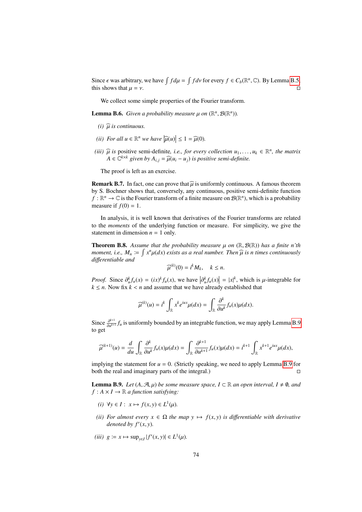Since  $\epsilon$  was arbitrary, we have  $\int f d\mu = \int f d\nu$  for every  $f \in C_b(\mathbb{R}^n, \mathbb{C})$ . By Lemma [B.5,](#page-72-4) this shows that  $\mu = \nu$ this shows that  $\mu = \nu$ .

We collect some simple properties of the Fourier transform.

**Lemma B.6.** *Given a probability measure*  $\mu$  *on*  $(\mathbb{R}^n, \mathcal{B}(\mathbb{R}^n))$ *.* 

- $(i)$   $\widehat{\mu}$  *is continuous.*
- (*ii*) For all  $u \in \mathbb{R}^n$  we have  $|\widehat{\mu}(u)| \leq 1 = \widehat{\mu}(0)$ .
- (*iii*)  $\widehat{\mu}$  *is* positive semi-definite, *i.e., for every collection*  $u_1, \ldots, u_k \in \mathbb{R}^n$ , the matrix  $A \in \mathbb{C}^{k \times k}$  given by  $A \cup \overline{\mu}(u_1, \ldots, u_k)$  is positive semi-definite  $A \in \mathbb{C}^{k \times k}$  given by  $A_{i,j} = \widehat{\mu}(u_i - u_j)$  is positive semi-definite.

The proof is left as an exercise.

**Remark B.7.** In fact, one can prove that  $\widehat{u}$  is uniformly continuous. A famous theorem by S. Bochner shows that, conversely, any continuous, positive semi-definite function  $f : \mathbb{R}^n \to \mathbb{C}$  is the Fourier transform of a finite measure on  $\mathcal{B}(\mathbb{R}^n)$ , which is a probability measure if  $f(0) = 1$ .

In analysis, it is well known that derivatives of the Fourier transforms are related to the *moments* of the underlying function or measure. For simplicity, we give the statement in dimension  $n = 1$  only.

<span id="page-73-1"></span>**Theorem B.8.** Assume that the probability measure  $\mu$  on  $(\mathbb{R}, \mathcal{B}(\mathbb{R}))$  has a finite n'th *moment, i.e.,*  $M_n := \int x^n \mu(dx)$  *exists as a real number. Then*  $\widehat{\mu}$  *is n times continuously* differentiable and *di*ff*erentiable and* (*k*)

$$
\widehat{\mu}^{(k)}(0) = i^k M_k, \quad k \le n.
$$

*Proof.* Since  $\partial_k^k f_u(x) = (ix)^k f_u(x)$ , we have  $|\partial_k^k f_u(x)| = |x|^k$ , which is  $\mu$ -integrable for  $k < n$ . Now fix  $k < n$  and assume that we have already established that *k* ≤ *n*. Now fix *k* < *n* and assume that we have already established that  $k \le n$ . Now fix *k* < *n* and assume that we have already established that

$$
\widehat{\mu}^{(k)}(u) = i^k \int_{\mathbb{R}} x^k e^{iux} \mu(dx) = \int_{\mathbb{R}} \frac{\partial^k}{\partial u^k} f_u(x) \mu(dx).
$$

Since  $\frac{\partial^{k+1}}{\partial u^{k+1}}$  $\frac{\partial^{k+1}}{\partial u^{k+1}} f_u$  is uniformly bounded by an integrable function, we may apply Lemma [B.9](#page-73-0) to get

$$
\widehat{\mu}^{(k+1)}(u) = \frac{d}{du} \int_{\mathbb{R}} \frac{\partial^k}{\partial u^k} f_u(x) \mu(dx) = \int_{\mathbb{R}} \frac{\partial^{k+1}}{\partial u^{k+1}} f_u(x) \mu(dx) = i^{k+1} \int_{\mathbb{R}} x^{k+1} e^{iux} \mu(dx),
$$

implying the statement for  $u = 0$ . (Strictly speaking, we need to apply Lemma [B.9](#page-73-0) for both the real and imaginary parts of the integral.)

<span id="page-73-0"></span>**Lemma B.9.** *Let*  $(A, \mathcal{A}, \mu)$  *be some measure space,*  $I \subset \mathbb{R}$  *an open interval,*  $I \neq \emptyset$ *, and*  $f: A \times I \rightarrow \mathbb{R}$  *a function satisfying:* 

- $f(x, y) \in L^1(x, y) \in L^1(\mu)$ .
- *(ii) For almost every*  $x \in \Omega$  *the map*  $y \mapsto f(x, y)$  *is differentiable with derivative* denoted by  $f'(x, y)$ .
- $(iii)$   $g := x \mapsto \sup_{y \in I} |f'(x, y)| \in L^1(\mu)$ *.*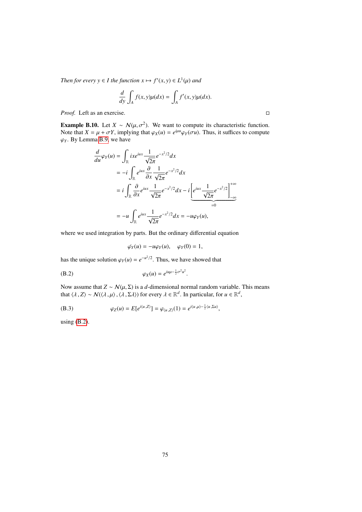*Then for every*  $y \in I$  *the function*  $x \mapsto f'(x, y) \in L^1(\mu)$  *and* 

$$
\frac{d}{dy}\int_A f(x,y)\mu(dx) = \int_A f'(x,y)\mu(dx).
$$

*Proof.* Left as an exercise. □

**Example B.10.** Let  $X \sim N(\mu, \sigma^2)$ . We want to compute its characteristic function.<br>Note that  $X = \mu + \sigma Y$  implying that  $(\alpha_X(\mu) - e^{i\mu\mu}(\alpha_X(\sigma\mu))$ . Thus, it suffices to compute Note that  $X = \mu + \sigma Y$ , implying that  $\varphi_X(u) = e^{i\mu u} \varphi_Y(\sigma u)$ . Thus, it suffices to compute  $\varphi_X$ . By Lemma B.9, we have  $\varphi$ <sup>*y*</sup>. By Lemma [B.9,](#page-73-0) we have

$$
\frac{d}{du}\varphi_Y(u) = \int_{\mathbb{R}} ix e^{iux} \frac{1}{\sqrt{2\pi}} e^{-x^2/2} dx
$$
  
\n
$$
= -i \int_{\mathbb{R}} e^{iux} \frac{\partial}{\partial x} \frac{1}{\sqrt{2\pi}} e^{-x^2/2} dx
$$
  
\n
$$
= i \int_{\mathbb{R}} \frac{\partial}{\partial x} e^{iux} \frac{1}{\sqrt{2\pi}} e^{-x^2/2} dx - i \left[ e^{iux} \frac{1}{\sqrt{2\pi}} e^{-x^2/2} \right]_{-\infty}^{+\infty}
$$
  
\n
$$
= -u \int_{\mathbb{R}} e^{iux} \frac{1}{\sqrt{2\pi}} e^{-x^2/2} dx = -u\varphi_Y(u),
$$

where we used integration by parts. But the ordinary differential equation

<span id="page-74-0"></span>
$$
\dot{\varphi_Y}(u) = -u\varphi_Y(u), \quad \varphi_Y(0) = 1,
$$

has the unique solution  $\varphi_Y(u) = e^{-u^2/2}$ . Thus, we have showed that

$$
\varphi_X(u) = e^{iu\mu - \frac{1}{2}\sigma^2 u^2}
$$

Now assume that  $Z \sim N(\mu, \Sigma)$  is a *d*-dimensional normal random variable. This means that  $\langle \lambda, Z \rangle \sim \mathcal{N}(\langle \lambda, \mu \rangle, \langle \lambda, \Sigma \lambda \rangle)$  for every  $\lambda \in \mathbb{R}^d$ . In particular, for  $u \in \mathbb{R}^d$ ,

(B.3) 
$$
\varphi_Z(u) = E[e^{i\langle u, Z \rangle}] = \varphi_{\langle u, Z \rangle}(1) = e^{i\langle u, \mu \rangle - \frac{1}{2} \langle u, \Sigma u \rangle},
$$

using [\(B.2\)](#page-74-0).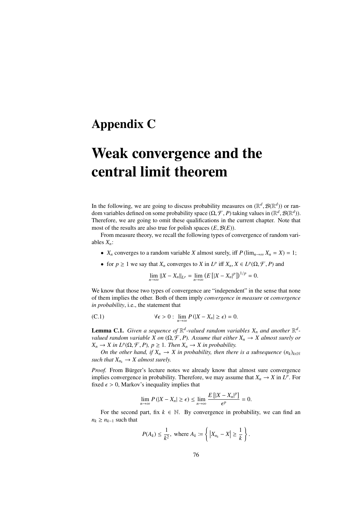## Appendix C

## Weak convergence and the central limit theorem

In the following, we are going to discuss probability measures on  $(\mathbb{R}^d, \mathcal{B}(\mathbb{R}^d))$  or ran-<br>dom variables defined on some probability space (O  $\mathcal{F}$ , P) taking values in  $(\mathbb{R}^d, \mathcal{B}(\mathbb{R}^d))$ dom variables defined on some probability space  $(\Omega, \mathcal{F}, P)$  taking values in  $(\mathbb{R}^d, \mathcal{B}(\mathbb{R}^d))$ .<br>Therefore, we are going to omit these qualifications in the current chapter. Note that Therefore, we are going to omit these qualifications in the current chapter. Note that most of the results are also true for polish spaces  $(E, \mathcal{B}(E))$ .

From measure theory, we recall the following types of convergence of random variables *Xn*:

- *X<sub>n</sub>* converges to a random variable *X* almost surely, iff  $P(\lim_{n\to\infty} X_n = X) = 1$ ;
- for  $p \ge 1$  we say that  $X_n$  converges to  $X$  in  $L^p$  iff  $X_n, X \in L^p(\Omega, \mathcal{F}, P)$  and

$$
\lim_{n \to \infty} ||X - X_n||_{L^p} = \lim_{n \to \infty} (E [|X - X_n|^p])^{1/p} = 0.
$$

We know that those two types of convergence are "independent" in the sense that none of them implies the other. Both of them imply *convergence in measure* or *convergence in probability*, i.e., the statement that

(C.1) 
$$
\forall \epsilon > 0: \lim_{n \to \infty} P(|X - X_n| \ge \epsilon) = 0.
$$

<span id="page-75-0"></span>**Lemma C.1.** Given a sequence of  $\mathbb{R}^d$ -valued random variables  $X_n$  and another  $\mathbb{R}^d$ *valued random variable X on*  $(\Omega, \mathcal{F}, P)$ *. Assume that either*  $X_n \to X$  *almost surely or*  $X_n \to X$  in  $L^p(\Omega, \mathcal{F}, P)$ ,  $p \geq 1$ . Then  $X_n \to X$  in probability.<br>On the other hand, if  $X \to X$  in probability, then then

*On the other hand, if*  $X_n \to X$  *in probability, then there is a subsequence*  $(n_k)_{k \in \mathbb{N}}$ *such that*  $X_{n_k} \to X$  *almost surely.* 

*Proof.* From Bürger's lecture notes we already know that almost sure convergence implies convergence in probability. Therefore, we may assume that  $X_n \to X$  in  $L^p$ . For fixed  $\epsilon > 0$ , Markov's inequality implies that

$$
\lim_{n\to\infty} P(|X - X_n| \ge \epsilon) \le \lim_{n\to\infty} \frac{E\left[|X - X_n|^p\right]}{\epsilon^p} = 0.
$$

For the second part, fix  $k \in \mathbb{N}$ . By convergence in probability, we can find an  $n_k \geq n_{k-1}$  such that

$$
P(A_k) \leq \frac{1}{k^2}, \text{ where } A_k := \left\{ |X_{n_k} - X| \geq \frac{1}{k} \right\}.
$$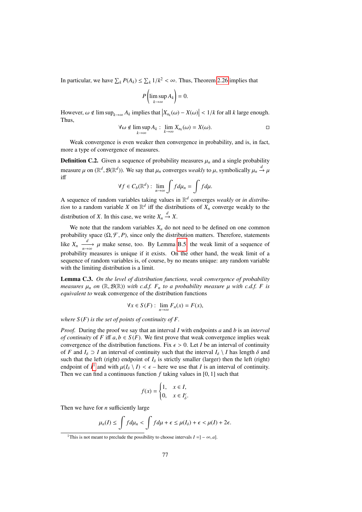In particular, we have  $\sum_{k} P(A_k) \leq \sum_{k} 1/k^2 < \infty$ . Thus, Theorem [2.26](#page-17-0) implies that

$$
P\left(\limsup_{k\to\infty} A_k\right)=0.
$$

However,  $\omega \notin \limsup_{k \to \infty} A_k$  implies that  $\left| X_{n_k}(\omega) - X(\omega) \right| < 1/k$  for all *k* large enough. Thus,

$$
\forall \omega \notin \limsup_{k \to \infty} A_k : \lim_{k \to \infty} X_{n_k}(\omega) = X(\omega). \square
$$

Weak convergence is even weaker then convergence in probability, and is, in fact, more a type of convergence of measures.

**Definition C.2.** Given a sequence of probability measures  $\mu_n$  and a single probability measure  $\mu$  on ( $\mathbb{R}^d$ ,  $\mathcal{B}(\mathbb{R}^d)$ ). We say that  $\mu_n$  converges *weakly* to  $\mu$ , symbolically  $\mu_n \xrightarrow{d} \mu$ iff

$$
\forall f \in C_b(\mathbb{R}^d): \lim_{n \to \infty} \int f d\mu_n = \int f d\mu.
$$

A sequence of random variables taking values in R *d* converges *weakly* or *in distribution* to a random variable *X* on  $\mathbb{R}^d$  iff the distributions of  $X_n$  converge weakly to the distribution of *X*. In this case, we write  $X_n \xrightarrow{d} X$ .

We note that the random variables  $X_n$  do not need to be defined on one common probability space  $(Ω, F, P)$ , since only the distribution matters. Therefore, statements like  $X_n \xrightarrow[n \to \infty]{d} \mu$  make sense, too. By Lemma [B.5,](#page-72-4) the weak limit of a sequence of probability measures is unique if it exists. On the other hand, the weak limit of a sequence of random variables is, of course, by no means unique: any random variable with the limiting distribution is a limit.

Lemma C.3. *On the level of distribution functions, weak convergence of probability measures*  $\mu_n$  *on* ( $\mathbb{R}, \mathcal{B}(\mathbb{R})$ ) *with c.d.f.*  $F_n$  *to a probability measure*  $\mu$  *with c.d.f.*  $F$  *is equivalent to* weak convergence of the distribution functions

$$
\forall x \in S(F) : \lim_{n \to \infty} F_n(x) = F(x),
$$

*where*  $S(F)$  *is the set of points of continuity of F.* 

*Proof.* During the proof we say that an interval *I* with endpoints *a* and *b* is an *interval of continuity* of *F* iff  $a, b \in S(F)$ . We first prove that weak convergence implies weak convergence of the distribution functions. Fix  $\epsilon > 0$ . Let *I* be an interval of continuity of *F* and  $I_\delta \supset I$  an interval of continuity such that the interval  $I_\delta \setminus I$  has length  $\delta$  and such that the left (right) endpoint of  $I_\delta$  is strictly smaller (larger) then the left (right) endpoint of  $I^1$  $I^1$  and with  $\mu(I_\delta \setminus I) < \epsilon$  – here we use that *I* is an interval of continuity.<br>Then we can find a continuous function *f* taking values in [0, 1] such that Then we can find a continuous function *<sup>f</sup>* taking values in [0, 1] such that

$$
f(x) = \begin{cases} 1, & x \in I, \\ 0, & x \in I_{\delta}^c. \end{cases}
$$

Then we have for *n* sufficiently large

$$
\mu_n(I) \le \int f d\mu_n < \int f d\mu + \epsilon \le \mu(I_\delta) + \epsilon < \mu(I) + 2\epsilon.
$$

<span id="page-76-0"></span><sup>&</sup>lt;sup>1</sup>This is not meant to preclude the possibility to choose intervals  $I = ] - \infty, a]$ .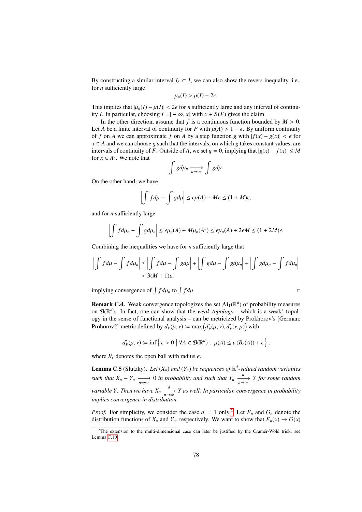By constructing a similar interval  $I_\delta \subset I$ , we can also show the revers inequality, i.e., for *n* sufficiently large

$$
\mu_n(I) > \mu(I) - 2\epsilon.
$$

This implies that  $|\mu_n(I) - \mu(I)| < 2\epsilon$  for *n* sufficiently large and any interval of continuity *I*. In particular, choosing  $I = ] − ∞, x]$  with  $x ∈ S(F)$  gives the claim.

In the other direction, assume that  $f$  is a continuous function bounded by  $M > 0$ . Let *A* be a finite interval of continuity for *F* with  $\mu(A) > 1 - \epsilon$ . By uniform continuity of *f* on *A* we can approximate *f* on *A* by a step function *g* with  $|f(x) - g(x)| < \epsilon$  for  $x \in A$  and we can choose *g* such that the intervals, on which *g* takes constant values, are intervals of continuity of *F*. Outside of *A*, we set  $g = 0$ , implying that  $|g(x) - f(x)| \le M$ for  $x \in A^c$ . We note that

$$
\int g d\mu_n \xrightarrow[n \to \infty]{} g d\mu.
$$

On the other hand, we have

$$
\left|\int f d\mu - \int g d\mu\right| \leq \epsilon \mu(A) + M\epsilon \leq (1 + M)\epsilon,
$$

and for *n* sufficiently large

$$
\left|\int f d\mu_n - \int g d\mu_n\right| \leq \epsilon \mu_n(A) + M \mu_n(A^c) \leq \epsilon \mu_n(A) + 2\epsilon M \leq (1 + 2M)\epsilon.
$$

Combining the inequalities we have for *n* sufficiently large that

$$
\left|\int f d\mu - \int f d\mu_n\right| \le \left|\int f d\mu - \int g d\mu\right| + \left|\int g d\mu - \int g d\mu_n\right| + \left|\int g d\mu - \int f d\mu_n\right|
$$
  
< 3(M + 1)\epsilon,

implying convergence of  $\int f d\mu_n$  to  $\int$  $f d\mu$ .

**Remark C.4.** Weak convergence topologies the set 
$$
M_1(\mathbb{R}^d)
$$
 of probability measures  
on  $\mathcal{B}(\mathbb{R}^d)$ . In fact, one can show that the *weak topology* – which is a weak<sup>\*</sup> topol-  
ogy in the sense of functional analysis – can be metricized by Prokhorov's [German:  
Prohorov?] metric defined by  $d_P(\mu, \nu) := \max(d'_P(\mu, \nu), d'_P(\nu, \mu))$  with

$$
d'_{P}(\mu, \nu) \coloneqq \inf \left\{ \epsilon > 0 \mid \forall A \in \mathcal{B}(\mathbb{R}^{d}) : \mu(A) \leq \nu(B_{\epsilon}(A)) + \epsilon \right\},\
$$

where  $B_{\epsilon}$  denotes the open ball with radius  $\epsilon$ .

<span id="page-77-1"></span>**Lemma C.5** (Slutzky). Let  $(X_n)$  and  $(Y_n)$  be sequences of  $\mathbb{R}^d$ -valued random variables *such that*  $X_n - Y_n \xrightarrow[n \to \infty]{} 0$  *in probability and such that*  $Y_n \xrightarrow[n \to \infty]{} Y$  *for some random variable Y. Then we have*  $X_n \xrightarrow[n \to \infty]{d} Y$  as well. In particular, convergence in probability *implies convergence in distribution.*

*Proof.* For simplicity, we consider the case  $d = 1$  only.<sup>[2](#page-77-0)</sup> Let  $F_n$  and  $G_n$  denote the distribution functions of  $X_n$  and  $Y_n$ , respectively. We want to show that  $F_n(x) \to G(x)$ 

<span id="page-77-0"></span><sup>&</sup>lt;sup>2</sup>The extension to the multi-dimensional case can later be justified by the Cramér-Wold trick, see Lemma [C.10.](#page-79-0)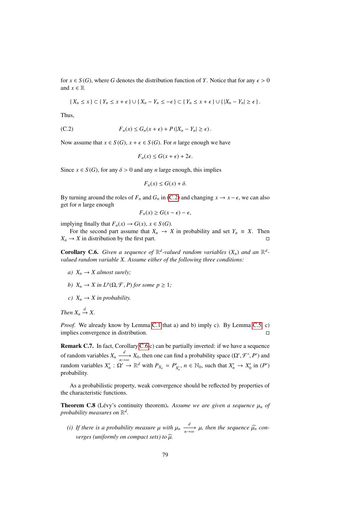for  $x \in S(G)$ , where *G* denotes the distribution function of *Y*. Notice that for any  $\epsilon > 0$ and  $x \in \mathbb{R}$ 

$$
\{X_n \leq x\} \subset \{Y_n \leq x + \epsilon\} \cup \{X_n - Y_n \leq -\epsilon\} \subset \{Y_n \leq x + \epsilon\} \cup \{\vert X_n - Y_n \vert \geq \epsilon\}.
$$

Thus,

(C.2) 
$$
F_n(x) \leq G_n(x+\epsilon) + P(|X_n - Y_n| \geq \epsilon).
$$

Now assume that  $x \in S(G)$ ,  $x + \epsilon \in S(G)$ . For *n* large enough we have

<span id="page-78-0"></span>
$$
F_n(x) \le G(x + \epsilon) + 2\epsilon.
$$

Since  $x \in S(G)$ , for any  $\delta > 0$  and any *n* large enough, this implies

$$
F_n(x) \le G(x) + \delta.
$$

By turning around the roles of  $F_n$  and  $G_n$  in [\(C.2\)](#page-78-0) and changing  $x \to x - \epsilon$ , we can also get for *n* large enough

$$
F_n(x) \ge G(x - \epsilon) - \epsilon,
$$

implying finally that  $F_n(x) \to G(x), x \in S(G)$ .

For the second part assume that  $X_n \to X$  in probability and set  $Y_n \equiv X$ . Then  $X_n \to X$  in distribution by the first part.

<span id="page-78-1"></span>**Corollary C.6.** Given a sequence of  $\mathbb{R}^d$ -valued random variables  $(X_n)$  and an  $\mathbb{R}^d$ *valued random variable X. Assume either of the following three conditions:*

- *a)*  $X_n \to X$  *almost surely:*
- *b*)  $X_n \to X$  *in*  $L^p(\Omega, \mathcal{F}, P)$  *for some*  $p \geq 1$ *;*
- *c*)  $X_n \to X$  *in probability.*

*Then*  $X_n \xrightarrow{d} X$ .

*Proof.* We already know by Lemma [C.1](#page-75-0) that a) and b) imply c). By Lemma [C.5,](#page-77-1) c) implies convergence in distribution.

Remark C.7. In fact, Corollary [C.6](#page-78-1) c) can be partially inverted: if we have a sequence of random variables  $X_n \xrightarrow[n \to \infty]{d} X_0$ , then one can find a probability space  $(\Omega', \mathcal{F}', P')$  and random variables  $X'_n : \Omega' \to \mathbb{R}^d$  with  $P_{X_n} = P'_{X'_n}, n \in \mathbb{N}_0$ , such that  $X'_n \to X'_0$  in  $(P')$ probability.

As a probabilistic property, weak convergence should be reflected by properties of the characteristic functions.

<span id="page-78-2"></span>**Theorem C.8** (Lévy's continuity theorem). Assume we are given a sequence  $\mu_n$  of probability measures on  $\mathbb{R}^d$ .

*(i)* If there is a probability measure  $\mu$  with  $\mu_n \xrightarrow[n \to \infty]{d} \mu$ , then the sequence  $\widehat{\mu_n}$  con*verges (uniformly on compact sets) to*  $\widehat{u}$ .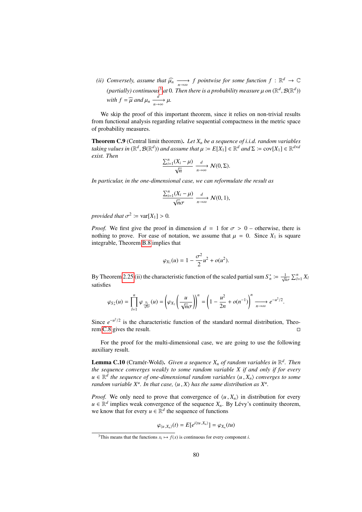*(ii)* Conversely, assume that  $\widehat{\mu}_n \xrightarrow[n \to \infty]{} f$  pointwise for some function  $f : \mathbb{R}^d \to \mathbb{C}$ (partially) continuous<sup>[3](#page-79-1)</sup> at 0. Then there is a probability measure  $\mu$  on  $(\mathbb{R}^d, \mathcal{B}(\mathbb{R}^d))$ *with*  $f = \widehat{\mu}$  *and*  $\mu_n \xrightarrow[n \to \infty]{d} \mu$ .

We skip the proof of this important theorem, since it relies on non-trivial results from functional analysis regarding relative sequential compactness in the metric space of probability measures.

<span id="page-79-2"></span>Theorem C.9 (Central limit theorem). *Let X<sup>n</sup> be a sequence of i.i.d. random variables taking values in*  $(\mathbb{R}^d, \mathcal{B}(\mathbb{R}^d))$  *and assume that*  $\mu := E[X_1] \in \mathbb{R}^d$  *and*  $\Sigma := cov[X_1] \in \mathbb{R}^{d \times d}$ <br>*exist* Then *exist. Then*

$$
\frac{\sum_{i=1}^{n}(X_i-\mu)}{\sqrt{n}}\xrightarrow[n\to\infty]{d}\mathcal{N}(0,\Sigma).
$$

*In particular, in the one-dimensional case, we can reformulate the result as*

$$
\frac{\sum_{i=1}^{n}(X_i-\mu)}{\sqrt{n}\sigma} \xrightarrow[n\to\infty]{d} \mathcal{N}(0,1),
$$

*provided that*  $\sigma^2 := \text{var}[X_1] > 0$ *.* 

*Proof.* We first give the proof in dimension  $d = 1$  for  $\sigma > 0$  – otherwise, there is nothing to prove. For ease of notation, we assume that  $\mu = 0$ . Since  $X_1$  is square integrable, Theorem [B.8](#page-73-1) implies that

$$
\varphi_{X_1}(u) = 1 - \frac{\sigma^2}{2}u^2 + o(u^2).
$$

By Theorem [2.25](#page-17-1) (ii) the characteristic function of the scaled partial sum  $S_n^* := \frac{1}{\sqrt{n\sigma}}$  $\sum_{l=1}^{n} X_l$ satisfies

$$
\varphi_{S_n^*}(u) = \prod_{l=1}^n \varphi_{\frac{X_l}{\sqrt{n}\sigma}}(u) = \left(\varphi_{X_l}\left(\frac{u}{\sqrt{n}\sigma}\right)\right)^n = \left(1 - \frac{u^2}{2n} + o(n^{-1})\right)^n \xrightarrow[n \to \infty]{} e^{-u^2/2}.
$$

Since  $e^{-u^2/2}$  is the characteristic function of the standard normal distribution, Theorem [C.8](#page-78-2) gives the result.

For the proof for the multi-dimensional case, we are going to use the following auxiliary result.

<span id="page-79-0"></span>**Lemma C.10** (Cramér-Wold). Given a sequence  $X_n$  of random variables in  $\mathbb{R}^d$ . Then *the sequence converges weakly to some random variable X if and only if for every u* ∈  $\mathbb{R}^d$  the sequence of one-dimensional random variables  $\langle u, X_n \rangle$  converges to some<br>random variable  $X^u$ . In that case  $\langle u, X \rangle$  has the same distribution as  $X^u$ . *random variable*  $X^u$ *. In that case,*  $\langle u, X \rangle$  *has the same distribution as*  $X^u$ *.* 

*Proof.* We only need to prove that convergence of  $\langle u, X_n \rangle$  in distribution for every  $u \in \mathbb{R}^d$  implies weak convergence of the sequence  $X_n$ . By Lévy's continuity theorem, we know that for every  $u \in \mathbb{R}^d$  the sequence of functions

$$
\varphi_{\langle u, X_n \rangle}(t) = E[e^{i \langle tu, X_n \rangle}] = \varphi_{X_n}(tu)
$$

<span id="page-79-1"></span><sup>&</sup>lt;sup>3</sup>This means that the functions  $x_i \mapsto f(x)$  is continuous for every component *i*.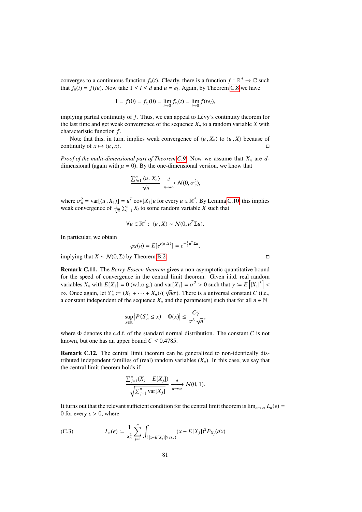converges to a continuous function  $f_u(t)$ . Clearly, there is a function  $f : \mathbb{R}^d \to \mathbb{C}$  such that  $f_u(t) = f(tu)$ . Now take  $1 \le l \le d$  and  $u = e_l$ . Again, by Theorem [C.8](#page-78-2) we have

$$
1 = f(0) = f_{e_l}(0) = \lim_{t \to 0} f_{e_l}(t) = \lim_{t \to 0} f(te_l),
$$

implying partial continuity of *f*. Thus, we can appeal to Lévy's continuity theorem for the last time and get weak convergence of the sequence  $X_n$  to a random variable  $X$  with characteristic function *f* .

Note that this, in turn, implies weak convergence of  $\langle u, X_n \rangle$  to  $\langle u, X \rangle$  because of tinuity of  $x \mapsto \langle u, x \rangle$ . continuity of  $x \mapsto \langle u, x \rangle$ .

*Proof of the multi-dimensional part of Theorem [C.9.](#page-79-2)* Now we assume that *X<sup>n</sup>* are *d*dimensional (again with  $\mu = 0$ ). By the one-dimensional version, we know that

$$
\frac{\sum_{i=1}^{n} \langle u, X_n \rangle}{\sqrt{n}} \xrightarrow[n \to \infty]{d} \mathcal{N}(0, \sigma_u^2),
$$

where  $\sigma_u^2 = \text{var}[\langle u, X_1 \rangle] = u^T \text{ cov}[X_1]u$  for every  $u \in \mathbb{R}^d$ . By Lemma [C.10,](#page-79-0) this implies weak convergence of  $\frac{1}{n} \sum_{i=1}^{n} X_i$  to some random variable X such that weak convergence of  $\frac{1}{\sqrt{n}} \sum_{i=1}^{n} X_i$  to some random variable *X* such that

$$
\forall u \in \mathbb{R}^d: \ \langle u, X \rangle \sim \mathcal{N}(0, u^T \Sigma u).
$$

In particular, we obtain

$$
\varphi_X(u)=E[e^{i\langle u,X\rangle}]=e^{-\frac{1}{2}u^T\Sigma u},
$$

implying that *X* ∼  $N(0, Σ)$  by Theorem [B.2.](#page-71-0)

Remark C.11. The *Berry-Esseen theorem* gives a non-asymptotic quantitative bound for the speed of convergence in the central limit theorem. Given i.i.d. real random variables  $X_n$  with  $E[X_1] = 0$  (w.l.o.g.) and var $[X_1] = \sigma^2 > 0$  such that  $\gamma := E\left[|X_1|^3\right]$  $\infty$ . Once again, let *S*<sup>\*</sup><sub>*n*</sub> = (*X*<sub>1</sub> + · · · + *X<sub>n</sub>*)/(  $\sqrt{n\sigma}$ ). There is a universal constant *C* (i.e., a constant independent of the sequence *X* and the parameters) such that for all *n* ∈ N a constant independent of the sequence  $X_n$  and the parameters) such that for all  $n \in \mathbb{N}$ 

$$
\sup_{x\in\mathbb{R}}\left|P(S_n^*\leq x)-\Phi(x)\right|\leq \frac{C\gamma}{\sigma^3\sqrt{n}},
$$

where Φ denotes the c.d.f. of the standard normal distribution. The constant *C* is not known, but one has an upper bound  $C \leq 0.4785$ .

Remark C.12. The central limit theorem can be generalized to non-identically distributed independent families of (real) random variables  $(X_n)$ . In this case, we say that the central limit theorem holds if

$$
\frac{\sum_{j=1}^{n}(X_j - E[X_j])}{\sqrt{\sum_{j=1}^{n} \text{var}[X_j]}} \xrightarrow[n \to \infty]{d} \mathcal{N}(0, 1).
$$

It turns out that the relevant sufficient condition for the central limit theorem is  $\lim_{n\to\infty} L_n(\epsilon) =$ 0 for every  $\epsilon > 0$ , where

(C.3) 
$$
L_n(\epsilon) := \frac{1}{s_n^2} \sum_{j=1}^n \int_{\{|x - E[X_j]| \ge \epsilon s_n\}} (x - E[X_j])^2 P_{X_j}(dx)
$$